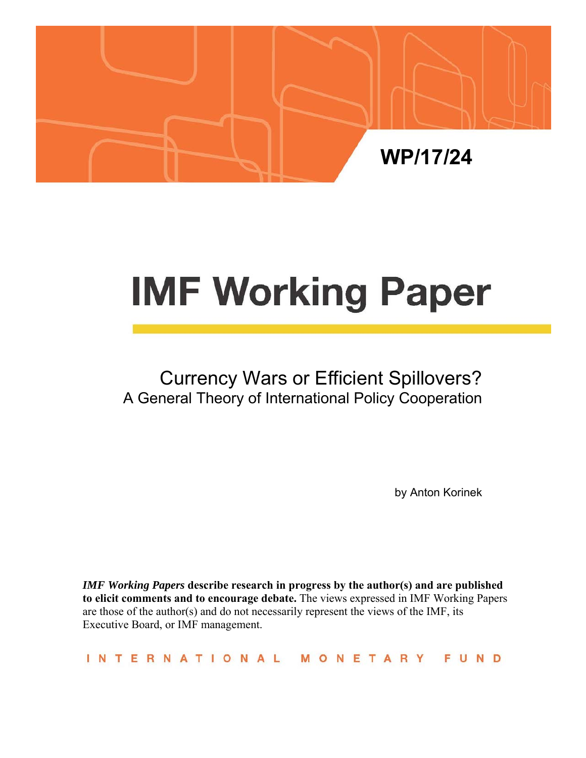

# **IMF Working Paper**

# Currency Wars or Efficient Spillovers? A General Theory of International Policy Cooperation

by Anton Korinek

*IMF Working Papers* **describe research in progress by the author(s) and are published to elicit comments and to encourage debate.** The views expressed in IMF Working Papers are those of the author(s) and do not necessarily represent the views of the IMF, its Executive Board, or IMF management.

INTERNATIONAL MONETARY **FUND**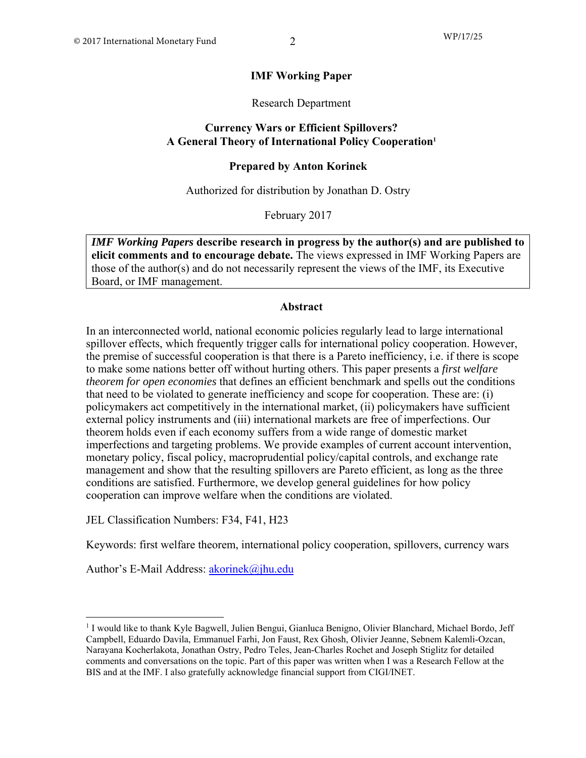# **IMF Working Paper**

Research Department

# **Currency Wars or Efficient Spillovers? A General Theory of International Policy Cooperation1**

# **Prepared by Anton Korinek**

Authorized for distribution by Jonathan D. Ostry

February 2017

*IMF Working Papers* **describe research in progress by the author(s) and are published to elicit comments and to encourage debate.** The views expressed in IMF Working Papers are those of the author(s) and do not necessarily represent the views of the IMF, its Executive Board, or IMF management.

#### **Abstract**

In an interconnected world, national economic policies regularly lead to large international spillover effects, which frequently trigger calls for international policy cooperation. However, the premise of successful cooperation is that there is a Pareto inefficiency, i.e. if there is scope to make some nations better off without hurting others. This paper presents a *first welfare theorem for open economies* that defines an efficient benchmark and spells out the conditions that need to be violated to generate inefficiency and scope for cooperation. These are: (i) policymakers act competitively in the international market, (ii) policymakers have sufficient external policy instruments and (iii) international markets are free of imperfections. Our theorem holds even if each economy suffers from a wide range of domestic market imperfections and targeting problems. We provide examples of current account intervention, monetary policy, fiscal policy, macroprudential policy/capital controls, and exchange rate management and show that the resulting spillovers are Pareto efficient, as long as the three conditions are satisfied. Furthermore, we develop general guidelines for how policy cooperation can improve welfare when the conditions are violated.

JEL Classification Numbers: F34, F41, H23

Keywords: first welfare theorem, international policy cooperation, spillovers, currency wars

Author's E-Mail Address: akorinek@jhu.edu

<sup>&</sup>lt;sup>1</sup> I would like to thank Kyle Bagwell, Julien Bengui, Gianluca Benigno, Olivier Blanchard, Michael Bordo, Jeff Campbell, Eduardo Davila, Emmanuel Farhi, Jon Faust, Rex Ghosh, Olivier Jeanne, Sebnem Kalemli-Ozcan, Narayana Kocherlakota, Jonathan Ostry, Pedro Teles, Jean-Charles Rochet and Joseph Stiglitz for detailed comments and conversations on the topic. Part of this paper was written when I was a Research Fellow at the BIS and at the IMF. I also gratefully acknowledge financial support from CIGI/INET.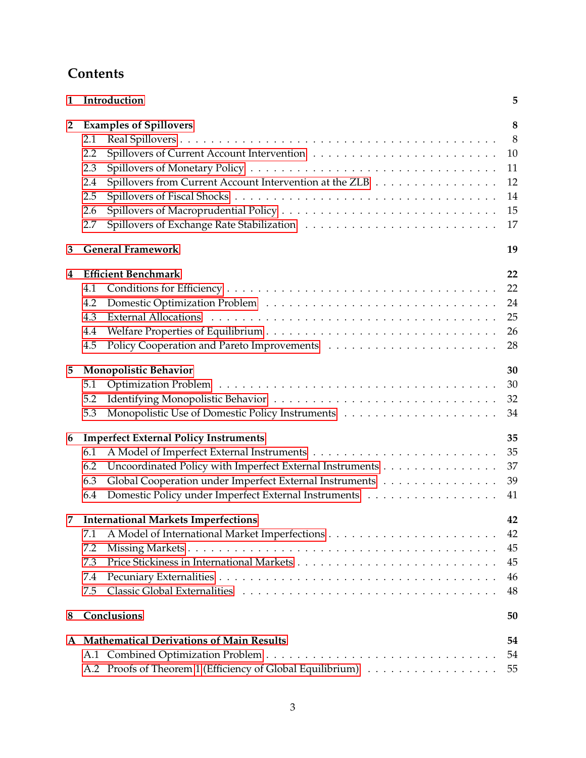# **Contents**

| $\mathbf{1}$   | Introduction                                                                                                                                                                                                                                            | 5                                          |
|----------------|---------------------------------------------------------------------------------------------------------------------------------------------------------------------------------------------------------------------------------------------------------|--------------------------------------------|
| $\overline{2}$ | <b>Examples of Spillovers</b><br>2.1<br>2.2<br>2.3<br>Spillovers from Current Account Intervention at the ZLB<br>2.4<br>2.5<br>2.6<br>2.7                                                                                                               | 8<br>8<br>10<br>11<br>12<br>14<br>15<br>17 |
| 3              | <b>General Framework</b>                                                                                                                                                                                                                                | 19                                         |
| 4              | <b>Efficient Benchmark</b><br>4.1<br>4.2<br>4.3<br>4.4<br>4.5                                                                                                                                                                                           | 22<br>22<br>24<br>25<br>26<br>28           |
| 5              | <b>Monopolistic Behavior</b><br>5.1<br>5.2<br>5.3                                                                                                                                                                                                       | 30<br>30<br>32<br>34                       |
| 6              | <b>Imperfect External Policy Instruments</b><br>6.1<br>Uncoordinated Policy with Imperfect External Instruments<br>6.2<br>Global Cooperation under Imperfect External Instruments<br>6.3<br>Domestic Policy under Imperfect External Instruments<br>6.4 | 35<br>35<br>37<br>39<br>41                 |
| 7              | <b>International Markets Imperfections</b><br>7.1<br>7.2<br>7.3<br>7.4<br>7.5                                                                                                                                                                           | 42<br>42<br>45<br>45<br>46<br>48           |
| 8              | Conclusions                                                                                                                                                                                                                                             | 50                                         |
|                | A Mathematical Derivations of Main Results<br>A.2 Proofs of Theorem 1 (Efficiency of Global Equilibrium)                                                                                                                                                | 54<br>54<br>55                             |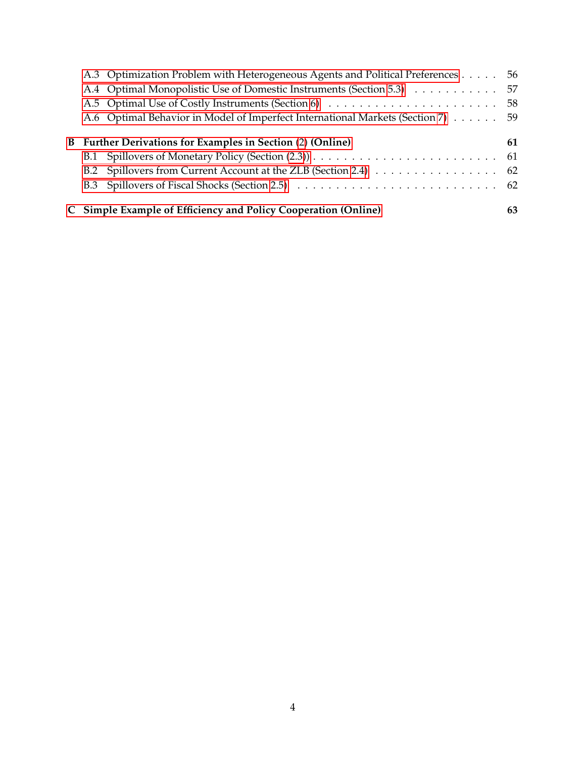|  | A.3 Optimization Problem with Heterogeneous Agents and Political Preferences    | 56 |
|--|---------------------------------------------------------------------------------|----|
|  | A.4 Optimal Monopolistic Use of Domestic Instruments (Section 5.3)              | 57 |
|  |                                                                                 |    |
|  | A.6 Optimal Behavior in Model of Imperfect International Markets (Section 7) 59 |    |
|  | <b>B</b> Further Derivations for Examples in Section (2) (Online)               | 61 |
|  |                                                                                 |    |
|  | B.2 Spillovers from Current Account at the ZLB (Section 2.4) 62                 |    |
|  |                                                                                 |    |
|  | C Simple Example of Efficiency and Policy Cooperation (Online)                  | 63 |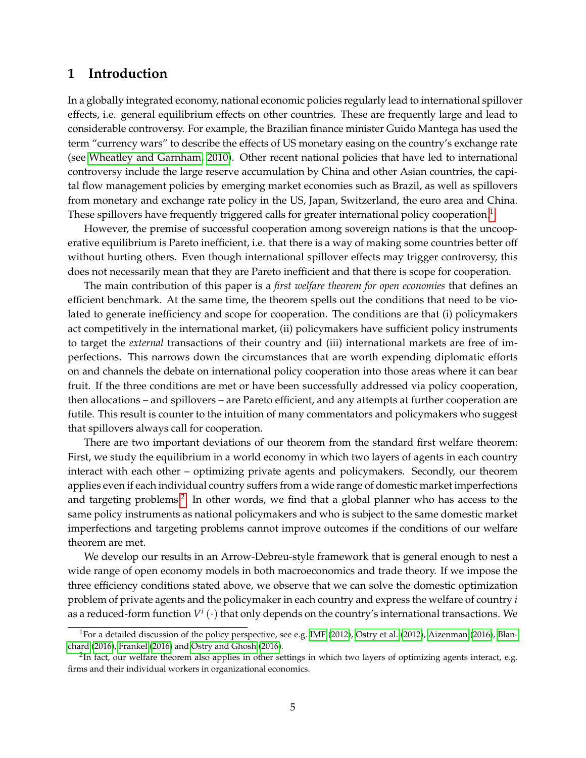# <span id="page-4-0"></span>**1 Introduction**

In a globally integrated economy, national economic policies regularly lead to international spillover effects, i.e. general equilibrium effects on other countries. These are frequently large and lead to considerable controversy. For example, the Brazilian finance minister Guido Mantega has used the term "currency wars" to describe the effects of US monetary easing on the country's exchange rate (see [Wheatley and Garnham, 2010\)](#page-52-0). Other recent national policies that have led to international controversy include the large reserve accumulation by China and other Asian countries, the capital flow management policies by emerging market economies such as Brazil, as well as spillovers from monetary and exchange rate policy in the US, Japan, Switzerland, the euro area and China. These spillovers have frequently triggered calls for greater international policy cooperation.<sup>[1](#page-4-1)</sup>

However, the premise of successful cooperation among sovereign nations is that the uncooperative equilibrium is Pareto inefficient, i.e. that there is a way of making some countries better off without hurting others. Even though international spillover effects may trigger controversy, this does not necessarily mean that they are Pareto inefficient and that there is scope for cooperation.

The main contribution of this paper is a *first welfare theorem for open economies* that defines an efficient benchmark. At the same time, the theorem spells out the conditions that need to be violated to generate inefficiency and scope for cooperation. The conditions are that (i) policymakers act competitively in the international market, (ii) policymakers have sufficient policy instruments to target the *external* transactions of their country and (iii) international markets are free of imperfections. This narrows down the circumstances that are worth expending diplomatic efforts on and channels the debate on international policy cooperation into those areas where it can bear fruit. If the three conditions are met or have been successfully addressed via policy cooperation, then allocations – and spillovers – are Pareto efficient, and any attempts at further cooperation are futile. This result is counter to the intuition of many commentators and policymakers who suggest that spillovers always call for cooperation.

There are two important deviations of our theorem from the standard first welfare theorem: First, we study the equilibrium in a world economy in which two layers of agents in each country interact with each other – optimizing private agents and policymakers. Secondly, our theorem applies even if each individual country suffers from a wide range of domestic market imperfections and targeting problems.<sup>[2](#page-4-2)</sup> In other words, we find that a global planner who has access to the same policy instruments as national policymakers and who is subject to the same domestic market imperfections and targeting problems cannot improve outcomes if the conditions of our welfare theorem are met.

We develop our results in an Arrow-Debreu-style framework that is general enough to nest a wide range of open economy models in both macroeconomics and trade theory. If we impose the three efficiency conditions stated above, we observe that we can solve the domestic optimization problem of private agents and the policymaker in each country and express the welfare of country *i* as a reduced-form function  $V^i\left(\cdot\right)$  that only depends on the country's international transactions. We

<span id="page-4-1"></span><sup>&</sup>lt;sup>1</sup>For a detailed discussion of the policy perspective, see e.g. [IMF](#page-51-0) [\(2012\)](#page-52-1), [Ostry et al.](#page-52-1) (2012), [Aizenman](#page-50-0) [\(2016\)](#page-50-0), [Blan](#page-50-1)[chard](#page-50-1) [\(2016\)](#page-50-1), [Frankel](#page-51-1) [\(2016\)](#page-51-1) and [Ostry and Ghosh](#page-52-2) [\(2016\)](#page-52-2).

<span id="page-4-2"></span> $^{2}$ In fact, our welfare theorem also applies in other settings in which two layers of optimizing agents interact, e.g. firms and their individual workers in organizational economics.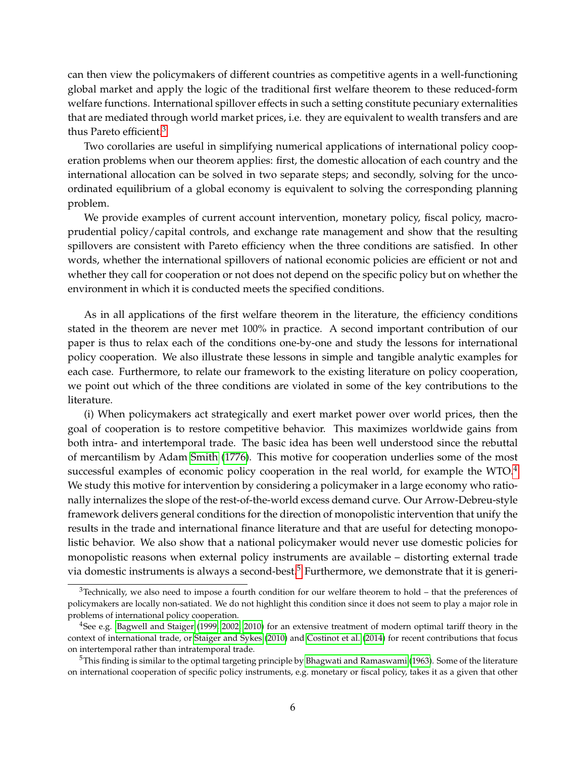can then view the policymakers of different countries as competitive agents in a well-functioning global market and apply the logic of the traditional first welfare theorem to these reduced-form welfare functions. International spillover effects in such a setting constitute pecuniary externalities that are mediated through world market prices, i.e. they are equivalent to wealth transfers and are thus Pareto efficient.[3](#page-5-0)

Two corollaries are useful in simplifying numerical applications of international policy cooperation problems when our theorem applies: first, the domestic allocation of each country and the international allocation can be solved in two separate steps; and secondly, solving for the uncoordinated equilibrium of a global economy is equivalent to solving the corresponding planning problem.

We provide examples of current account intervention, monetary policy, fiscal policy, macroprudential policy/capital controls, and exchange rate management and show that the resulting spillovers are consistent with Pareto efficiency when the three conditions are satisfied. In other words, whether the international spillovers of national economic policies are efficient or not and whether they call for cooperation or not does not depend on the specific policy but on whether the environment in which it is conducted meets the specified conditions.

As in all applications of the first welfare theorem in the literature, the efficiency conditions stated in the theorem are never met 100% in practice. A second important contribution of our paper is thus to relax each of the conditions one-by-one and study the lessons for international policy cooperation. We also illustrate these lessons in simple and tangible analytic examples for each case. Furthermore, to relate our framework to the existing literature on policy cooperation, we point out which of the three conditions are violated in some of the key contributions to the literature.

(i) When policymakers act strategically and exert market power over world prices, then the goal of cooperation is to restore competitive behavior. This maximizes worldwide gains from both intra- and intertemporal trade. The basic idea has been well understood since the rebuttal of mercantilism by Adam [Smith](#page-52-3) [\(1776\)](#page-52-3). This motive for cooperation underlies some of the most successful examples of economic policy cooperation in the real world, for example the WTO.<sup>[4](#page-5-1)</sup> We study this motive for intervention by considering a policymaker in a large economy who rationally internalizes the slope of the rest-of-the-world excess demand curve. Our Arrow-Debreu-style framework delivers general conditions for the direction of monopolistic intervention that unify the results in the trade and international finance literature and that are useful for detecting monopolistic behavior. We also show that a national policymaker would never use domestic policies for monopolistic reasons when external policy instruments are available – distorting external trade via domestic instruments is always a second-best.<sup>[5](#page-5-2)</sup> Furthermore, we demonstrate that it is generi-

<span id="page-5-0"></span> $3$ Technically, we also need to impose a fourth condition for our welfare theorem to hold – that the preferences of policymakers are locally non-satiated. We do not highlight this condition since it does not seem to play a major role in problems of international policy cooperation.

<span id="page-5-1"></span><sup>4</sup>See e.g. [Bagwell and Staiger](#page-50-2) [\(1999,](#page-50-2) [2002,](#page-50-3) [2010\)](#page-50-4) for an extensive treatment of modern optimal tariff theory in the context of international trade, or [Staiger and Sykes](#page-52-4) [\(2010\)](#page-52-4) and [Costinot et al.](#page-51-2) [\(2014\)](#page-51-2) for recent contributions that focus on intertemporal rather than intratemporal trade.

<span id="page-5-2"></span> $5$ This finding is similar to the optimal targeting principle by [Bhagwati and Ramaswami](#page-50-5) [\(1963\)](#page-50-5). Some of the literature on international cooperation of specific policy instruments, e.g. monetary or fiscal policy, takes it as a given that other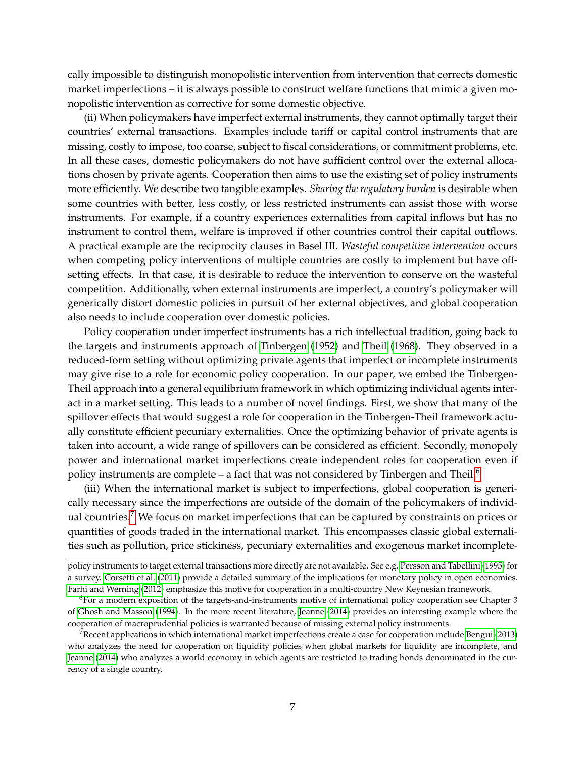cally impossible to distinguish monopolistic intervention from intervention that corrects domestic market imperfections – it is always possible to construct welfare functions that mimic a given monopolistic intervention as corrective for some domestic objective.

(ii) When policymakers have imperfect external instruments, they cannot optimally target their countries' external transactions. Examples include tariff or capital control instruments that are missing, costly to impose, too coarse, subject to fiscal considerations, or commitment problems, etc. In all these cases, domestic policymakers do not have sufficient control over the external allocations chosen by private agents. Cooperation then aims to use the existing set of policy instruments more efficiently. We describe two tangible examples. *Sharing the regulatory burden* is desirable when some countries with better, less costly, or less restricted instruments can assist those with worse instruments. For example, if a country experiences externalities from capital inflows but has no instrument to control them, welfare is improved if other countries control their capital outflows. A practical example are the reciprocity clauses in Basel III. *Wasteful competitive intervention* occurs when competing policy interventions of multiple countries are costly to implement but have offsetting effects. In that case, it is desirable to reduce the intervention to conserve on the wasteful competition. Additionally, when external instruments are imperfect, a country's policymaker will generically distort domestic policies in pursuit of her external objectives, and global cooperation also needs to include cooperation over domestic policies.

Policy cooperation under imperfect instruments has a rich intellectual tradition, going back to the targets and instruments approach of [Tinbergen](#page-52-5) [\(1952\)](#page-52-5) and [Theil](#page-52-6) [\(1968\)](#page-52-6). They observed in a reduced-form setting without optimizing private agents that imperfect or incomplete instruments may give rise to a role for economic policy cooperation. In our paper, we embed the Tinbergen-Theil approach into a general equilibrium framework in which optimizing individual agents interact in a market setting. This leads to a number of novel findings. First, we show that many of the spillover effects that would suggest a role for cooperation in the Tinbergen-Theil framework actually constitute efficient pecuniary externalities. Once the optimizing behavior of private agents is taken into account, a wide range of spillovers can be considered as efficient. Secondly, monopoly power and international market imperfections create independent roles for cooperation even if policy instruments are complete – a fact that was not considered by Tinbergen and Theil.<sup>[6](#page-6-0)</sup>

(iii) When the international market is subject to imperfections, global cooperation is generically necessary since the imperfections are outside of the domain of the policymakers of individ-ual countries.<sup>[7](#page-6-1)</sup> We focus on market imperfections that can be captured by constraints on prices or quantities of goods traded in the international market. This encompasses classic global externalities such as pollution, price stickiness, pecuniary externalities and exogenous market incomplete-

policy instruments to target external transactions more directly are not available. See e.g. [Persson and Tabellini](#page-52-7) [\(1995\)](#page-52-7) for a survey. [Corsetti et al.](#page-50-6) [\(2011\)](#page-50-6) provide a detailed summary of the implications for monetary policy in open economies. [Farhi and Werning](#page-51-3) [\(2012\)](#page-51-3) emphasize this motive for cooperation in a multi-country New Keynesian framework.

<span id="page-6-0"></span><sup>&</sup>lt;sup>6</sup>For a modern exposition of the targets-and-instruments motive of international policy cooperation see Chapter 3 of [Ghosh and Masson](#page-51-4) [\(1994\)](#page-51-4). In the more recent literature, [Jeanne](#page-51-5) [\(2014\)](#page-51-5) provides an interesting example where the cooperation of macroprudential policies is warranted because of missing external policy instruments.

<span id="page-6-1"></span> $7$ Recent applications in which international market imperfections create a case for cooperation include [Bengui](#page-50-7) [\(2013\)](#page-50-7) who analyzes the need for cooperation on liquidity policies when global markets for liquidity are incomplete, and [Jeanne](#page-51-5) [\(2014\)](#page-51-5) who analyzes a world economy in which agents are restricted to trading bonds denominated in the currency of a single country.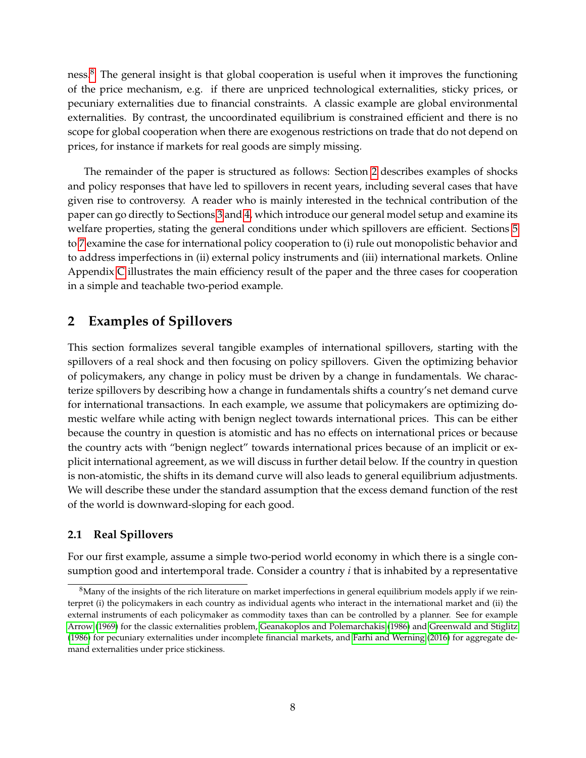ness.[8](#page-7-2) The general insight is that global cooperation is useful when it improves the functioning of the price mechanism, e.g. if there are unpriced technological externalities, sticky prices, or pecuniary externalities due to financial constraints. A classic example are global environmental externalities. By contrast, the uncoordinated equilibrium is constrained efficient and there is no scope for global cooperation when there are exogenous restrictions on trade that do not depend on prices, for instance if markets for real goods are simply missing.

The remainder of the paper is structured as follows: Section [2](#page-7-0) describes examples of shocks and policy responses that have led to spillovers in recent years, including several cases that have given rise to controversy. A reader who is mainly interested in the technical contribution of the paper can go directly to Sections [3](#page-18-0) and [4,](#page-21-0) which introduce our general model setup and examine its welfare properties, stating the general conditions under which spillovers are efficient. Sections [5](#page-29-0) to [7](#page-41-0) examine the case for international policy cooperation to (i) rule out monopolistic behavior and to address imperfections in (ii) external policy instruments and (iii) international markets. Online Appendix [C](#page-62-0) illustrates the main efficiency result of the paper and the three cases for cooperation in a simple and teachable two-period example.

# <span id="page-7-0"></span>**2 Examples of Spillovers**

This section formalizes several tangible examples of international spillovers, starting with the spillovers of a real shock and then focusing on policy spillovers. Given the optimizing behavior of policymakers, any change in policy must be driven by a change in fundamentals. We characterize spillovers by describing how a change in fundamentals shifts a country's net demand curve for international transactions. In each example, we assume that policymakers are optimizing domestic welfare while acting with benign neglect towards international prices. This can be either because the country in question is atomistic and has no effects on international prices or because the country acts with "benign neglect" towards international prices because of an implicit or explicit international agreement, as we will discuss in further detail below. If the country in question is non-atomistic, the shifts in its demand curve will also leads to general equilibrium adjustments. We will describe these under the standard assumption that the excess demand function of the rest of the world is downward-sloping for each good.

# <span id="page-7-1"></span>**2.1 Real Spillovers**

For our first example, assume a simple two-period world economy in which there is a single consumption good and intertemporal trade. Consider a country *i* that is inhabited by a representative

<span id="page-7-2"></span> ${}^{8}$ Many of the insights of the rich literature on market imperfections in general equilibrium models apply if we reinterpret (i) the policymakers in each country as individual agents who interact in the international market and (ii) the external instruments of each policymaker as commodity taxes than can be controlled by a planner. See for example [Arrow](#page-50-8) [\(1969\)](#page-50-8) for the classic externalities problem, [Geanakoplos and Polemarchakis](#page-51-6) [\(1986\)](#page-51-6) and [Greenwald and Stiglitz](#page-51-7) [\(1986\)](#page-51-7) for pecuniary externalities under incomplete financial markets, and [Farhi and Werning](#page-51-8) [\(2016\)](#page-51-8) for aggregate demand externalities under price stickiness.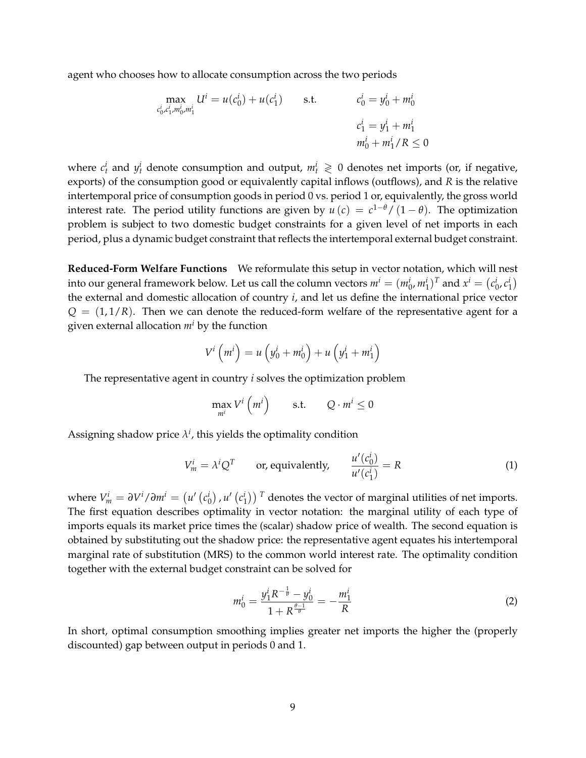agent who chooses how to allocate consumption across the two periods

$$
\max_{c_0^i, c_1^i, m_0^i, m_1^i} U^i = u(c_0^i) + u(c_1^i) \qquad \text{s.t.} \qquad \begin{aligned} c_0^i &= y_0^i + m_0^i \\ c_1^i &= y_1^i + m_1^i \\ m_0^i + m_1^i / R &\le 0 \end{aligned}
$$

where  $c_t^i$  and  $y_t^i$  denote consumption and output,  $m_t^i \geq 0$  denotes net imports (or, if negative, exports) of the consumption good or equivalently capital inflows (outflows), and *R* is the relative intertemporal price of consumption goods in period 0 vs. period 1 or, equivalently, the gross world interest rate. The period utility functions are given by  $u(c) = c^{1-\theta}/(1-\theta)$ . The optimization problem is subject to two domestic budget constraints for a given level of net imports in each period, plus a dynamic budget constraint that reflects the intertemporal external budget constraint.

**Reduced-Form Welfare Functions** We reformulate this setup in vector notation, which will nest into our general framework below. Let us call the column vectors  $m^i = (m_0^i, m_1^i)^T$  and  $x^i = (c_0^i, c_1^i)$ the external and domestic allocation of country *i*, and let us define the international price vector  $Q = (1, 1/R)$ . Then we can denote the reduced-form welfare of the representative agent for a given external allocation *m<sup>i</sup>* by the function

$$
V^i\left(m^i\right) = u\left(y_0^i + m_0^i\right) + u\left(y_1^i + m_1^i\right)
$$

The representative agent in country *i* solves the optimization problem

$$
\max_{m^i} V^i \left( m^i \right) \qquad \text{s.t.} \qquad Q \cdot m^i \le 0
$$

Assigning shadow price  $\lambda^i$ , this yields the optimality condition

$$
V_m^i = \lambda^i Q^T \qquad \text{or, equivalently,} \qquad \frac{u'(c_0^i)}{u'(c_1^i)} = R \tag{1}
$$

where  $V_m^i = \frac{\partial V^i}{\partial m^i} = \left(u'\left(c_0^i\right), u'\left(c_1^i\right)\right)^T$  denotes the vector of marginal utilities of net imports. The first equation describes optimality in vector notation: the marginal utility of each type of imports equals its market price times the (scalar) shadow price of wealth. The second equation is obtained by substituting out the shadow price: the representative agent equates his intertemporal marginal rate of substitution (MRS) to the common world interest rate. The optimality condition together with the external budget constraint can be solved for

$$
m_0^i = \frac{y_1^i R^{-\frac{1}{\theta}} - y_0^i}{1 + R^{\frac{\theta - 1}{\theta}}} = -\frac{m_1^i}{R}
$$
 (2)

In short, optimal consumption smoothing implies greater net imports the higher the (properly discounted) gap between output in periods 0 and 1.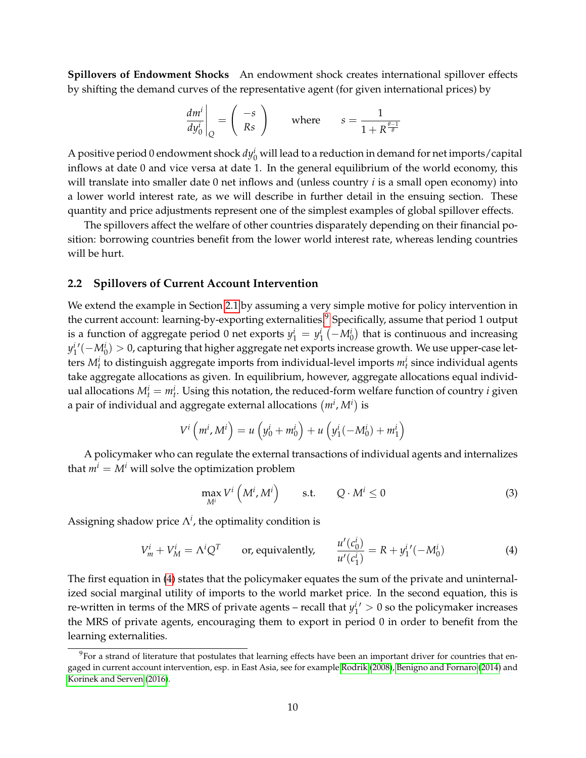**Spillovers of Endowment Shocks** An endowment shock creates international spillover effects by shifting the demand curves of the representative agent (for given international prices) by

$$
\left. \frac{dm^i}{dy_0^i} \right|_Q = \left( \begin{array}{c} -s \\ Rs \end{array} \right) \qquad \text{where} \qquad s = \frac{1}{1 + R^{\frac{\theta - 1}{\theta}}}
$$

A positive period 0 endowment shock  $dy^i_0$  will lead to a reduction in demand for net imports/capital inflows at date 0 and vice versa at date 1. In the general equilibrium of the world economy, this will translate into smaller date 0 net inflows and (unless country *i* is a small open economy) into a lower world interest rate, as we will describe in further detail in the ensuing section. These quantity and price adjustments represent one of the simplest examples of global spillover effects.

The spillovers affect the welfare of other countries disparately depending on their financial position: borrowing countries benefit from the lower world interest rate, whereas lending countries will be hurt.

#### <span id="page-9-0"></span>**2.2 Spillovers of Current Account Intervention**

We extend the example in Section [2.1](#page-7-1) by assuming a very simple motive for policy intervention in the current account: learning-by-exporting externalities.<sup>[9](#page-9-1)</sup> Specifically, assume that period 1 output is a function of aggregate period 0 net exports  $y_1^i = y_1^i$   $\left(-M_0^i\right)$  that is continuous and increasing *y<sup>i</sup>'* (−*Mi*<sub>0</sub>) > 0, capturing that higher aggregate net exports increase growth. We use upper-case letters  $M_t^i$  to distinguish aggregate imports from individual-level imports  $m_t^i$  since individual agents take aggregate allocations as given. In equilibrium, however, aggregate allocations equal individual allocations  $M_t^i = m_t^i$ . Using this notation, the reduced-form welfare function of country *i* given a pair of individual and aggregate external allocations  $(m^i, M^i)$  is

$$
V^{i} (m^{i}, M^{i}) = u (y_{0}^{i} + m_{0}^{i}) + u (y_{1}^{i}(-M_{0}^{i}) + m_{1}^{i})
$$

A policymaker who can regulate the external transactions of individual agents and internalizes that  $m^i = M^i$  will solve the optimization problem

$$
\max_{M^i} V^i \left( M^i, M^i \right) \qquad \text{s.t.} \qquad Q \cdot M^i \le 0 \tag{3}
$$

Assigning shadow price  $\Lambda^i$ , the optimality condition is

<span id="page-9-2"></span>
$$
V_m^i + V_M^i = \Lambda^i Q^T \qquad \text{or, equivalently,} \qquad \frac{u'(c_0^i)}{u'(c_1^i)} = R + y_1^{i'}(-M_0^i)
$$
 (4)

The first equation in [\(4\)](#page-9-2) states that the policymaker equates the sum of the private and uninternalized social marginal utility of imports to the world market price. In the second equation, this is re-written in terms of the MRS of private agents – recall that  $y_1^{i'} > 0$  so the policymaker increases the MRS of private agents, encouraging them to export in period 0 in order to benefit from the learning externalities.

<span id="page-9-1"></span><sup>&</sup>lt;sup>9</sup>For a strand of literature that postulates that learning effects have been an important driver for countries that engaged in current account intervention, esp. in East Asia, see for example [Rodrik](#page-52-8) [\(2008\)](#page-52-8), [Benigno and Fornaro](#page-50-9) [\(2014\)](#page-50-9) and [Korinek and Serven](#page-52-9) [\(2016\)](#page-52-9).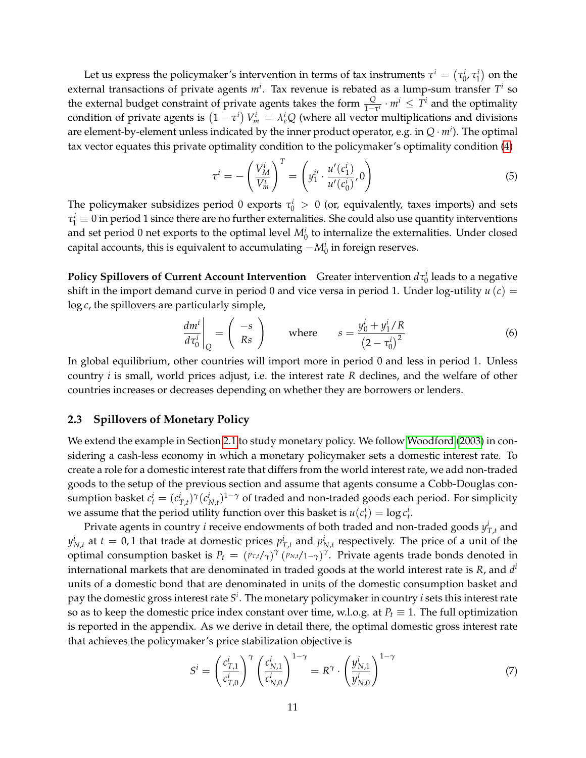Let us express the policymaker's intervention in terms of tax instruments  $\tau^i = (\tau^i_0, \tau^i_1)$  on the external transactions of private agents  $m^i$ . Tax revenue is rebated as a lump-sum transfer  $T^i$  so the external budget constraint of private agents takes the form  $\frac{Q}{1-\tau^i} \cdot m^i \leq T^i$  and the optimality condition of private agents is  $(1 - \tau^i) V_m^i = \lambda_e^i Q$  (where all vector multiplications and divisions are element-by-element unless indicated by the inner product operator, e.g. in *Q* · *m<sup>i</sup>* ). The optimal tax vector equates this private optimality condition to the policymaker's optimality condition [\(4\)](#page-9-2)

<span id="page-10-3"></span>
$$
\tau^{i} = -\left(\frac{V_{M}^{i}}{V_{m}^{i}}\right)^{T} = \left(y_{1}^{i'} \cdot \frac{u'(c_{1}^{i})}{u'(c_{0}^{i})}, 0\right)
$$
(5)

The policymaker subsidizes period 0 exports  $\tau_0^i > 0$  (or, equivalently, taxes imports) and sets  $\tau_1^i \equiv 0$  in period 1 since there are no further externalities. She could also use quantity interventions and set period 0 net exports to the optimal level  $M_0^i$  to internalize the externalities. Under closed capital accounts, this is equivalent to accumulating  $-M_0^i$  in foreign reserves.

**Policy Spillovers of Current Account Intervention** Greater intervention  $d\tau_0^i$  leads to a negative shift in the import demand curve in period 0 and vice versa in period 1. Under log-utility  $u(c)$  = log *c*, the spillovers are particularly simple,

<span id="page-10-2"></span>
$$
\left. \frac{dm^i}{d\tau_0^i} \right|_Q = \left( \begin{array}{c} -s \\ Rs \end{array} \right) \qquad \text{where} \qquad s = \frac{y_0^i + y_1^i / R}{\left(2 - \tau_0^i\right)^2} \tag{6}
$$

In global equilibrium, other countries will import more in period 0 and less in period 1. Unless country *i* is small, world prices adjust, i.e. the interest rate *R* declines, and the welfare of other countries increases or decreases depending on whether they are borrowers or lenders.

#### <span id="page-10-0"></span>**2.3 Spillovers of Monetary Policy**

We extend the example in Section [2.1](#page-7-1) to study monetary policy. We follow [Woodford](#page-52-10) [\(2003\)](#page-52-10) in considering a cash-less economy in which a monetary policymaker sets a domestic interest rate. To create a role for a domestic interest rate that differs from the world interest rate, we add non-traded goods to the setup of the previous section and assume that agents consume a Cobb-Douglas consumption basket  $c_t^i = (c_{T,t}^i)^\gamma (c_{N,t}^i)^{1-\gamma}$  of traded and non-traded goods each period. For simplicity we assume that the period utility function over this basket is  $u(c_t^i) = \log c_t^i$ .

Private agents in country *i* receive endowments of both traded and non-traded goods  $y^i_{T,t}$  and  $y_{N,t}^i$  at  $t = 0$ , 1 that trade at domestic prices  $p_{T,t}^i$  and  $p_{N,t}^i$  respectively. The price of a unit of the optimal consumption basket is  $P_t = (p_{T,t}/\gamma)^{\gamma} (p_{N,t}/1-\gamma)^{\gamma}$ . Private agents trade bonds denoted in international markets that are denominated in traded goods at the world interest rate is *R*, and *d i* units of a domestic bond that are denominated in units of the domestic consumption basket and pay the domestic gross interest rate *S i* . The monetary policymaker in country *i* sets this interest rate so as to keep the domestic price index constant over time, w.l.o.g. at  $P_t \equiv 1$ . The full optimization is reported in the appendix. As we derive in detail there, the optimal domestic gross interest rate that achieves the policymaker's price stabilization objective is

<span id="page-10-1"></span>
$$
S^i = \left(\frac{c_{T,1}^i}{c_{T,0}^i}\right)^\gamma \left(\frac{c_{N,1}^i}{c_{N,0}^i}\right)^{1-\gamma} = R^\gamma \cdot \left(\frac{y_{N,1}^i}{y_{N,0}^i}\right)^{1-\gamma} \tag{7}
$$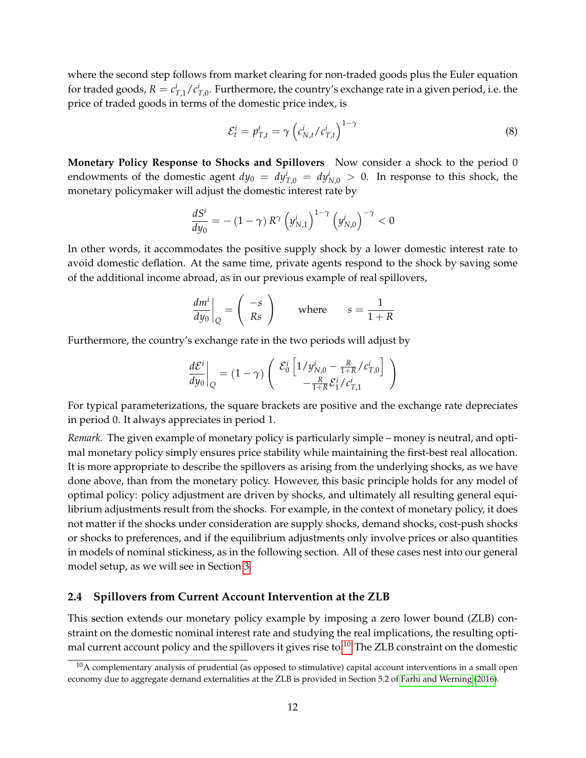where the second step follows from market clearing for non-traded goods plus the Euler equation for traded goods,  $R = c_{T,1}^i/c_{T,0}^i$ . Furthermore, the country's exchange rate in a given period, i.e. the price of traded goods in terms of the domestic price index, is

<span id="page-11-2"></span>
$$
\mathcal{E}_t^i = p_{T,t}^i = \gamma \left( c_{N,t}^i / c_{T,t}^i \right)^{1-\gamma} \tag{8}
$$

**Monetary Policy Response to Shocks and Spillovers** Now consider a shock to the period 0 endowments of the domestic agent  $dy_0 = dy_{T,0}^i = dy_{N,0}^i > 0$ . In response to this shock, the monetary policymaker will adjust the domestic interest rate by

$$
\frac{dS^{i}}{dy_{0}} = - (1 - \gamma) R^{\gamma} \left( y_{N,1}^{i} \right)^{1 - \gamma} \left( y_{N,0}^{i} \right)^{-\gamma} < 0
$$

In other words, it accommodates the positive supply shock by a lower domestic interest rate to avoid domestic deflation. At the same time, private agents respond to the shock by saving some of the additional income abroad, as in our previous example of real spillovers,

$$
\left. \frac{dm^i}{dy_0} \right|_Q = \left( \begin{array}{c} -s \\ Rs \end{array} \right) \qquad \text{where} \qquad s = \frac{1}{1+R}
$$

Furthermore, the country's exchange rate in the two periods will adjust by

$$
\left. \frac{d\mathcal{E}^i}{dy_0} \right|_Q = (1 - \gamma) \left( \begin{array}{c} \mathcal{E}_0^i \left[ 1/y_{N,0}^i - \frac{R}{1+R}/c_{T,0}^i \right] \\ -\frac{R}{1+R} \mathcal{E}_1^i/c_{T,1}^i \end{array} \right)
$$

For typical parameterizations, the square brackets are positive and the exchange rate depreciates in period 0. It always appreciates in period 1.

*Remark.* The given example of monetary policy is particularly simple – money is neutral, and optimal monetary policy simply ensures price stability while maintaining the first-best real allocation. It is more appropriate to describe the spillovers as arising from the underlying shocks, as we have done above, than from the monetary policy. However, this basic principle holds for any model of optimal policy: policy adjustment are driven by shocks, and ultimately all resulting general equilibrium adjustments result from the shocks. For example, in the context of monetary policy, it does not matter if the shocks under consideration are supply shocks, demand shocks, cost-push shocks or shocks to preferences, and if the equilibrium adjustments only involve prices or also quantities in models of nominal stickiness, as in the following section. All of these cases nest into our general model setup, as we will see in Section [3.](#page-18-0)

#### <span id="page-11-0"></span>**2.4 Spillovers from Current Account Intervention at the ZLB**

This section extends our monetary policy example by imposing a zero lower bound (ZLB) constraint on the domestic nominal interest rate and studying the real implications, the resulting opti-mal current account policy and the spillovers it gives rise to.<sup>[10](#page-11-1)</sup> The ZLB constraint on the domestic

<span id="page-11-1"></span> $10A$  complementary analysis of prudential (as opposed to stimulative) capital account interventions in a small open economy due to aggregate demand externalities at the ZLB is provided in Section 5.2 of [Farhi and Werning](#page-51-8) [\(2016\)](#page-51-8).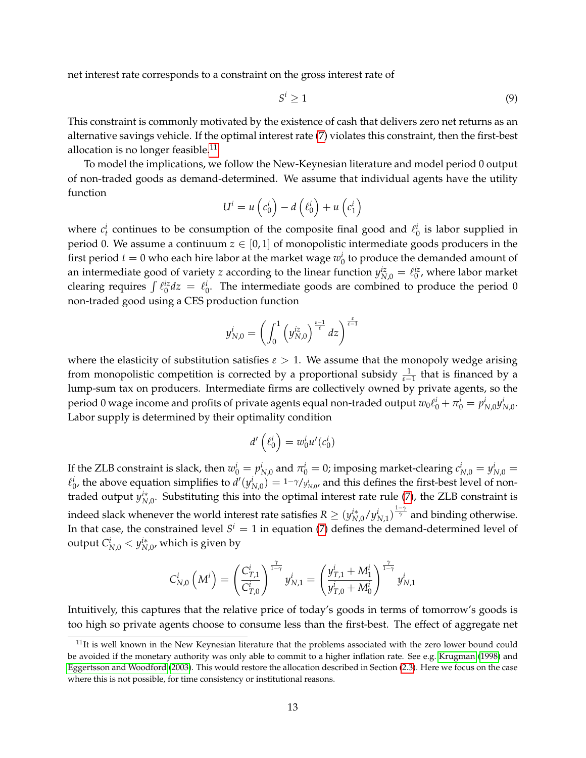net interest rate corresponds to a constraint on the gross interest rate of

<span id="page-12-1"></span>
$$
S^i \ge 1 \tag{9}
$$

This constraint is commonly motivated by the existence of cash that delivers zero net returns as an alternative savings vehicle. If the optimal interest rate [\(7\)](#page-10-1) violates this constraint, then the first-best allocation is no longer feasible.<sup>[11](#page-12-0)</sup>

To model the implications, we follow the New-Keynesian literature and model period 0 output of non-traded goods as demand-determined. We assume that individual agents have the utility function

$$
U^i = u\left(c_0^i\right) - d\left(\ell_0^i\right) + u\left(c_1^i\right)
$$

where  $c_t^i$  continues to be consumption of the composite final good and  $\ell_0^i$  is labor supplied in period 0. We assume a continuum  $z \in [0, 1]$  of monopolistic intermediate goods producers in the first period  $t = 0$  who each hire labor at the market wage  $w_0^i$  to produce the demanded amount of an intermediate good of variety *z* according to the linear function  $y_{N,0}^{iz} = \ell_0^{iz}$ , where labor market clearing requires  $\int \ell_0^{iz} dz = \ell_0^i$ . The intermediate goods are combined to produce the period 0 non-traded good using a CES production function

$$
y_{N,0}^i = \left(\int_0^1 \left(y_{N,0}^{iz}\right)^{\frac{\varepsilon-1}{\varepsilon}} dz\right)^{\frac{\varepsilon}{\varepsilon-1}}
$$

where the elasticity of substitution satisfies  $\varepsilon > 1$ . We assume that the monopoly wedge arising from monopolistic competition is corrected by a proportional subsidy  $\frac{1}{\varepsilon-1}$  that is financed by a lump-sum tax on producers. Intermediate firms are collectively owned by private agents, so the period 0 wage income and profits of private agents equal non-traded output  $w_0\ell^i_0+\pi^i_0=p^i_{N,0}y^i_{N,0}$ . Labor supply is determined by their optimality condition

$$
d'\left(\ell_0^i\right) = w_0^i u'(c_0^i)
$$

If the ZLB constraint is slack, then  $w_0^i = p_{N,0}^i$  and  $\pi_0^i = 0$ ; imposing market-clearing  $c_{N,0}^i = y_{N,0}^i = 0$  $\ell_0^i$ , the above equation simplifies to  $d'(y_{N,0}^i) = 1-\gamma/y_{N,0}^i$ , and this defines the first-best level of nontraded output  $y_{N,0}^i$ . Substituting this into the optimal interest rate rule [\(7\)](#page-10-1), the ZLB constraint is indeed slack whenever the world interest rate satisfies  $R\geq (y^{i*}_{N,0}/y^i_{N,1})^{\frac{1-\gamma}{\gamma}}$  and binding otherwise. In that case, the constrained level  $S^i = 1$  in equation [\(7\)](#page-10-1) defines the demand-determined level of output  $C_{N,0}^i < y_{N,0}^{i*}$ , which is given by

$$
C_{N,0}^i\left(M^i\right) = \left(\frac{C_{T,1}^i}{C_{T,0}^i}\right)^{\frac{\gamma}{1-\gamma}}y_{N,1}^i = \left(\frac{y_{T,1}^i + M_1^i}{y_{T,0}^i + M_0^i}\right)^{\frac{\gamma}{1-\gamma}}y_{N,1}^i
$$

Intuitively, this captures that the relative price of today's goods in terms of tomorrow's goods is too high so private agents choose to consume less than the first-best. The effect of aggregate net

<span id="page-12-0"></span> $11$ It is well known in the New Keynesian literature that the problems associated with the zero lower bound could be avoided if the monetary authority was only able to commit to a higher inflation rate. See e.g. [Krugman](#page-52-11) [\(1998\)](#page-52-11) and [Eggertsson and Woodford](#page-51-9) [\(2003\)](#page-51-9). This would restore the allocation described in Section [\(2.3\)](#page-10-0). Here we focus on the case where this is not possible, for time consistency or institutional reasons.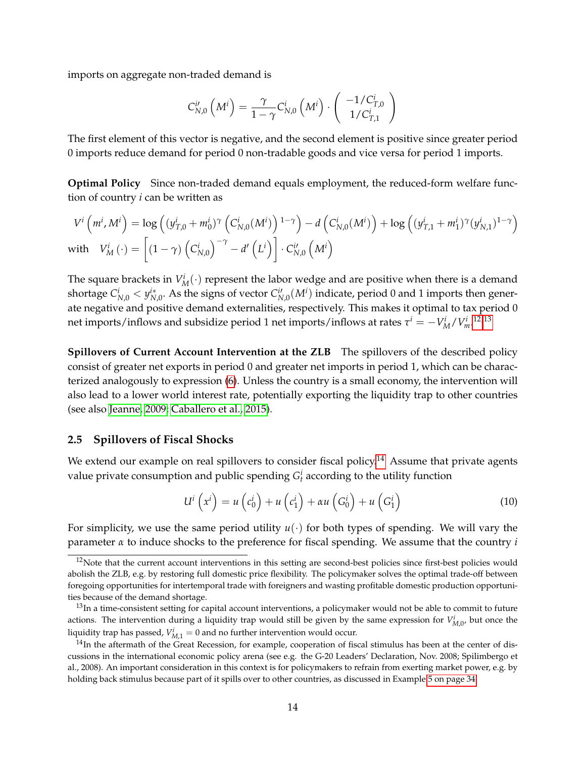imports on aggregate non-traded demand is

$$
C_{N,0}^{i\prime}\left(M^{i}\right)=\frac{\gamma}{1-\gamma}C_{N,0}^{i}\left(M^{i}\right)\cdot\left(\begin{array}{c} -1/C_{T,0}^{i}\\1/C_{T,1}^{i} \end{array}\right)
$$

The first element of this vector is negative, and the second element is positive since greater period 0 imports reduce demand for period 0 non-tradable goods and vice versa for period 1 imports.

**Optimal Policy** Since non-traded demand equals employment, the reduced-form welfare function of country *i* can be written as

$$
V^{i}\left(m^{i}, M^{i}\right) = \log\left((y_{T,0}^{i} + m_{0}^{i})^{\gamma}\left(C_{N,0}^{i}(M^{i})\right)^{1-\gamma}\right) - d\left(C_{N,0}^{i}(M^{i})\right) + \log\left((y_{T,1}^{i} + m_{1}^{i})^{\gamma}(y_{N,1}^{i})^{1-\gamma}\right)
$$
  
with 
$$
V_{M}^{i}(\cdot) = \left[(1-\gamma)\left(C_{N,0}^{i}\right)^{-\gamma} - d'\left(L^{i}\right)\right] \cdot C_{N,0}^{i}\left(M^{i}\right)
$$

The square brackets in  $V_M^i(\cdot)$  represent the labor wedge and are positive when there is a demand shortage  $C_{N,0}^i < y_{N,0}^{i*}$ . As the signs of vector  $C_{N,0}^{i'}(M^i)$  indicate, period 0 and 1 imports then generate negative and positive demand externalities, respectively. This makes it optimal to tax period 0 net imports/inflows and subsidize period 1 net imports/inflows at rates  $\tau^i = -V_M^i/V_m^{i-12,13}$  $\tau^i = -V_M^i/V_m^{i-12,13}$  $\tau^i = -V_M^i/V_m^{i-12,13}$  $\tau^i = -V_M^i/V_m^{i-12,13}$ 

**Spillovers of Current Account Intervention at the ZLB** The spillovers of the described policy consist of greater net exports in period 0 and greater net imports in period 1, which can be characterized analogously to expression [\(6\)](#page-10-2). Unless the country is a small economy, the intervention will also lead to a lower world interest rate, potentially exporting the liquidity trap to other countries (see also [Jeanne, 2009;](#page-51-10) [Caballero et al., 2015\)](#page-50-10).

#### <span id="page-13-0"></span>**2.5 Spillovers of Fiscal Shocks**

We extend our example on real spillovers to consider fiscal policy.<sup>[14](#page-13-3)</sup> Assume that private agents value private consumption and public spending  $G_t^i$  according to the utility function

<span id="page-13-4"></span>
$$
U^{i}\left(x^{i}\right) = u\left(c_{0}^{i}\right) + u\left(c_{1}^{i}\right) + \alpha u\left(G_{0}^{i}\right) + u\left(G_{1}^{i}\right)
$$
\n(10)

For simplicity, we use the same period utility  $u(\cdot)$  for both types of spending. We will vary the parameter *α* to induce shocks to the preference for fiscal spending. We assume that the country *i*

<span id="page-13-1"></span> $12$ Note that the current account interventions in this setting are second-best policies since first-best policies would abolish the ZLB, e.g. by restoring full domestic price flexibility. The policymaker solves the optimal trade-off between foregoing opportunities for intertemporal trade with foreigners and wasting profitable domestic production opportunities because of the demand shortage.

<span id="page-13-2"></span> $13$ In a time-consistent setting for capital account interventions, a policymaker would not be able to commit to future actions. The intervention during a liquidity trap would still be given by the same expression for  $V^i_{M,0}$ , but once the liquidity trap has passed,  $V^i_{M,1} = 0$  and no further intervention would occur.

<span id="page-13-3"></span> $14$ In the aftermath of the Great Recession, for example, cooperation of fiscal stimulus has been at the center of discussions in the international economic policy arena (see e.g. the G-20 Leaders' Declaration, Nov. 2008; Spilimbergo et al., 2008). An important consideration in this context is for policymakers to refrain from exerting market power, e.g. by holding back stimulus because part of it spills over to other countries, as discussed in Example [5 on page 34.](#page-33-1)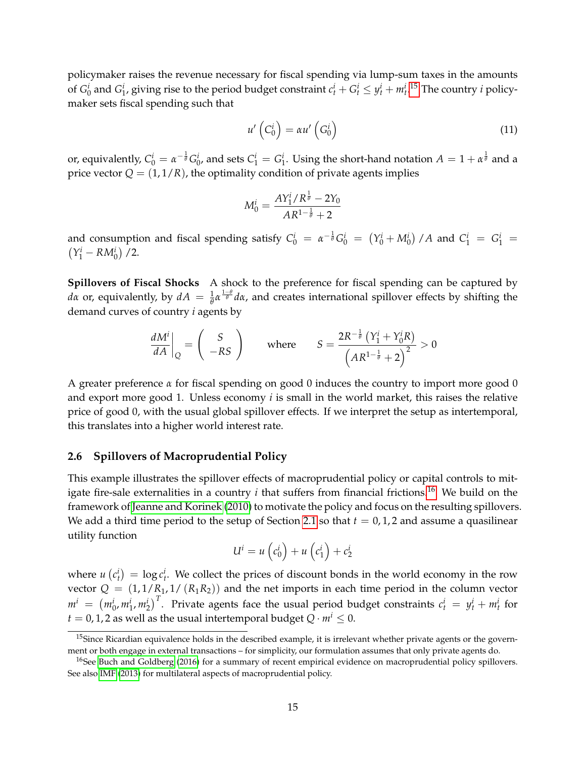policymaker raises the revenue necessary for fiscal spending via lump-sum taxes in the amounts of  $G_0^i$  and  $G_1^i$ , giving rise to the period budget constraint  $c_t^i + G_t^i \leq y_t^i + m_t^i$ .<sup>[15](#page-14-1)</sup> The country *i* policymaker sets fiscal spending such that

<span id="page-14-3"></span>
$$
u'\left(C_0^i\right) = \alpha u'\left(G_0^i\right) \tag{11}
$$

or, equivalently,  $C_0^i = \alpha^{-\frac{1}{\theta}} G_0^i$ , and sets  $C_1^i = G_1^i$ . Using the short-hand notation  $A = 1 + \alpha^{\frac{1}{\theta}}$  and a price vector  $Q = (1, 1/R)$ , the optimality condition of private agents implies

$$
M_0^i = \frac{AY_1^i/R^{\frac{1}{\theta}} - 2Y_0}{AR^{1-\frac{1}{\theta}} + 2}
$$

and consumption and fiscal spending satisfy  $C_0^i = \alpha^{-\frac{1}{\theta}} G_0^i = (Y_0^i + M_0^i) / A$  and  $C_1^i = G_1^i = (Y_1^i - RM_0^i) / 2$ .  $Y_1^i - RM_0^i$  / 2.

**Spillovers of Fiscal Shocks** A shock to the preference for fiscal spending can be captured by *dα* or, equivalently, by  $dA = \frac{1}{\theta} \alpha^{\frac{1-\theta}{\theta}} d\alpha$ , and creates international spillover effects by shifting the demand curves of country *i* agents by

$$
\left. \frac{dM^i}{dA} \right|_Q = \left( \begin{array}{c} S \\ -RS \end{array} \right) \qquad \text{where} \qquad S = \frac{2R^{-\frac{1}{\theta}} \left( Y_1^i + Y_0^i R \right)}{\left( AR^{1-\frac{1}{\theta}} + 2 \right)^2} > 0
$$

A greater preference *α* for fiscal spending on good 0 induces the country to import more good 0 and export more good 1. Unless economy *i* is small in the world market, this raises the relative price of good 0, with the usual global spillover effects. If we interpret the setup as intertemporal, this translates into a higher world interest rate.

#### <span id="page-14-0"></span>**2.6 Spillovers of Macroprudential Policy**

This example illustrates the spillover effects of macroprudential policy or capital controls to mitigate fire-sale externalities in a country  $i$  that suffers from financial frictions.<sup>[16](#page-14-2)</sup> We build on the framework of [Jeanne and Korinek](#page-52-12) [\(2010\)](#page-52-12) to motivate the policy and focus on the resulting spillovers. We add a third time period to the setup of Section [2.1](#page-7-1) so that  $t = 0, 1, 2$  and assume a quasilinear utility function

$$
U^i = u\left(c_0^i\right) + u\left(c_1^i\right) + c_2^i
$$

where  $u(c_t^i) = \log c_t^i$ . We collect the prices of discount bonds in the world economy in the row vector  $Q = (1, 1/R_1, 1/(R_1R_2))$  and the net imports in each time period in the column vector  $m^i~=~\left(m^i_0,m^i_1,m^i_2\right)^T$ . Private agents face the usual period budget constraints  $c^i_t~=~y^i_t+m^i_t$  for  $t = 0, 1, 2$  as well as the usual intertemporal budget  $Q \cdot m^i \leq 0$ .

<span id="page-14-1"></span><sup>&</sup>lt;sup>15</sup>Since Ricardian equivalence holds in the described example, it is irrelevant whether private agents or the government or both engage in external transactions – for simplicity, our formulation assumes that only private agents do.

<span id="page-14-2"></span> $^{16}$ See [Buch and Goldberg](#page-50-11) [\(2016\)](#page-50-11) for a summary of recent empirical evidence on macroprudential policy spillovers. See also [IMF](#page-51-11) [\(2013\)](#page-51-11) for multilateral aspects of macroprudential policy.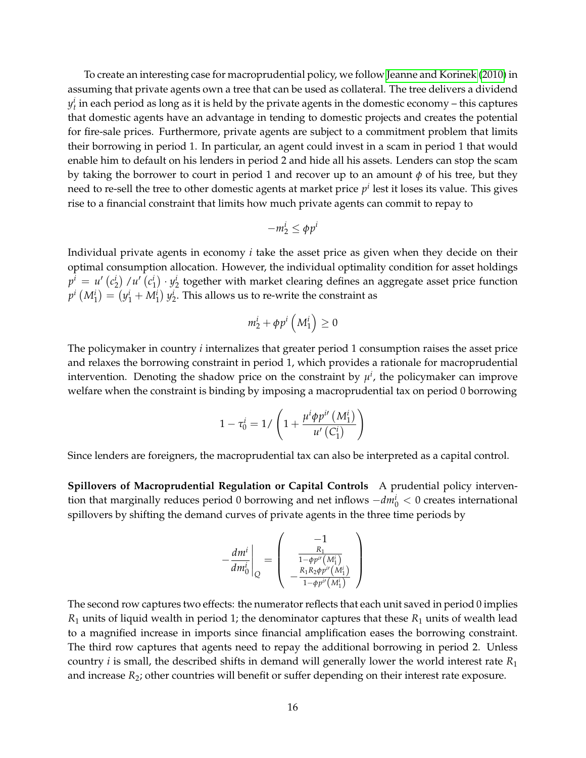To create an interesting case for macroprudential policy, we follow [Jeanne and Korinek](#page-52-12) [\(2010\)](#page-52-12) in assuming that private agents own a tree that can be used as collateral. The tree delivers a dividend  $y_t^i$  in each period as long as it is held by the private agents in the domestic economy – this captures that domestic agents have an advantage in tending to domestic projects and creates the potential for fire-sale prices. Furthermore, private agents are subject to a commitment problem that limits their borrowing in period 1. In particular, an agent could invest in a scam in period 1 that would enable him to default on his lenders in period 2 and hide all his assets. Lenders can stop the scam by taking the borrower to court in period 1 and recover up to an amount  $\phi$  of his tree, but they need to re-sell the tree to other domestic agents at market price  $p^i$  lest it loses its value. This gives rise to a financial constraint that limits how much private agents can commit to repay to

$$
-m_2^i \le \phi p^i
$$

Individual private agents in economy *i* take the asset price as given when they decide on their optimal consumption allocation. However, the individual optimality condition for asset holdings  $p^i = u' \left( c^i_2 \right) / u' \left( c^i_1 \right) \cdot y^i_2$  together with market clearing defines an aggregate asset price function  $p^{i}\left(M_{1}^{i}\right)=\left(y_{1}^{i}+M_{1}^{i}\right)y_{2}^{i}.$  This allows us to re-write the constraint as

$$
m_2^i + \phi p^i \left( M_1^i \right) \geq 0
$$

The policymaker in country *i* internalizes that greater period 1 consumption raises the asset price and relaxes the borrowing constraint in period 1, which provides a rationale for macroprudential intervention. Denoting the shadow price on the constraint by  $\mu^i$ , the policymaker can improve welfare when the constraint is binding by imposing a macroprudential tax on period 0 borrowing

$$
1 - \tau_0^i = 1 / \left( 1 + \frac{\mu^i \phi p^{i\prime} \left( M_1^i \right)}{u' \left( C_1^i \right)} \right)
$$

Since lenders are foreigners, the macroprudential tax can also be interpreted as a capital control.

**Spillovers of Macroprudential Regulation or Capital Controls** A prudential policy intervention that marginally reduces period 0 borrowing and net inflows  $-dm_0^i$  < 0 creates international spillovers by shifting the demand curves of private agents in the three time periods by

$$
-\frac{dm^i}{dm_0^i}\Bigg|_Q=\left(\begin{array}{c}-1\\ \frac{R_1}{1-\phi p^{i\prime}(M_1^i)}\\ -\frac{R_1R_2\phi p^{i\prime}(M_1^i)}{1-\phi p^{i\prime}(M_1^i)}\end{array}\right)
$$

The second row captures two effects: the numerator reflects that each unit saved in period 0 implies *R*<sup>1</sup> units of liquid wealth in period 1; the denominator captures that these *R*<sup>1</sup> units of wealth lead to a magnified increase in imports since financial amplification eases the borrowing constraint. The third row captures that agents need to repay the additional borrowing in period 2. Unless country *i* is small, the described shifts in demand will generally lower the world interest rate *R*<sup>1</sup> and increase  $R_2$ ; other countries will benefit or suffer depending on their interest rate exposure.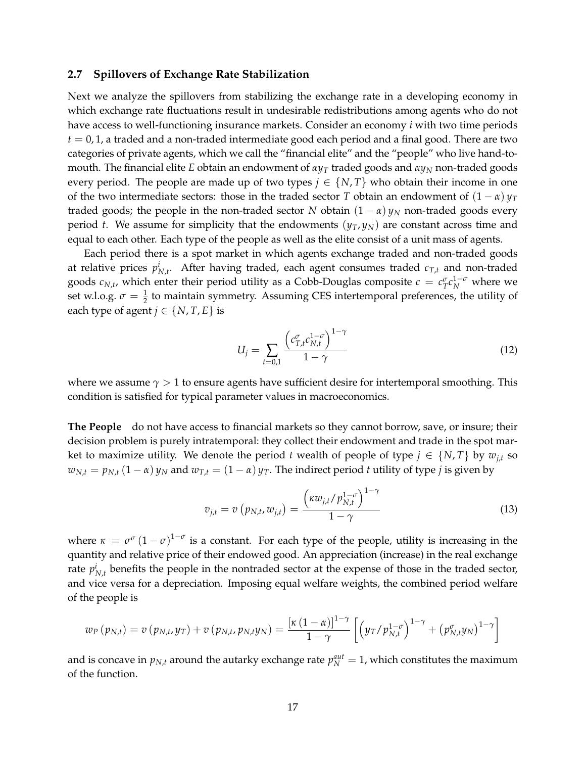#### <span id="page-16-0"></span>**2.7 Spillovers of Exchange Rate Stabilization**

Next we analyze the spillovers from stabilizing the exchange rate in a developing economy in which exchange rate fluctuations result in undesirable redistributions among agents who do not have access to well-functioning insurance markets. Consider an economy *i* with two time periods  $t = 0, 1$ , a traded and a non-traded intermediate good each period and a final good. There are two categories of private agents, which we call the "financial elite" and the "people" who live hand-tomouth. The financial elite *E* obtain an endowment of *αy<sup>T</sup>* traded goods and *αy<sup>N</sup>* non-traded goods every period. The people are made up of two types  $j \in \{N, T\}$  who obtain their income in one of the two intermediate sectors: those in the traded sector *T* obtain an endowment of  $(1 - \alpha) \nu_T$ traded goods; the people in the non-traded sector *N* obtain  $(1 - \alpha) y_N$  non-traded goods every period *t*. We assume for simplicity that the endowments  $(y_T, y_N)$  are constant across time and equal to each other. Each type of the people as well as the elite consist of a unit mass of agents.

Each period there is a spot market in which agents exchange traded and non-traded goods at relative prices  $p_{N,t}^i$ . After having traded, each agent consumes traded  $c_{T,t}$  and non-traded goods  $c_{N,t}$ , which enter their period utility as a Cobb-Douglas composite  $c = c_T^{\sigma} c_N^{1-\sigma}$  where we set w.l.o.g.  $\sigma = \frac{1}{2}$  to maintain symmetry. Assuming CES intertemporal preferences, the utility of each type of agent  $j \in \{N, T, E\}$  is

$$
U_j = \sum_{t=0,1} \frac{\left(c_{T,t}^{\sigma} c_{N,t}^{1-\sigma}\right)^{1-\gamma}}{1-\gamma}
$$
\n(12)

where we assume  $\gamma > 1$  to ensure agents have sufficient desire for intertemporal smoothing. This condition is satisfied for typical parameter values in macroeconomics.

**The People** do not have access to financial markets so they cannot borrow, save, or insure; their decision problem is purely intratemporal: they collect their endowment and trade in the spot market to maximize utility. We denote the period *t* wealth of people of type  $j \in \{N, T\}$  by  $w_{j,t}$  so  $w_{N,t} = p_{N,t} (1 - \alpha) y_N$  and  $w_{T,t} = (1 - \alpha) y_T$ . The indirect period *t* utility of type *j* is given by

$$
v_{j,t} = v\left(p_{N,t}, w_{j,t}\right) = \frac{\left(\kappa w_{j,t}/p_{N,t}^{1-\sigma}\right)^{1-\gamma}}{1-\gamma}
$$
\n(13)

where  $\kappa = \sigma^{\sigma} (1-\sigma)^{1-\sigma}$  is a constant. For each type of the people, utility is increasing in the quantity and relative price of their endowed good. An appreciation (increase) in the real exchange rate  $p_{N,t}^i$  benefits the people in the nontraded sector at the expense of those in the traded sector, and vice versa for a depreciation. Imposing equal welfare weights, the combined period welfare of the people is

$$
w_P(p_{N,t}) = v(p_{N,t},y_T) + v(p_{N,t},p_{N,t}y_N) = \frac{\left[\kappa(1-\alpha)\right]^{1-\gamma}}{1-\gamma}\left[\left(y_T/p_{N,t}^{1-\sigma}\right)^{1-\gamma}+\left(p_{N,t}^{\sigma}y_N\right)^{1-\gamma}\right]
$$

and is concave in  $p_{N,t}$  around the autarky exchange rate  $p_N^{aut} = 1$ , which constitutes the maximum of the function.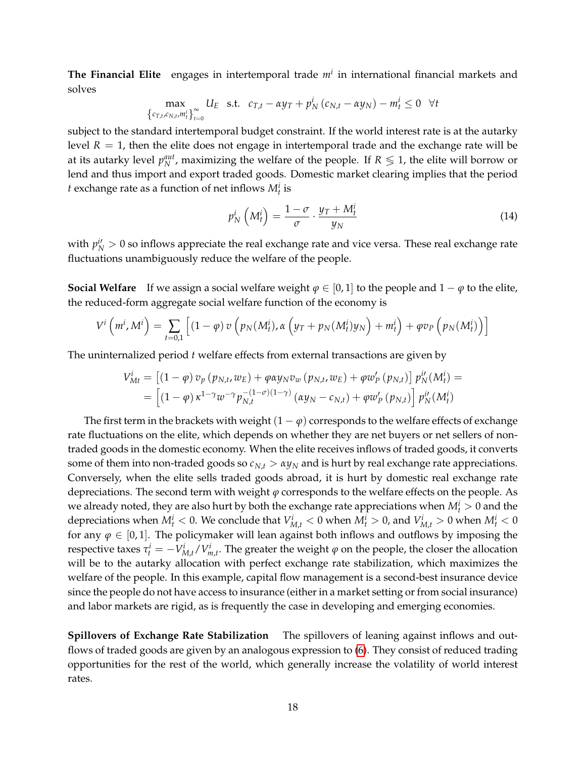**The Financial Elite** engages in intertemporal trade *m<sup>i</sup>* in international financial markets and solves

$$
\max_{\left\{c_{T,t},c_{N,t},m_t^i\right\}_{t=0}^{\infty}} U_E \quad \text{s.t.} \quad c_{T,t} - \alpha y_T + p_N^i \left(c_{N,t} - \alpha y_N\right) - m_t^i \leq 0 \quad \forall t
$$

subject to the standard intertemporal budget constraint. If the world interest rate is at the autarky level  $R = 1$ , then the elite does not engage in intertemporal trade and the exchange rate will be at its autarky level  $p_N^{aut}$ , maximizing the welfare of the people. If  $R \leqslant 1$ , the elite will borrow or lend and thus import and export traded goods. Domestic market clearing implies that the period *t* exchange rate as a function of net inflows  $M_t^i$  is

$$
p_N^i\left(M_t^i\right) = \frac{1-\sigma}{\sigma} \cdot \frac{y_T + M_t^i}{y_N} \tag{14}
$$

with  $p_N^{i'} > 0$  so inflows appreciate the real exchange rate and vice versa. These real exchange rate fluctuations unambiguously reduce the welfare of the people.

**Social Welfare** If we assign a social welfare weight  $\varphi \in [0,1]$  to the people and  $1 - \varphi$  to the elite, the reduced-form aggregate social welfare function of the economy is

$$
V^i\left(m^i,M^i\right) = \sum_{t=0,1} \left[ (1-\varphi) \, v\left(p_N(M^i_t),\alpha\left(y_T+p_N(M^i_t)y_N\right)+m^i_t\right)+\varphi v_P\left(p_N(M^i_t)\right) \right]
$$

The uninternalized period *t* welfare effects from external transactions are given by

$$
V_{Mt}^{i} = \left[ (1 - \varphi) v_{p} (p_{N,t}, w_{E}) + \varphi \alpha y_{N} v_{w} (p_{N,t}, w_{E}) + \varphi w_{p}' (p_{N,t}) \right] p_{N}^{i'} (M_{t}^{i}) =
$$
  
= 
$$
\left[ (1 - \varphi) \kappa^{1 - \gamma} w^{-\gamma} p_{N,t}^{-(1 - \sigma)(1 - \gamma)} (\alpha y_{N} - c_{N,t}) + \varphi w_{p}' (p_{N,t}) \right] p_{N}^{i'} (M_{t}^{i})
$$

The first term in the brackets with weight  $(1 - \varphi)$  corresponds to the welfare effects of exchange rate fluctuations on the elite, which depends on whether they are net buyers or net sellers of nontraded goods in the domestic economy. When the elite receives inflows of traded goods, it converts some of them into non-traded goods so  $c_{N,t} > \alpha y_N$  and is hurt by real exchange rate appreciations. Conversely, when the elite sells traded goods abroad, it is hurt by domestic real exchange rate depreciations. The second term with weight *ϕ* corresponds to the welfare effects on the people. As we already noted, they are also hurt by both the exchange rate appreciations when  $M_t^i > 0$  and the depreciations when  $M_t^i < 0$ . We conclude that  $V_{M,t}^i < 0$  when  $M_t^i > 0$ , and  $V_{M,t}^i > 0$  when  $M_t^i < 0$ for any  $\varphi \in [0,1]$ . The policymaker will lean against both inflows and outflows by imposing the *t* respective taxes  $τ_t^i = −V_{M,t}^i / V_{m,t}^i$ . The greater the weight *ϕ* on the people, the closer the allocation will be to the autarky allocation with perfect exchange rate stabilization, which maximizes the welfare of the people. In this example, capital flow management is a second-best insurance device since the people do not have access to insurance (either in a market setting or from social insurance) and labor markets are rigid, as is frequently the case in developing and emerging economies.

**Spillovers of Exchange Rate Stabilization** The spillovers of leaning against inflows and outflows of traded goods are given by an analogous expression to [\(6\)](#page-10-2). They consist of reduced trading opportunities for the rest of the world, which generally increase the volatility of world interest rates.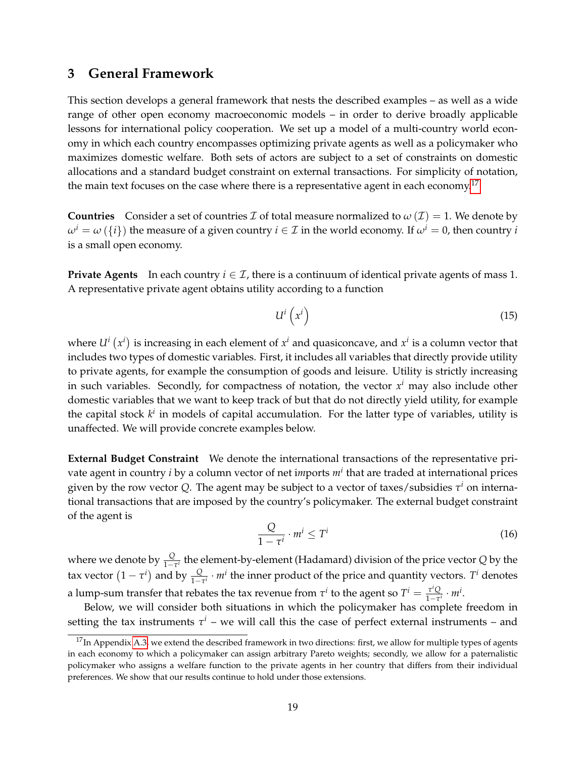# <span id="page-18-0"></span>**3 General Framework**

This section develops a general framework that nests the described examples – as well as a wide range of other open economy macroeconomic models – in order to derive broadly applicable lessons for international policy cooperation. We set up a model of a multi-country world economy in which each country encompasses optimizing private agents as well as a policymaker who maximizes domestic welfare. Both sets of actors are subject to a set of constraints on domestic allocations and a standard budget constraint on external transactions. For simplicity of notation, the main text focuses on the case where there is a representative agent in each economy.<sup>[17](#page-18-1)</sup>

**Countries** Consider a set of countries *I* of total measure normalized to  $\omega(\mathcal{I}) = 1$ . We denote by  $\omega^i = \omega(\{i\})$  the measure of a given country  $i \in \mathcal{I}$  in the world economy. If  $\omega^i = 0$ , then country *i* is a small open economy.

**Private Agents** In each country  $i \in \mathcal{I}$ , there is a continuum of identical private agents of mass 1. A representative private agent obtains utility according to a function

<span id="page-18-2"></span>
$$
U^i\left(x^i\right) \tag{15}
$$

where  $U^i(x^i)$  is increasing in each element of  $x^i$  and quasiconcave, and  $x^i$  is a column vector that includes two types of domestic variables. First, it includes all variables that directly provide utility to private agents, for example the consumption of goods and leisure. Utility is strictly increasing in such variables. Secondly, for compactness of notation, the vector *x <sup>i</sup>* may also include other domestic variables that we want to keep track of but that do not directly yield utility, for example the capital stock  $k^i$  in models of capital accumulation. For the latter type of variables, utility is unaffected. We will provide concrete examples below.

**External Budget Constraint** We denote the international transactions of the representative private agent in country *i* by a column vector of net i*m*ports *m<sup>i</sup>* that are traded at international prices given by the row vector Q. The agent may be subject to a vector of taxes/subsidies  $\tau^i$  on international transactions that are imposed by the country's policymaker. The external budget constraint of the agent is

<span id="page-18-3"></span>
$$
\frac{Q}{1 - \tau^i} \cdot m^i \le T^i \tag{16}
$$

where we denote by  $\frac{Q}{1-\tau^i}$  the element-by-element (Hadamard) division of the price vector *Q* by the tax vector  $(1 - \tau^i)$  and by  $\frac{Q}{1 - \tau^i} \cdot m^i$  the inner product of the price and quantity vectors.  $T^i$  denotes a lump-sum transfer that rebates the tax revenue from  $\tau^i$  to the agent so  $T^i = \frac{\tau^i Q}{1-\tau^i}$  $rac{\tau^i Q}{1-\tau^i} \cdot m^i$ .

Below, we will consider both situations in which the policymaker has complete freedom in setting the tax instruments  $\tau^i$  – we will call this the case of perfect external instruments – and

<span id="page-18-1"></span> $17$ In Appendix [A.3,](#page-55-0) we extend the described framework in two directions: first, we allow for multiple types of agents in each economy to which a policymaker can assign arbitrary Pareto weights; secondly, we allow for a paternalistic policymaker who assigns a welfare function to the private agents in her country that differs from their individual preferences. We show that our results continue to hold under those extensions.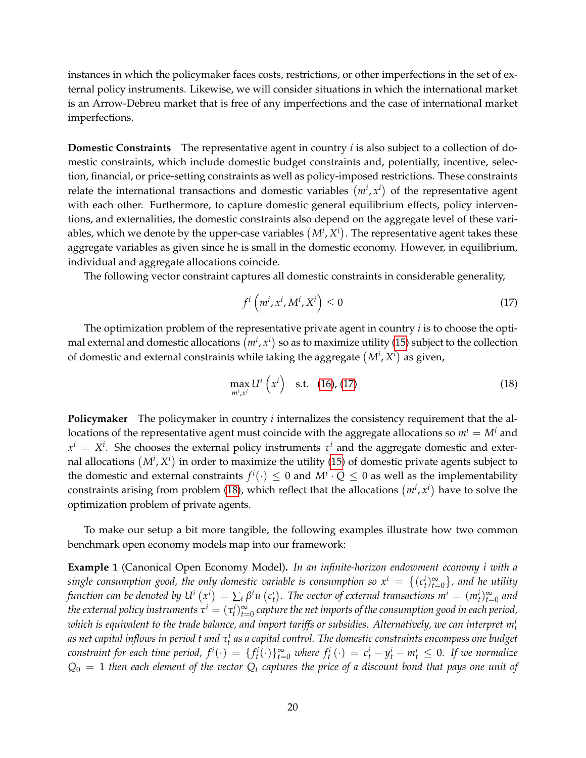instances in which the policymaker faces costs, restrictions, or other imperfections in the set of external policy instruments. Likewise, we will consider situations in which the international market is an Arrow-Debreu market that is free of any imperfections and the case of international market imperfections.

**Domestic Constraints** The representative agent in country *i* is also subject to a collection of domestic constraints, which include domestic budget constraints and, potentially, incentive, selection, financial, or price-setting constraints as well as policy-imposed restrictions. These constraints relate the international transactions and domestic variables  $(m^i, x^i)$  of the representative agent with each other. Furthermore, to capture domestic general equilibrium effects, policy interventions, and externalities, the domestic constraints also depend on the aggregate level of these variables, which we denote by the upper-case variables  $(M^i, X^i)$ . The representative agent takes these aggregate variables as given since he is small in the domestic economy. However, in equilibrium, individual and aggregate allocations coincide.

The following vector constraint captures all domestic constraints in considerable generality,

<span id="page-19-0"></span>
$$
f^i\left(m^i, x^i, M^i, X^i\right) \le 0\tag{17}
$$

The optimization problem of the representative private agent in country *i* is to choose the optimal external and domestic allocations  $(m^i,x^i)$  so as to maximize utility [\(15\)](#page-18-2) subject to the collection of domestic and external constraints while taking the aggregate  $(M^i, X^i)$  as given,

<span id="page-19-1"></span>
$$
\max_{m^i, x^i} U^i \left( x^i \right) \quad \text{s.t.} \quad (16), (17) \tag{18}
$$

**Policymaker** The policymaker in country *i* internalizes the consistency requirement that the allocations of the representative agent must coincide with the aggregate allocations so  $m^i = M^i$  and  $x^i = X^i$ . She chooses the external policy instruments  $\tau^i$  and the aggregate domestic and external allocations  $(M^i, X^i)$  in order to maximize the utility [\(15\)](#page-18-2) of domestic private agents subject to the domestic and external constraints  $f^i(\cdot) \leq 0$  and  $M^i \cdot Q \leq 0$  as well as the implementability constraints arising from problem [\(18\)](#page-19-1), which reflect that the allocations  $(m^i, x^i)$  have to solve the optimization problem of private agents.

To make our setup a bit more tangible, the following examples illustrate how two common benchmark open economy models map into our framework:

<span id="page-19-2"></span>**Example 1** (Canonical Open Economy Model)**.** *In an infinite-horizon endowment economy i with a* single consumption good, the only domestic variable is consumption so  $x^i\ =\ \{(c^i_t)_{t=0}^\infty\}$ , and he utility function can be denoted by  $U^i\left(x^i\right)=\sum_{t}\beta^tu\left(c^i_t\right).$  The vector of external transactions  $m^i=(m^i_t)_{t=0}^\infty$  and the external policy instruments  $\tau^i=(\tau^i_t)_{t=0}^\infty$  capture the net imports of the consumption good in each period, *which is equivalent to the trade balance, and import tariffs or subsidies. Alternatively, we can interpret m<sup>i</sup> t* as net capital inflows in period t and τ<mark>i</mark> as a capital control. The domestic constraints encompass one budget constraint for each time period,  $f^i(\cdot) = \{f^i_t(\cdot)\}_{t=0}^{\infty}$  where  $f^i_t(\cdot) = c^i_t - y^i_t - m^i_t \leq 0$ . If we normalize  $Q_0 = 1$  *then each element of the vector*  $Q_t$  *captures the price of a discount bond that pays one unit of*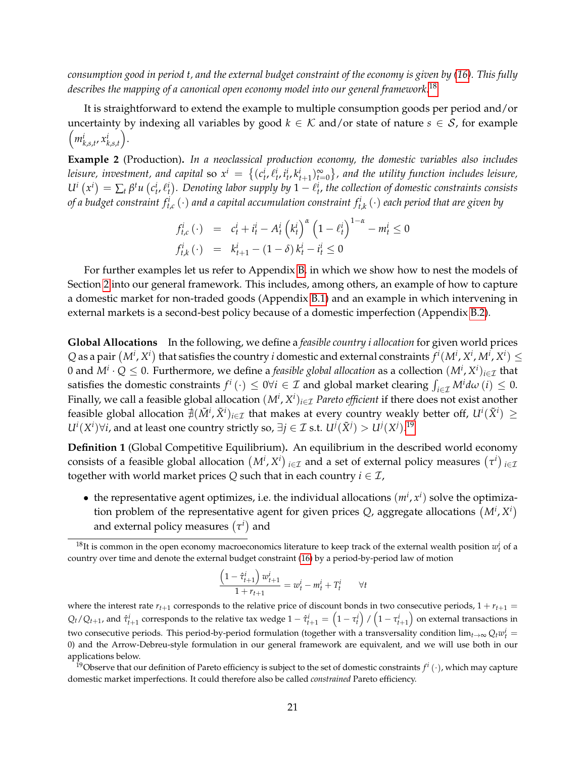*consumption good in period t, and the external budget constraint of the economy is given by [\(16\)](#page-18-3). This fully describes the mapping of a canonical open economy model into our general framework.*[18](#page-20-0)

It is straightforward to extend the example to multiple consumption goods per period and/or uncertainty by indexing all variables by good  $k \in \mathcal{K}$  and/or state of nature  $s \in \mathcal{S}$ , for example  $\left(m_{k,s,t}^i, x_{k,s,t}^i\right)$ .

**Example 2** (Production)**.** *In a neoclassical production economy, the domestic variables also includes* leisure, investment, and capital so  $x^i = \{(c_t^i, \ell_t^i, i_t^i, k_{t+1}^i)_{t=0}^\infty\}$ , and the utility function includes leisure,  $U^i(x^i) = \sum_t \beta^t u(c^i_t, \ell^i_t)$ . Denoting labor supply by  $1-\ell^i_t$ , the collection of domestic constraints consists of a budget constraint  $f^i_{t,c}(\cdot)$  and a capital accumulation constraint  $f^i_{t,k}(\cdot)$  each period that are given by

$$
f_{t,c}^{i}(\cdot) = c_{t}^{i} + i_{t}^{i} - A_{t}^{i} (k_{t}^{i})^{\alpha} (1 - \ell_{t}^{i})^{1-\alpha} - m_{t}^{i} \le 0
$$
  

$$
f_{t,k}^{i}(\cdot) = k_{t+1}^{i} - (1 - \delta) k_{t}^{i} - i_{t}^{i} \le 0
$$

For further examples let us refer to Appendix [B,](#page-60-0) in which we show how to nest the models of Section [2](#page-7-0) into our general framework. This includes, among others, an example of how to capture a domestic market for non-traded goods (Appendix [B.1\)](#page-60-1) and an example in which intervening in external markets is a second-best policy because of a domestic imperfection (Appendix [B.2\)](#page-61-0).

**Global Allocations** In the following, we define a *feasible country i allocation* for given world prices Q as a pair  $(M^i, X^i)$  that satisfies the country  $i$  domestic and external constraints  $f^i(M^i, X^i, M^i, X^i) \leq 1$ 0 and  $M^i\cdot Q\leq 0$ . Furthermore, we define a *feasible global allocation* as a collection  $(M^i,X^i)_{i\in\mathcal{I}}$  that satisfies the domestic constraints  $f^i(\cdot) \leq 0 \forall i \in \mathcal{I}$  and global market clearing  $\int_{i \in \mathcal{I}} M^i d\omega(i) \leq 0$ . Finally, we call a feasible global allocation  $(M^i,X^i)_{i\in\mathcal{I}}$  *Pareto efficient* if there does not exist another feasible global allocation  $\sharp(\tilde{M}^i,\tilde{X}^i)_{i\in\mathcal{I}}$  that makes at every country weakly better off,  $U^i(\tilde{X}^i)\geq$ *U*<sup>*i*</sup>( $X$ <sup>*i*</sup>)∀*i*, and at least one country strictly so, ∃*j* ∈ *I* s.t. *U<sup><i>j*</sup>( $\tilde{X}$ <sup>*j*</sup>) > *U<sup><i>j*</sup>( $X$ *j*).<sup>[19](#page-20-1)</sup>

**Definition 1** (Global Competitive Equilibrium)**.** An equilibrium in the described world economy consists of a feasible global allocation  $(M^i, X^i)_{i \in \mathcal{I}}$  and a set of external policy measures  $(\tau^i)_{i \in \mathcal{I}}$ together with world market prices  $Q$  such that in each country  $i \in \mathcal{I}$ ,

• the representative agent optimizes, i.e. the individual allocations  $(m^i, x^i)$  solve the optimization problem of the representative agent for given prices  $Q$ , aggregate allocations  $(M^{i}, X^{i})$ and external policy measures  $(\tau^i)$  and

$$
\frac{\left(1 - \hat{\tau}_{t+1}^i\right)w_{t+1}^i}{1 + r_{t+1}} = w_t^i - m_t^i + T_t^i \qquad \forall t
$$

where the interest rate  $r_{t+1}$  corresponds to the relative price of discount bonds in two consecutive periods,  $1 + r_{t+1} =$  $Q_t/Q_{t+1}$ , and  $\hat{\tau}^i_{t+1}$  corresponds to the relative tax wedge  $1-\hat{\tau}^i_{t+1}=\left(1-\tau^i_t\right)/\left(1-\tau^i_{t+1}\right)$  on external transactions in two consecutive periods. This period-by-period formulation (together with a transversality condition  $\lim_{t\to\infty}Q_t w_t^i=$ 0) and the Arrow-Debreu-style formulation in our general framework are equivalent, and we will use both in our applications below.

<span id="page-20-0"></span><sup>&</sup>lt;sup>18</sup>It is common in the open economy macroeconomics literature to keep track of the external wealth position  $w_t^i$  of a country over time and denote the external budget constraint [\(16\)](#page-18-3) by a period-by-period law of motion

<span id="page-20-1"></span><sup>&</sup>lt;sup>19</sup>Observe that our definition of Pareto efficiency is subject to the set of domestic constraints  $f^i(\cdot)$ , which may capture domestic market imperfections. It could therefore also be called *constrained* Pareto efficiency.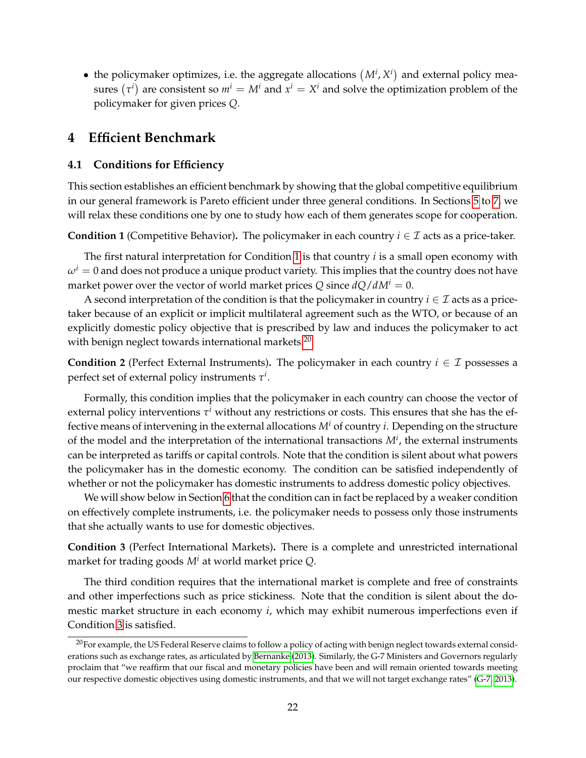• the policymaker optimizes, i.e. the aggregate allocations  $(M^i, X^i)$  and external policy measures  $(\tau^i)$  are consistent so  $m^i = M^i$  and  $x^i = X^i$  and solve the optimization problem of the policymaker for given prices *Q*.

# <span id="page-21-0"></span>**4 Efficient Benchmark**

## <span id="page-21-1"></span>**4.1 Conditions for Efficiency**

This section establishes an efficient benchmark by showing that the global competitive equilibrium in our general framework is Pareto efficient under three general conditions. In Sections [5](#page-29-0) to [7,](#page-41-0) we will relax these conditions one by one to study how each of them generates scope for cooperation.

<span id="page-21-2"></span>**Condition 1** (Competitive Behavior). The policymaker in each country  $i \in \mathcal{I}$  acts as a price-taker.

The first natural interpretation for Condition [1](#page-21-2) is that country *i* is a small open economy with  $\omega^i = 0$  and does not produce a unique product variety. This implies that the country does not have market power over the vector of world market prices Q since  $dQ/dM^i = 0$ .

A second interpretation of the condition is that the policymaker in country  $i \in \mathcal{I}$  acts as a pricetaker because of an explicit or implicit multilateral agreement such as the WTO, or because of an explicitly domestic policy objective that is prescribed by law and induces the policymaker to act with benign neglect towards international markets. $20$ 

<span id="page-21-5"></span>**Condition 2** (Perfect External Instruments). The policymaker in each country  $i \in \mathcal{I}$  possesses a perfect set of external policy instruments  $\tau^i.$ 

Formally, this condition implies that the policymaker in each country can choose the vector of external policy interventions *τ <sup>i</sup>* without any restrictions or costs. This ensures that she has the effective means of intervening in the external allocations *M<sup>i</sup>* of country *i*. Depending on the structure of the model and the interpretation of the international transactions *M<sup>i</sup>* , the external instruments can be interpreted as tariffs or capital controls. Note that the condition is silent about what powers the policymaker has in the domestic economy. The condition can be satisfied independently of whether or not the policymaker has domestic instruments to address domestic policy objectives.

We will show below in Section [6](#page-34-0) that the condition can in fact be replaced by a weaker condition on effectively complete instruments, i.e. the policymaker needs to possess only those instruments that she actually wants to use for domestic objectives.

<span id="page-21-4"></span>**Condition 3** (Perfect International Markets)**.** There is a complete and unrestricted international market for trading goods *M<sup>i</sup>* at world market price *Q*.

The third condition requires that the international market is complete and free of constraints and other imperfections such as price stickiness. Note that the condition is silent about the domestic market structure in each economy *i*, which may exhibit numerous imperfections even if Condition [3](#page-21-4) is satisfied.

<span id="page-21-3"></span> $20$ For example, the US Federal Reserve claims to follow a policy of acting with benign neglect towards external considerations such as exchange rates, as articulated by [Bernanke](#page-50-12) [\(2013\)](#page-50-12). Similarly, the G-7 Ministers and Governors regularly proclaim that "we reaffirm that our fiscal and monetary policies have been and will remain oriented towards meeting our respective domestic objectives using domestic instruments, and that we will not target exchange rates" [\(G-7, 2013\)](#page-51-12).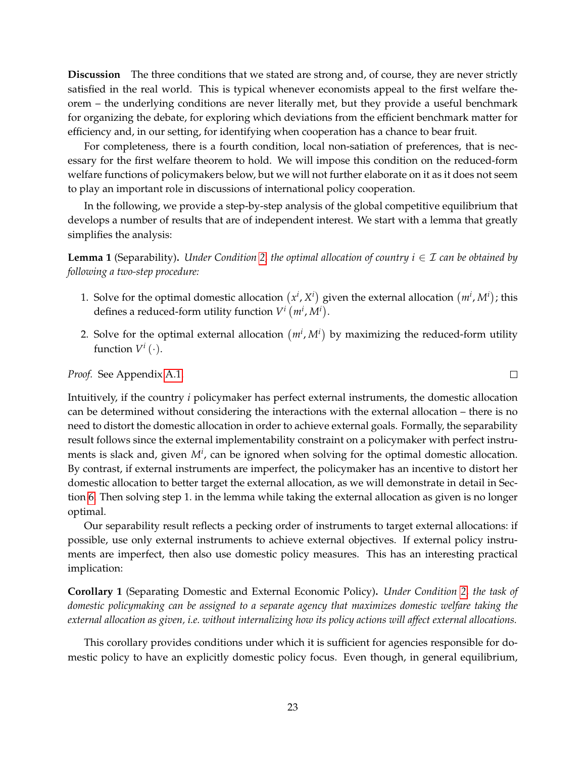**Discussion** The three conditions that we stated are strong and, of course, they are never strictly satisfied in the real world. This is typical whenever economists appeal to the first welfare theorem – the underlying conditions are never literally met, but they provide a useful benchmark for organizing the debate, for exploring which deviations from the efficient benchmark matter for efficiency and, in our setting, for identifying when cooperation has a chance to bear fruit.

For completeness, there is a fourth condition, local non-satiation of preferences, that is necessary for the first welfare theorem to hold. We will impose this condition on the reduced-form welfare functions of policymakers below, but we will not further elaborate on it as it does not seem to play an important role in discussions of international policy cooperation.

In the following, we provide a step-by-step analysis of the global competitive equilibrium that develops a number of results that are of independent interest. We start with a lemma that greatly simplifies the analysis:

<span id="page-22-0"></span>**Lemma 1** (Separability). *Under Condition* [2,](#page-21-5) *the optimal allocation of country*  $i \in \mathcal{I}$  *can be obtained by following a two-step procedure:*

- 1. Solve for the optimal domestic allocation  $(x^i, X^i)$  given the external allocation  $(m^i, M^i)$ ; this defines a reduced-form utility function  $V^i$   $(m^i, M^i)$ .
- 2. Solve for the optimal external allocation  $(m^i, M^i)$  by maximizing the reduced-form utility function  $V^i$   $(\cdot)$ .

*Proof.* See Appendix [A.1.](#page-53-1)

Intuitively, if the country *i* policymaker has perfect external instruments, the domestic allocation can be determined without considering the interactions with the external allocation – there is no need to distort the domestic allocation in order to achieve external goals. Formally, the separability result follows since the external implementability constraint on a policymaker with perfect instruments is slack and, given  $M^i$ , can be ignored when solving for the optimal domestic allocation. By contrast, if external instruments are imperfect, the policymaker has an incentive to distort her domestic allocation to better target the external allocation, as we will demonstrate in detail in Section [6.](#page-34-0) Then solving step 1. in the lemma while taking the external allocation as given is no longer optimal.

Our separability result reflects a pecking order of instruments to target external allocations: if possible, use only external instruments to achieve external objectives. If external policy instruments are imperfect, then also use domestic policy measures. This has an interesting practical implication:

**Corollary 1** (Separating Domestic and External Economic Policy)**.** *Under Condition [2,](#page-21-5) the task of domestic policymaking can be assigned to a separate agency that maximizes domestic welfare taking the external allocation as given, i.e. without internalizing how its policy actions will affect external allocations.*

This corollary provides conditions under which it is sufficient for agencies responsible for domestic policy to have an explicitly domestic policy focus. Even though, in general equilibrium,

 $\Box$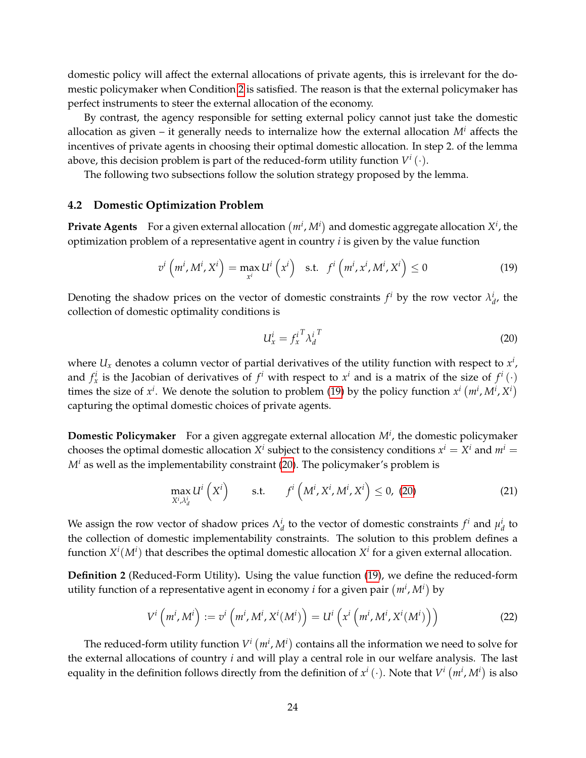domestic policy will affect the external allocations of private agents, this is irrelevant for the domestic policymaker when Condition [2](#page-21-5) is satisfied. The reason is that the external policymaker has perfect instruments to steer the external allocation of the economy.

By contrast, the agency responsible for setting external policy cannot just take the domestic allocation as given – it generally needs to internalize how the external allocation *M<sup>i</sup>* affects the incentives of private agents in choosing their optimal domestic allocation. In step 2. of the lemma above, this decision problem is part of the reduced-form utility function  $V^i\left(\cdot\right)$ .

The following two subsections follow the solution strategy proposed by the lemma.

#### <span id="page-23-0"></span>**4.2 Domestic Optimization Problem**

**Private Agents** For a given external allocation  $(m^i, M^i)$  and domestic aggregate allocation  $X^i$ , the optimization problem of a representative agent in country *i* is given by the value function

<span id="page-23-1"></span>
$$
v^{i}\left(m^{i}, M^{i}, X^{i}\right) = \max_{x^{i}} U^{i}\left(x^{i}\right) \quad \text{s.t.} \quad f^{i}\left(m^{i}, x^{i}, M^{i}, X^{i}\right) \leq 0 \tag{19}
$$

Denoting the shadow prices on the vector of domestic constraints  $f^i$  by the row vector  $\lambda^i_d$ , the collection of domestic optimality conditions is

<span id="page-23-2"></span>
$$
U_x^i = f_x^{i^T} \lambda_d^{i^T} \tag{20}
$$

where  $U_x$  denotes a column vector of partial derivatives of the utility function with respect to  $x^i$ , and  $f_x^i$  is the Jacobian of derivatives of  $f^i$  with respect to  $x^i$  and is a matrix of the size of  $f^i(\cdot)$ times the size of  $x^i$ . We denote the solution to problem [\(19\)](#page-23-1) by the policy function  $x^i$  ( $m^i$ ,  $M^i$ ,  $X^i$ ) capturing the optimal domestic choices of private agents.

**Domestic Policymaker** For a given aggregate external allocation *M<sup>i</sup>* , the domestic policymaker chooses the optimal domestic allocation  $X^i$  subject to the consistency conditions  $x^i = X^i$  and  $m^i =$  $M^i$  as well as the implementability constraint [\(20\)](#page-23-2). The policymaker's problem is

<span id="page-23-3"></span>
$$
\max_{X^i, \lambda_d^i} U^i\left(X^i\right) \qquad \text{s.t.} \qquad f^i\left(M^i, X^i, M^i, X^i\right) \le 0, \tag{21}
$$

We assign the row vector of shadow prices  $\Lambda_d^i$  to the vector of domestic constraints  $f^i$  and  $\mu_d^i$  to the collection of domestic implementability constraints. The solution to this problem defines a function  $X^i(M^i)$  that describes the optimal domestic allocation  $X^i$  for a given external allocation.

**Definition 2** (Reduced-Form Utility)**.** Using the value function [\(19\)](#page-23-1), we define the reduced-form utility function of a representative agent in economy *i* for a given pair  $(m^i, M^i)$  by

$$
V^i\left(m^i, M^i\right) := v^i\left(m^i, M^i, X^i(M^i)\right) = U^i\left(x^i\left(m^i, M^i, X^i(M^i)\right)\right)
$$
(22)

The reduced-form utility function  $V^i\left(m^i, M^i\right)$  contains all the information we need to solve for the external allocations of country *i* and will play a central role in our welfare analysis. The last equality in the definition follows directly from the definition of  $x^i$  ( $\cdot$ ). Note that  $V^i$   $(m^i,M^i)$  is also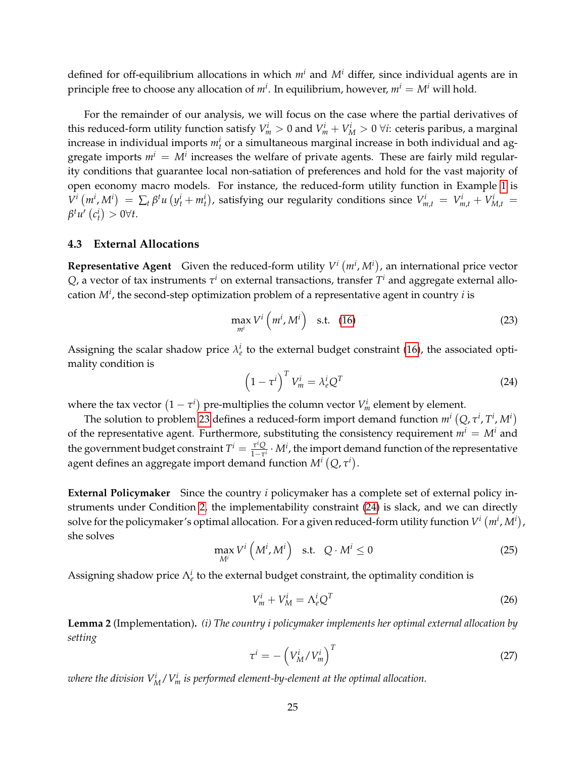defined for off-equilibrium allocations in which *m<sup>i</sup>* and *M<sup>i</sup>* differ, since individual agents are in principle free to choose any allocation of  $m^i$ . In equilibrium, however,  $m^i = M^i$  will hold.

For the remainder of our analysis, we will focus on the case where the partial derivatives of this reduced-form utility function satisfy  $V_m^i > 0$  and  $V_m^i + V_M^i > 0$   $\forall i$ : ceteris paribus, a marginal increase in individual imports  $m_t^i$  or a simultaneous marginal increase in both individual and aggregate imports  $m^i = M^i$  increases the welfare of private agents. These are fairly mild regularity conditions that guarantee local non-satiation of preferences and hold for the vast majority of open economy macro models. For instance, the reduced-form utility function in Example [1](#page-19-2) is  $V^i(m^i, M^i) = \sum_t \beta^t u (y^i_t + m^i_t)$ , satisfying our regularity conditions since  $V^i_{m,t} = V^i_{m,t} + V^i_{M,t} =$  $\beta^t u' (c_t^i) > 0 \forall t.$ 

#### <span id="page-24-0"></span>**4.3 External Allocations**

**Representative Agent** Given the reduced-form utility  $V^i(m^i, M^i)$ , an international price vector  $Q$ , a vector of tax instruments  $\tau^i$  on external transactions, transfer  $T^i$  and aggregate external allocation *M<sup>i</sup>* , the second-step optimization problem of a representative agent in country *i* is

<span id="page-24-1"></span>
$$
\max_{m^i} V^i \left( m^i, M^i \right) \quad \text{s.t.} \quad (16)
$$

Assigning the scalar shadow price  $\lambda_e^i$  to the external budget constraint [\(16\)](#page-18-3), the associated optimality condition is

<span id="page-24-2"></span>
$$
\left(1 - \tau^i\right)^T V_m^i = \lambda_e^i Q^T \tag{24}
$$

where the tax vector  $(1 - \tau^i)$  pre-multiplies the column vector  $V^i_m$  element by element.

The solution to problem [23](#page-24-1) defines a reduced-form import demand function  $m^i\left(Q,\tau^i,\Gamma^i,M^i\right)$ of the representative agent. Furthermore, substituting the consistency requirement  $m^i = M^i$  and the government budget constraint  $T^i = \frac{\tau^i Q_i}{1 - \tau^i}$  $\frac{\tau^i Q}{1-\tau^i} \cdot M^i$ , the import demand function of the representative agent defines an aggregate import demand function  $M^{i}\left(Q,\tau^{i}\right)$ .

**External Policymaker** Since the country *i* policymaker has a complete set of external policy instruments under Condition [2,](#page-21-5) the implementability constraint [\(24\)](#page-24-2) is slack, and we can directly solve for the policymaker's optimal allocation. For a given reduced-form utility function  $V^i\left(m^i,M^i\right)$  , she solves

$$
\max_{M^i} V^i \left( M^i, M^i \right) \quad \text{s.t.} \quad Q \cdot M^i \le 0 \tag{25}
$$

Assigning shadow price  $\Lambda_e^i$  to the external budget constraint, the optimality condition is

<span id="page-24-4"></span>
$$
V_m^i + V_M^i = \Lambda_e^i Q^T \tag{26}
$$

<span id="page-24-5"></span>**Lemma 2** (Implementation)**.** *(i) The country i policymaker implements her optimal external allocation by setting*

<span id="page-24-3"></span>
$$
\tau^i = -\left(V_M^i / V_m^i\right)^T \tag{27}
$$

where the division  $V^i_M/V^i_m$  is performed element-by-element at the optimal allocation.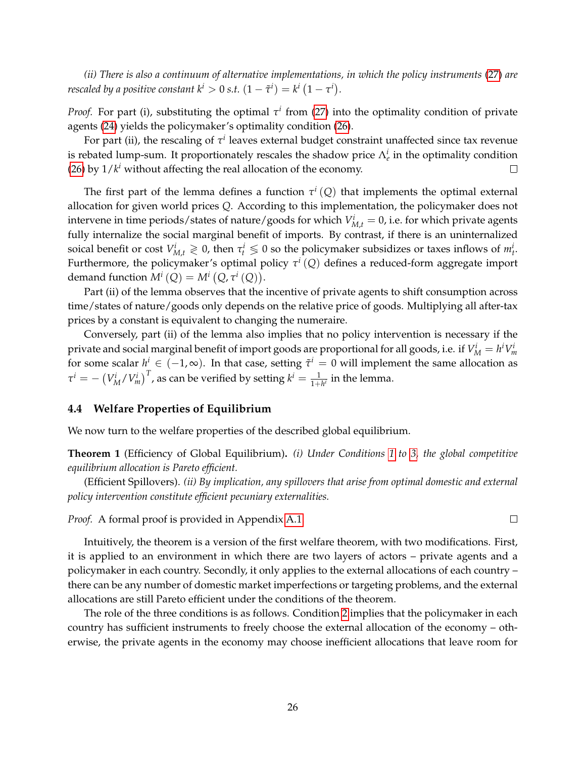*(ii) There is also a continuum of alternative implementations, in which the policy instruments* [\(27\)](#page-24-3) *are rescaled by a positive constant*  $k^i > 0$  *<i>s.t.*  $(1 - \tilde{\tau}^i) = k^i \left(1 - \tau^i\right)$ .

*Proof.* For part (i), substituting the optimal  $\tau^i$  from [\(27\)](#page-24-3) into the optimality condition of private agents [\(24\)](#page-24-2) yields the policymaker's optimality condition [\(26\)](#page-24-4).

For part (ii), the rescaling of  $\tau^i$  leaves external budget constraint unaffected since tax revenue is rebated lump-sum. It proportionately rescales the shadow price  $\Lambda_e^i$  in the optimality condition [\(26\)](#page-24-4) by  $1/k<sup>i</sup>$  without affecting the real allocation of the economy. □

The first part of the lemma defines a function  $\tau^i\left(Q\right)$  that implements the optimal external allocation for given world prices *Q*. According to this implementation, the policymaker does not intervene in time periods/states of nature/goods for which  $V_{M,t}^i = 0$ , i.e. for which private agents fully internalize the social marginal benefit of imports. By contrast, if there is an uninternalized soical benefit or cost  $V_{M,t}^i \geq 0$ , then  $\tau_t^i \leq 0$  so the policymaker subsidizes or taxes inflows of  $m_t^i$ . Furthermore, the policymaker's optimal policy *τ i* (*Q*) defines a reduced-form aggregate import demand function  $M^{i}(Q) = M^{i}(Q, \tau^{i}(Q)).$ 

Part (ii) of the lemma observes that the incentive of private agents to shift consumption across time/states of nature/goods only depends on the relative price of goods. Multiplying all after-tax prices by a constant is equivalent to changing the numeraire.

Conversely, part (ii) of the lemma also implies that no policy intervention is necessary if the private and social marginal benefit of import goods are proportional for all goods, i.e. if  $V_M^i = h^i V_m^i$ for some scalar  $h^i \in (-1,\infty)$ . In that case, setting  $\tilde{\tau}^i = 0$  will implement the same allocation as  $\tau^i = -\left(V_M^i/V_m^i\right)^T$ , as can be verified by setting  $k^i = \frac{1}{1+h^i}$  in the lemma.

#### <span id="page-25-0"></span>**4.4 Welfare Properties of Equilibrium**

We now turn to the welfare properties of the described global equilibrium.

<span id="page-25-1"></span>**Theorem 1** (Efficiency of Global Equilibrium)**.** *(i) Under Conditions [1](#page-21-2) to [3,](#page-21-4) the global competitive equilibrium allocation is Pareto efficient.*

(Efficient Spillovers). *(ii) By implication, any spillovers that arise from optimal domestic and external policy intervention constitute efficient pecuniary externalities.*

*Proof.* A formal proof is provided in Appendix [A.1.](#page-53-1)

Intuitively, the theorem is a version of the first welfare theorem, with two modifications. First, it is applied to an environment in which there are two layers of actors – private agents and a policymaker in each country. Secondly, it only applies to the external allocations of each country – there can be any number of domestic market imperfections or targeting problems, and the external allocations are still Pareto efficient under the conditions of the theorem.

The role of the three conditions is as follows. Condition [2](#page-21-5) implies that the policymaker in each country has sufficient instruments to freely choose the external allocation of the economy – otherwise, the private agents in the economy may choose inefficient allocations that leave room for

 $\Box$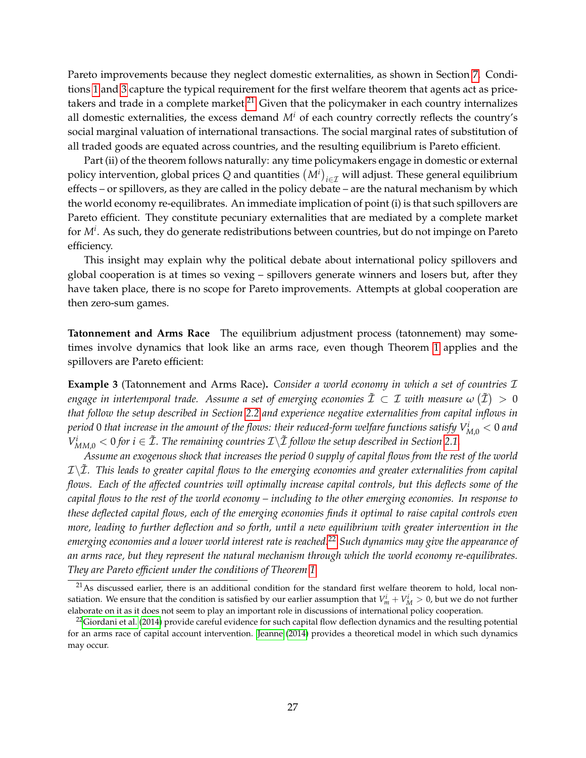Pareto improvements because they neglect domestic externalities, as shown in Section [7.](#page-41-0) Conditions [1](#page-21-2) and [3](#page-21-4) capture the typical requirement for the first welfare theorem that agents act as price-takers and trade in a complete market.<sup>[21](#page-26-0)</sup> Given that the policymaker in each country internalizes all domestic externalities, the excess demand  $M^i$  of each country correctly reflects the country's social marginal valuation of international transactions. The social marginal rates of substitution of all traded goods are equated across countries, and the resulting equilibrium is Pareto efficient.

Part (ii) of the theorem follows naturally: any time policymakers engage in domestic or external policy intervention, global prices  $Q$  and quantities  $(M^i)_{i\in\mathcal{I}}$  will adjust. These general equilibrium effects – or spillovers, as they are called in the policy debate – are the natural mechanism by which the world economy re-equilibrates. An immediate implication of point (i) is that such spillovers are Pareto efficient. They constitute pecuniary externalities that are mediated by a complete market for *M<sup>i</sup>* . As such, they do generate redistributions between countries, but do not impinge on Pareto efficiency.

This insight may explain why the political debate about international policy spillovers and global cooperation is at times so vexing – spillovers generate winners and losers but, after they have taken place, there is no scope for Pareto improvements. Attempts at global cooperation are then zero-sum games.

**Tatonnement and Arms Race** The equilibrium adjustment process (tatonnement) may sometimes involve dynamics that look like an arms race, even though Theorem [1](#page-25-1) applies and the spillovers are Pareto efficient:

**Example 3** (Tatonnement and Arms Race)**.** *Consider a world economy in which a set of countries* I engage in intertemporal trade. Assume a set of emerging economies  $\tilde{\cal I} \, \subset \, {\cal I}$  with measure  $\omega \, (\tilde{\cal I}) \, > \, 0$ *that follow the setup described in Section [2.2](#page-9-0) and experience negative externalities from capital inflows in period* 0 *that increase in the amount of the flows: their reduced-form welfare functions satisfy V<sup>i</sup> <sup>M</sup>*,0 < 0 *and*  $V^i_{MM,0} < 0$  for  $i \in \tilde{\mathcal{I}}$ . The remaining countries  $\mathcal{I}\backslash\tilde{\mathcal{I}}$  follow the setup described in Section [2.1.](#page-7-1)

*Assume an exogenous shock that increases the period 0 supply of capital flows from the rest of the world*  $\mathcal{I}\backslash\mathcal{I}$ *. This leads to greater capital flows to the emerging economies and greater externalities from capital flows. Each of the affected countries will optimally increase capital controls, but this deflects some of the capital flows to the rest of the world economy – including to the other emerging economies. In response to these deflected capital flows, each of the emerging economies finds it optimal to raise capital controls even more, leading to further deflection and so forth, until a new equilibrium with greater intervention in the emerging economies and a lower world interest rate is reached.*[22](#page-26-1) *Such dynamics may give the appearance of an arms race, but they represent the natural mechanism through which the world economy re-equilibrates. They are Pareto efficient under the conditions of Theorem [1.](#page-25-1)*

<span id="page-26-0"></span> $21$ As discussed earlier, there is an additional condition for the standard first welfare theorem to hold, local nonsatiation. We ensure that the condition is satisfied by our earlier assumption that  $V^i_m + V^i_M > 0$ , but we do not further elaborate on it as it does not seem to play an important role in discussions of international policy cooperation.

<span id="page-26-1"></span> $^{22}$ [Giordani et al.](#page-51-13) [\(2014\)](#page-51-13) provide careful evidence for such capital flow deflection dynamics and the resulting potential for an arms race of capital account intervention. [Jeanne](#page-51-5) [\(2014\)](#page-51-5) provides a theoretical model in which such dynamics may occur.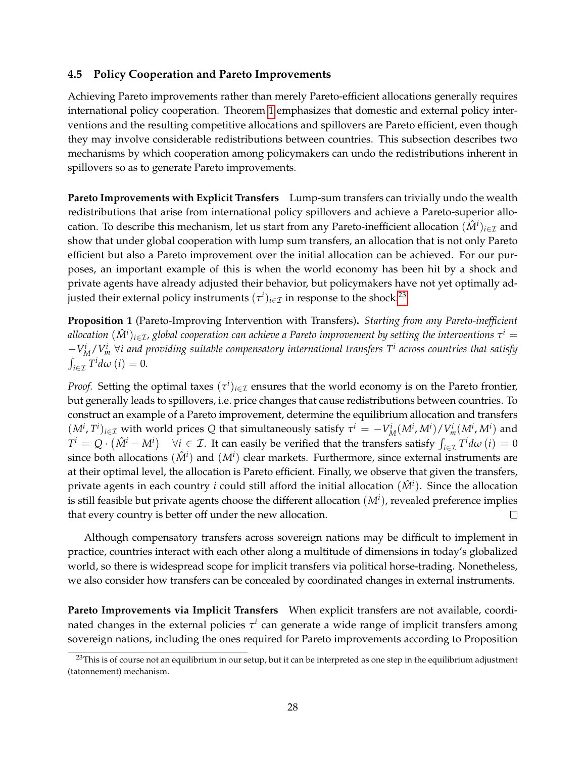# <span id="page-27-0"></span>**4.5 Policy Cooperation and Pareto Improvements**

Achieving Pareto improvements rather than merely Pareto-efficient allocations generally requires international policy cooperation. Theorem [1](#page-25-1) emphasizes that domestic and external policy interventions and the resulting competitive allocations and spillovers are Pareto efficient, even though they may involve considerable redistributions between countries. This subsection describes two mechanisms by which cooperation among policymakers can undo the redistributions inherent in spillovers so as to generate Pareto improvements.

**Pareto Improvements with Explicit Transfers** Lump-sum transfers can trivially undo the wealth redistributions that arise from international policy spillovers and achieve a Pareto-superior allocation. To describe this mechanism, let us start from any Pareto-inefficient allocation  $(\hat{M}^i)_{i\in\mathcal{I}}$  and show that under global cooperation with lump sum transfers, an allocation that is not only Pareto efficient but also a Pareto improvement over the initial allocation can be achieved. For our purposes, an important example of this is when the world economy has been hit by a shock and private agents have already adjusted their behavior, but policymakers have not yet optimally adjusted their external policy instruments  $(\tau^i)_{i\in\mathcal{I}}$  in response to the shock.<sup>[23](#page-27-1)</sup>

**Proposition 1** (Pareto-Improving Intervention with Transfers)**.** *Starting from any Pareto-inefficient* allocation  $(\hat{M}^i)_{i\in\mathcal{I}}$ , global cooperation can achieve a Pareto improvement by setting the interventions  $\tau^i=$  $-V_M^i/V_m^i$  ∀*i and providing suitable compensatory international transfers T<sup><i>i*</sup> across countries that satisfy  $\int_{i \in \mathcal{I}} T^i d\omega$   $(i) = 0$ .

*Proof.* Setting the optimal taxes  $(\tau^i)_{i \in \mathcal{I}}$  ensures that the world economy is on the Pareto frontier, but generally leads to spillovers, i.e. price changes that cause redistributions between countries. To construct an example of a Pareto improvement, determine the equilibrium allocation and transfers  $(M^i, T^i)_{i \in \mathcal{I}}$  with world prices Q that simultaneously satisfy  $\tau^i = -V_M^i(M^i, M^i)/V_m^i(M^i, M^i)$  and *T*<sup>*i*</sup> = *Q* ·  $(\hat{M}$ <sup>*i*</sup> − *M<sup><i>i*</sup>)  $\forall i \in \mathcal{I}$ . It can easily be verified that the transfers satisfy  $\int_{i \in \mathcal{I}} T^i d\omega$  (*i*) = 0 since both allocations  $(\hat{M}^i)$  and  $(M^i)$  clear markets. Furthermore, since external instruments are at their optimal level, the allocation is Pareto efficient. Finally, we observe that given the transfers, private agents in each country *i* could still afford the initial allocation (*M*ˆ *<sup>i</sup>* ). Since the allocation is still feasible but private agents choose the different allocation  $(M^i)$ , revealed preference implies that every country is better off under the new allocation.  $\Box$ 

Although compensatory transfers across sovereign nations may be difficult to implement in practice, countries interact with each other along a multitude of dimensions in today's globalized world, so there is widespread scope for implicit transfers via political horse-trading. Nonetheless, we also consider how transfers can be concealed by coordinated changes in external instruments.

**Pareto Improvements via Implicit Transfers** When explicit transfers are not available, coordinated changes in the external policies  $\tau^i$  can generate a wide range of implicit transfers among sovereign nations, including the ones required for Pareto improvements according to Proposition

<span id="page-27-1"></span><sup>&</sup>lt;sup>23</sup>This is of course not an equilibrium in our setup, but it can be interpreted as one step in the equilibrium adjustment (tatonnement) mechanism.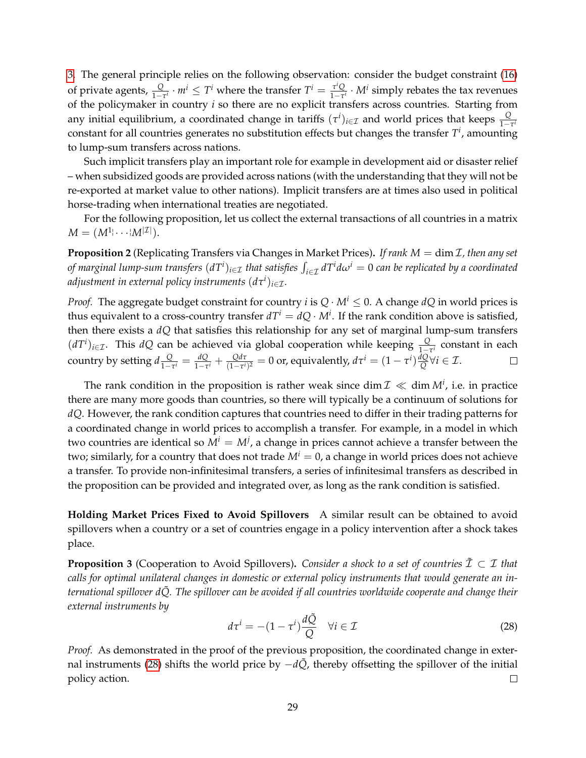[3.](#page-28-0) The general principle relies on the following observation: consider the budget constraint [\(16\)](#page-18-3) of private agents,  $\frac{Q}{1-\tau^i} \cdot m^i \leq T^i$  where the transfer  $T^i = \frac{\tau^i Q}{1-\tau^i}$  $\frac{\tau^i Q}{1-\tau^i} \cdot M^i$  simply rebates the tax revenues of the policymaker in country *i* so there are no explicit transfers across countries. Starting from any initial equilibrium, a coordinated change in tariffs  $(\tau^i)_{i\in\mathcal{I}}$  and world prices that keeps  $\frac{Q}{1-\tau^i}$ constant for all countries generates no substitution effects but changes the transfer *T i* , amounting to lump-sum transfers across nations.

Such implicit transfers play an important role for example in development aid or disaster relief – when subsidized goods are provided across nations (with the understanding that they will not be re-exported at market value to other nations). Implicit transfers are at times also used in political horse-trading when international treaties are negotiated.

For the following proposition, let us collect the external transactions of all countries in a matrix  $M = (M^{1}|\cdots|M^{|\mathcal{I}|}).$ 

<span id="page-28-2"></span>**Proposition 2** (Replicating Transfers via Changes in Market Prices)**.** *If rank M* = dim I*, then any set of marginal lump-sum transfers*  $(dT^i)_{i\in\mathcal{I}}$  *that satisfies*  $\int_{i\in\mathcal{I}}dT^id\omega^i=0$  *can be replicated by a coordinated* adjustment in external policy instruments  $(d\tau^i)_{i\in\mathcal{I}}.$ 

*Proof.* The aggregate budget constraint for country *i* is  $Q \cdot M^i \leq 0$ . A change *dQ* in world prices is thus equivalent to a cross-country transfer  $dT^i = dQ \cdot M^i$ . If the rank condition above is satisfied, then there exists a *dQ* that satisfies this relationship for any set of marginal lump-sum transfers  $(dT^i)_{i \in \mathcal{I}}$ . This *dQ* can be achieved via global cooperation while keeping  $\frac{Q}{1-\tau^i}$  constant in each country by setting  $d\frac{Q}{1-Q}$  $\frac{Q}{1-\tau^i} = \frac{dQ}{1-\tau^i}$  $\frac{dQ}{1-\tau^i} + \frac{Qd\tau}{(1-\tau^i)}$  $\frac{Qd\tau}{(1-\tau^i)^2} = 0$  or, equivalently,  $d\tau^i = (1-\tau^i)\frac{dQ}{Q}$ *Q* ∀*i* ∈ I.

The rank condition in the proposition is rather weak since  $\dim {\mathcal I} \ll \dim M^i$ , i.e. in practice there are many more goods than countries, so there will typically be a continuum of solutions for *dQ*. However, the rank condition captures that countries need to differ in their trading patterns for a coordinated change in world prices to accomplish a transfer. For example, in a model in which two countries are identical so  $M^i = M^j$ , a change in prices cannot achieve a transfer between the two; similarly, for a country that does not trade  $M^i = 0$ , a change in world prices does not achieve a transfer. To provide non-infinitesimal transfers, a series of infinitesimal transfers as described in the proposition can be provided and integrated over, as long as the rank condition is satisfied.

**Holding Market Prices Fixed to Avoid Spillovers** A similar result can be obtained to avoid spillovers when a country or a set of countries engage in a policy intervention after a shock takes place.

<span id="page-28-0"></span>**Proposition 3** (Cooperation to Avoid Spillovers). *Consider a shock to a set of countries*  $\mathcal{I} \subset \mathcal{I}$  *that calls for optimal unilateral changes in domestic or external policy instruments that would generate an international spillover dQ. The spillover can be avoided if all countries worldwide cooperate and change their external instruments by*

<span id="page-28-1"></span>
$$
d\tau^{i} = -(1 - \tau^{i})\frac{d\tilde{Q}}{Q} \quad \forall i \in \mathcal{I}
$$
 (28)

*Proof.* As demonstrated in the proof of the previous proposition, the coordinated change in exter-nal instruments [\(28\)](#page-28-1) shifts the world price by  $-d\tilde{Q}$ , thereby offsetting the spillover of the initial policy action.  $\Box$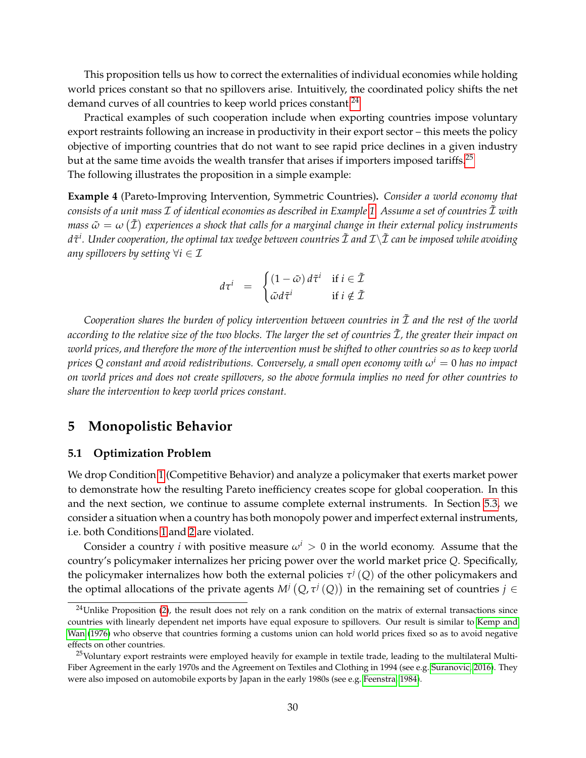This proposition tells us how to correct the externalities of individual economies while holding world prices constant so that no spillovers arise. Intuitively, the coordinated policy shifts the net demand curves of all countries to keep world prices constant.<sup>[24](#page-29-2)</sup>

Practical examples of such cooperation include when exporting countries impose voluntary export restraints following an increase in productivity in their export sector – this meets the policy objective of importing countries that do not want to see rapid price declines in a given industry but at the same time avoids the wealth transfer that arises if importers imposed tariffs.<sup>[25](#page-29-3)</sup> The following illustrates the proposition in a simple example:

**Example 4** (Pareto-Improving Intervention, Symmetric Countries)**.** *Consider a world economy that consists of a unit mass* I *of identical economies as described in Example [1.](#page-19-2) Assume a set of countries* I˜ *with* mass  $\tilde{\omega}=\omega\left(\tilde{\mathcal{I}}\right)$  experiences a shock that calls for a marginal change in their external policy instruments *dτ*˜ *i . Under cooperation, the optimal tax wedge between countries* I˜ *and* I\I˜ *can be imposed while avoiding any spillovers by setting*  $\forall i \in \mathcal{I}$ 

$$
d\tau^{i} = \begin{cases} (1 - \tilde{\omega}) d\tilde{\tau}^{i} & \text{if } i \in \tilde{\mathcal{I}} \\ \tilde{\omega} d\tilde{\tau}^{i} & \text{if } i \notin \tilde{\mathcal{I}} \end{cases}
$$

*Cooperation shares the burden of policy intervention between countries in* I˜ *and the rest of the world according to the relative size of the two blocks. The larger the set of countries*  $\tilde{\mathcal{I}}$ *, the greater their impact on world prices, and therefore the more of the intervention must be shifted to other countries so as to keep world prices* Q constant and avoid redistributions. Conversely, a small open economy with  $\omega^i = 0$  has no impact *on world prices and does not create spillovers, so the above formula implies no need for other countries to share the intervention to keep world prices constant.*

# <span id="page-29-0"></span>**5 Monopolistic Behavior**

#### <span id="page-29-1"></span>**5.1 Optimization Problem**

We drop Condition [1](#page-21-2) (Competitive Behavior) and analyze a policymaker that exerts market power to demonstrate how the resulting Pareto inefficiency creates scope for global cooperation. In this and the next section, we continue to assume complete external instruments. In Section [5.3,](#page-33-0) we consider a situation when a country has both monopoly power and imperfect external instruments, i.e. both Conditions [1](#page-21-2) and [2](#page-21-5) are violated.

Consider a country *i* with positive measure  $\omega^i > 0$  in the world economy. Assume that the country's policymaker internalizes her pricing power over the world market price *Q*. Specifically, the policymaker internalizes how both the external policies  $\tau^{j} (Q)$  of the other policymakers and the optimal allocations of the private agents  $M^j(Q, \tau^j(Q))$  in the remaining set of countries  $j \in$ 

<span id="page-29-2"></span> $24$ Unlike Proposition [\(2\)](#page-28-2), the result does not rely on a rank condition on the matrix of external transactions since countries with linearly dependent net imports have equal exposure to spillovers. Our result is similar to [Kemp and](#page-52-13) [Wan](#page-52-13) [\(1976\)](#page-52-13) who observe that countries forming a customs union can hold world prices fixed so as to avoid negative effects on other countries.

<span id="page-29-3"></span> $25$ Voluntary export restraints were employed heavily for example in textile trade, leading to the multilateral Multi-Fiber Agreement in the early 1970s and the Agreement on Textiles and Clothing in 1994 (see e.g. [Suranovic, 2016\)](#page-52-14). They were also imposed on automobile exports by Japan in the early 1980s (see e.g. [Feenstra, 1984\)](#page-51-14).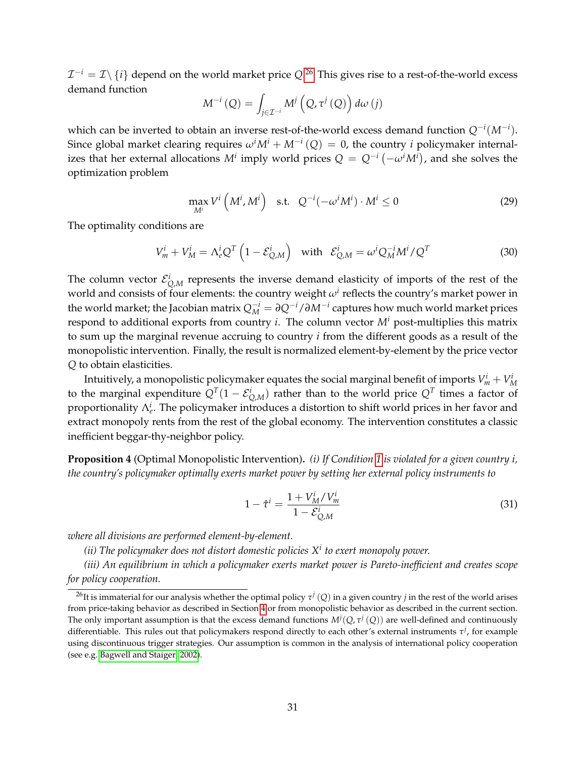$\mathcal{I}^{-i} = \mathcal{I} \backslash \left\{i\right\}$  depend on the world market price  $Q^{.26}$  $Q^{.26}$  $Q^{.26}$  This gives rise to a rest-of-the-world excess demand function

$$
M^{-i}(Q) = \int_{j \in \mathcal{I}^{-i}} M^j\left(Q, \tau^j\left(Q\right)\right) d\omega\left(j\right)
$$

which can be inverted to obtain an inverse rest-of-the-world excess demand function *Q*−*<sup>i</sup>* (*M*−*<sup>i</sup>* ). Since global market clearing requires  $\omega^i M^i + M^{-i}(Q) = 0$ , the country *i* policymaker internalizes that her external allocations  $M^i$  imply world prices  $Q = Q^{-i}\left(-\omega^i M^i\right)$ , and she solves the optimization problem

<span id="page-30-4"></span>
$$
\max_{M^i} V^i \left( M^i, M^i \right) \quad \text{s.t.} \quad Q^{-i} (-\omega^i M^i) \cdot M^i \le 0 \tag{29}
$$

The optimality conditions are

<span id="page-30-1"></span>
$$
V_m^i + V_M^i = \Lambda_e^i Q^T \left( 1 - \mathcal{E}_{Q,M}^i \right) \quad \text{with} \quad \mathcal{E}_{Q,M}^i = \omega^i Q_M^{-i} M^i / Q^T \tag{30}
$$

The column vector  $\mathcal{E}_{Q,M}^i$  represents the inverse demand elasticity of imports of the rest of the world and consists of four elements: the country weight  $\omega^i$  reflects the country's market power in the world market; the Jacobian matrix  $Q_M^{-i} = \partial Q^{-i}/\partial M^{-i}$  captures how much world market prices respond to additional exports from country *i*. The column vector *M<sup>i</sup>* post-multiplies this matrix to sum up the marginal revenue accruing to country *i* from the different goods as a result of the monopolistic intervention. Finally, the result is normalized element-by-element by the price vector *Q* to obtain elasticities.

Intuitively, a monopolistic policymaker equates the social marginal benefit of imports  $V^i_m + V^i_M$ to the marginal expenditure  $Q^T(1-\mathcal{E}_{Q,M}^i)$  rather than to the world price  $Q^T$  times a factor of proportionality Λ*<sup>i</sup> e* . The policymaker introduces a distortion to shift world prices in her favor and extract monopoly rents from the rest of the global economy. The intervention constitutes a classic inefficient beggar-thy-neighbor policy.

<span id="page-30-3"></span>**Proposition 4** (Optimal Monopolistic Intervention)**.** *(i) If Condition [1](#page-21-2) is violated for a given country i, the country's policymaker optimally exerts market power by setting her external policy instruments to*

<span id="page-30-2"></span>
$$
1 - \hat{\tau}^i = \frac{1 + V_M^i / V_m^i}{1 - \mathcal{E}_{Q,M}^i} \tag{31}
$$

*where all divisions are performed element-by-element.*

*(ii) The policymaker does not distort domestic policies X<sup>i</sup> to exert monopoly power.*

*(iii) An equilibrium in which a policymaker exerts market power is Pareto-inefficient and creates scope for policy cooperation.*

<span id="page-30-0"></span> $^{26}$ It is immaterial for our analysis whether the optimal policy  $\tau^j\left(Q\right)$  in a given country  $j$  in the rest of the world arises from price-taking behavior as described in Section [4](#page-21-0) or from monopolistic behavior as described in the current section. The only important assumption is that the excess demand functions  $M^j(Q,\tau^j(Q))$  are well-defined and continuously differentiable. This rules out that policymakers respond directly to each other's external instruments *τ j* , for example using discontinuous trigger strategies. Our assumption is common in the analysis of international policy cooperation (see e.g. [Bagwell and Staiger, 2002\)](#page-50-3).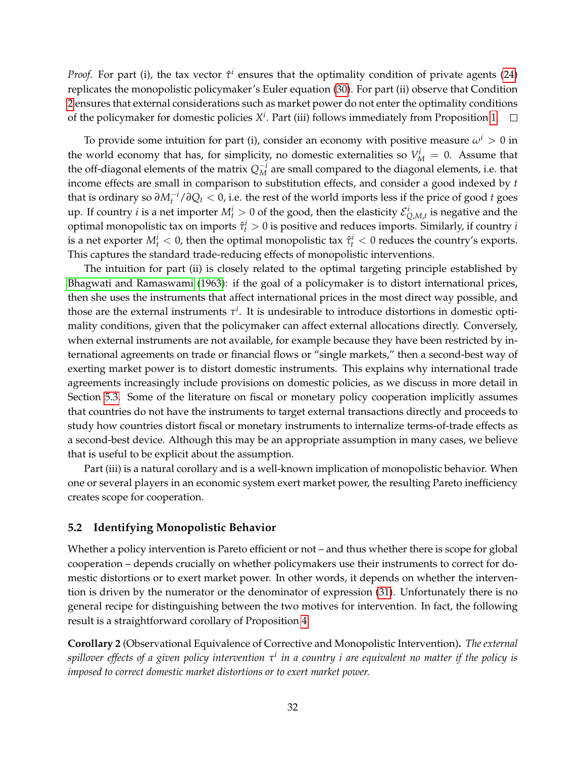*Proof.* For part (i), the tax vector  $\hat{\tau}^i$  ensures that the optimality condition of private agents [\(24\)](#page-24-2) replicates the monopolistic policymaker's Euler equation [\(30\)](#page-30-1). For part (ii) observe that Condition [2](#page-21-5) ensures that external considerations such as market power do not enter the optimality conditions of the policymaker for domestic policies *X i* . Part (iii) follows immediately from Proposition [1.](#page-25-1)

To provide some intuition for part (i), consider an economy with positive measure  $\omega^i > 0$  in the world economy that has, for simplicity, no domestic externalities so  $V_M^i = 0$ . Assume that the off-diagonal elements of the matrix  $Q_M^{-i}$  are small compared to the diagonal elements, i.e. that income effects are small in comparison to substitution effects, and consider a good indexed by *t* that is ordinary so *∂M*−*<sup>i</sup> <sup>t</sup>* /*∂Q<sup>t</sup>* < 0, i.e. the rest of the world imports less if the price of good *t* goes up. If country *i* is a net importer  $M_t^i > 0$  of the good, then the elasticity  $\mathcal{E}_{Q,M,t}^i$  is negative and the optimal monopolistic tax on imports  $\hat{\tau}_t^i > 0$  is positive and reduces imports. Similarly, if country *i* is a net exporter  $M_t^i < 0$ , then the optimal monopolistic tax  $\hat{\tau}_t^i < 0$  reduces the country's exports. This captures the standard trade-reducing effects of monopolistic interventions.

The intuition for part (ii) is closely related to the optimal targeting principle established by [Bhagwati and Ramaswami](#page-50-5) [\(1963\)](#page-50-5): if the goal of a policymaker is to distort international prices, then she uses the instruments that affect international prices in the most direct way possible, and those are the external instruments  $\tau^i$ . It is undesirable to introduce distortions in domestic optimality conditions, given that the policymaker can affect external allocations directly. Conversely, when external instruments are not available, for example because they have been restricted by international agreements on trade or financial flows or "single markets," then a second-best way of exerting market power is to distort domestic instruments. This explains why international trade agreements increasingly include provisions on domestic policies, as we discuss in more detail in Section [5.3.](#page-33-0) Some of the literature on fiscal or monetary policy cooperation implicitly assumes that countries do not have the instruments to target external transactions directly and proceeds to study how countries distort fiscal or monetary instruments to internalize terms-of-trade effects as a second-best device. Although this may be an appropriate assumption in many cases, we believe that is useful to be explicit about the assumption.

Part (iii) is a natural corollary and is a well-known implication of monopolistic behavior. When one or several players in an economic system exert market power, the resulting Pareto inefficiency creates scope for cooperation.

#### <span id="page-31-0"></span>**5.2 Identifying Monopolistic Behavior**

Whether a policy intervention is Pareto efficient or not – and thus whether there is scope for global cooperation – depends crucially on whether policymakers use their instruments to correct for domestic distortions or to exert market power. In other words, it depends on whether the intervention is driven by the numerator or the denominator of expression [\(31\)](#page-30-2). Unfortunately there is no general recipe for distinguishing between the two motives for intervention. In fact, the following result is a straightforward corollary of Proposition [4:](#page-30-3)

**Corollary 2** (Observational Equivalence of Corrective and Monopolistic Intervention)**.** *The external spillover effects of a given policy intervention τ i in a country i are equivalent no matter if the policy is imposed to correct domestic market distortions or to exert market power.*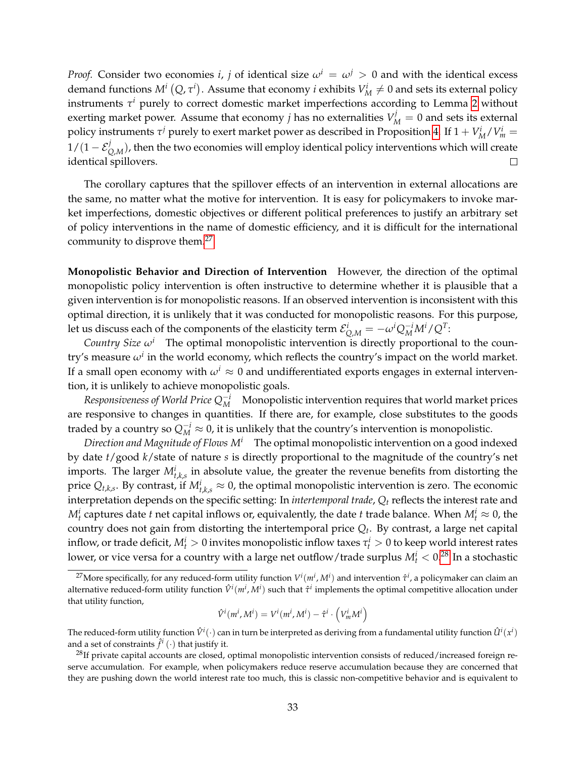*Proof.* Consider two economies *i*, *j* of identical size  $\omega^i = \omega^j > 0$  and with the identical excess demand functions  $M^i(Q, \tau^i)$ . Assume that economy *i* exhibits  $V^i_M \neq 0$  and sets its external policy instruments *τ <sup>i</sup>* purely to correct domestic market imperfections according to Lemma [2](#page-24-5) without exerting market power. Assume that economy *j* has no externalities  $V_M^j = 0$  and sets its external policy instruments  $\tau^j$  purely to exert market power as described in Proposition [4.](#page-30-3) If  $1 + V_M^i/V_m^i =$  $1/(1-\mathcal{E}^j_{Q,M})$ , then the two economies will employ identical policy interventions which will create identical spillovers.  $\Box$ 

The corollary captures that the spillover effects of an intervention in external allocations are the same, no matter what the motive for intervention. It is easy for policymakers to invoke market imperfections, domestic objectives or different political preferences to justify an arbitrary set of policy interventions in the name of domestic efficiency, and it is difficult for the international community to disprove them.<sup>[27](#page-32-0)</sup>

**Monopolistic Behavior and Direction of Intervention** However, the direction of the optimal monopolistic policy intervention is often instructive to determine whether it is plausible that a given intervention is for monopolistic reasons. If an observed intervention is inconsistent with this optimal direction, it is unlikely that it was conducted for monopolistic reasons. For this purpose, let us discuss each of the components of the elasticity term  $\mathcal{E}^i_{Q,M}=-\omega^i Q_M^{-i}M^i/Q^T$ :

*Country Size ω<sup>i</sup>* The optimal monopolistic intervention is directly proportional to the country's measure  $\omega^i$  in the world economy, which reflects the country's impact on the world market. If a small open economy with  $\omega^i \approx 0$  and undifferentiated exports engages in external intervention, it is unlikely to achieve monopolistic goals.

*Responsiveness of World Price*  $Q_M^{-i}$  Monopolistic intervention requires that world market prices are responsive to changes in quantities. If there are, for example, close substitutes to the goods traded by a country so  $Q_M^{-i} \approx 0$ , it is unlikely that the country's intervention is monopolistic.

*Direction and Magnitude of Flows M<sup>i</sup>* The optimal monopolistic intervention on a good indexed by date *t*/good *k*/state of nature *s* is directly proportional to the magnitude of the country's net imports. The larger  $M_{t,k,s}^i$  in absolute value, the greater the revenue benefits from distorting the price  $Q_{t,k,s}$ . By contrast, if  $M_{t,k,s}^i \approx 0$ , the optimal monopolistic intervention is zero. The economic interpretation depends on the specific setting: In *intertemporal trade*, *Q<sup>t</sup>* reflects the interest rate and  $M_t^i$  captures date *t* net capital inflows or, equivalently, the date *t* trade balance. When  $M_t^i \approx 0$ , the country does not gain from distorting the intertemporal price *Q<sup>t</sup>* . By contrast, a large net capital inflow, or trade deficit,  $M_t^i > 0$  invites monopolistic inflow taxes  $\tau_t^i > 0$  to keep world interest rates lower, or vice versa for a country with a large net outflow/trade surplus  $M_t^i < 0.^{28}$  $M_t^i < 0.^{28}$  $M_t^i < 0.^{28}$  In a stochastic

$$
\hat{V}^i(m^i, M^i) = V^i(m^i, M^i) - \hat{\tau}^i \cdot \left(V^i_m M^i\right)
$$

The reduced-form utility function  $\hat{V}^i(\cdot)$  can in turn be interpreted as deriving from a fundamental utility function  $\hat{U}^i(x^i)$ and a set of constraints  $\hat{f}^i(\cdot)$  that justify it.

<span id="page-32-0"></span><sup>&</sup>lt;sup>27</sup>More specifically, for any reduced-form utility function  $V^i(m^i,M^i)$  and intervention  $\hat{\tau}^i$ , a policymaker can claim an alternative reduced-form utility function  $\hat{V}^i(m^i,M^i)$  such that  $\hat{\tau}^i$  implements the optimal competitive allocation under that utility function,

<span id="page-32-1"></span> $^{28}$ If private capital accounts are closed, optimal monopolistic intervention consists of reduced/increased foreign reserve accumulation. For example, when policymakers reduce reserve accumulation because they are concerned that they are pushing down the world interest rate too much, this is classic non-competitive behavior and is equivalent to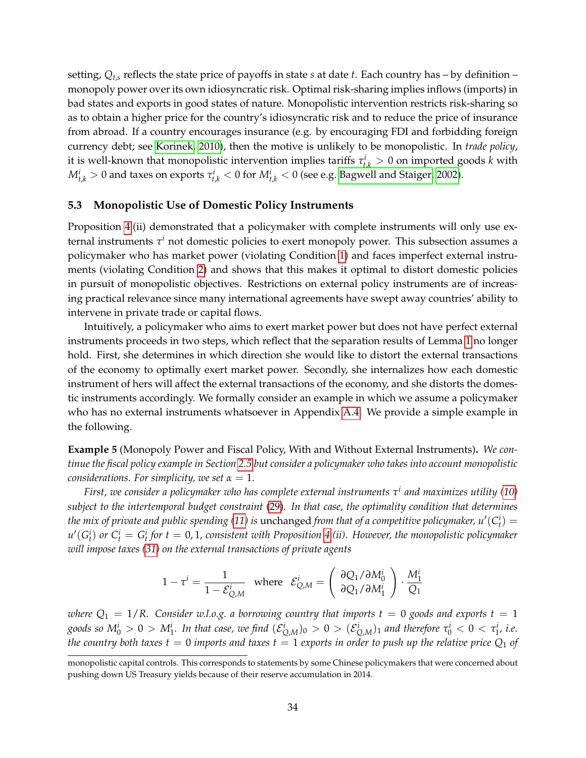setting, *Qt*,*<sup>s</sup>* reflects the state price of payoffs in state *s* at date *t*. Each country has – by definition – monopoly power over its own idiosyncratic risk. Optimal risk-sharing implies inflows (imports) in bad states and exports in good states of nature. Monopolistic intervention restricts risk-sharing so as to obtain a higher price for the country's idiosyncratic risk and to reduce the price of insurance from abroad. If a country encourages insurance (e.g. by encouraging FDI and forbidding foreign currency debt; see [Korinek, 2010\)](#page-52-15), then the motive is unlikely to be monopolistic. In *trade policy*, it is well-known that monopolistic intervention implies tariffs  $\tau_{t,k}^i > 0$  on imported goods  $k$  with  $M_{t,k}^i > 0$  and taxes on exports  $\tau_{t,k}^i < 0$  for  $M_{t,k}^i < 0$  (see e.g. [Bagwell and Staiger, 2002\)](#page-50-3).

#### <span id="page-33-0"></span>**5.3 Monopolistic Use of Domestic Policy Instruments**

Proposition [4.](#page-30-3)(ii) demonstrated that a policymaker with complete instruments will only use external instruments *τ <sup>i</sup>* not domestic policies to exert monopoly power. This subsection assumes a policymaker who has market power (violating Condition [1\)](#page-21-2) and faces imperfect external instruments (violating Condition [2\)](#page-21-5) and shows that this makes it optimal to distort domestic policies in pursuit of monopolistic objectives. Restrictions on external policy instruments are of increasing practical relevance since many international agreements have swept away countries' ability to intervene in private trade or capital flows.

Intuitively, a policymaker who aims to exert market power but does not have perfect external instruments proceeds in two steps, which reflect that the separation results of Lemma [1](#page-22-0) no longer hold. First, she determines in which direction she would like to distort the external transactions of the economy to optimally exert market power. Secondly, she internalizes how each domestic instrument of hers will affect the external transactions of the economy, and she distorts the domestic instruments accordingly. We formally consider an example in which we assume a policymaker who has no external instruments whatsoever in Appendix [A.4.](#page-56-0) We provide a simple example in the following.

<span id="page-33-1"></span>**Example 5** (Monopoly Power and Fiscal Policy, With and Without External Instruments)**.** *We continue the fiscal policy example in Section [2.5](#page-13-0) but consider a policymaker who takes into account monopolistic considerations. For simplicity, we set*  $\alpha = 1$ .

*First, we consider a policymaker who has complete external instruments τ i and maximizes utility [\(10\)](#page-13-4) subject to the intertemporal budget constraint* [\(29\)](#page-30-4)*. In that case, the optimality condition that determines the mix of private and public spending [\(11\)](#page-14-3) is*  $nchanged from that of a competitive policymaker,  $u'(C^i_t) =$$  $u'(G_t^i)$  or  $C_t^i = G_t^i$  for  $t = 0, 1$ , consistent with Proposition [4.](#page-30-3)(ii). However, the monopolistic policymaker *will impose taxes [\(31\)](#page-30-2) on the external transactions of private agents*

$$
1 - \tau^i = \frac{1}{1 - \mathcal{E}_{Q,M}^i} \quad \text{where} \quad \mathcal{E}_{Q,M}^i = \left( \begin{array}{c} \partial Q_1 / \partial M_0^i \\ \partial Q_1 / \partial M_1^i \end{array} \right) \cdot \frac{M_1^i}{Q_1}
$$

*where*  $Q_1 = 1/R$ . Consider w.l.o.g. a borrowing country that imports  $t = 0$  goods and exports  $t = 1$ goods so  $M_0^i>0>M_1^i$ . In that case, we find  $(\mathcal{E}_{Q,M}^i)_0>0>(\mathcal{E}_{Q,M}^i)_1$  and therefore  $\tau_0^i<0<\tau_1^i$ , i.e. *the country both taxes t* = 0 *imports and taxes t* = 1 *exports in order to push up the relative price*  $Q_1$  *of* 

monopolistic capital controls. This corresponds to statements by some Chinese policymakers that were concerned about pushing down US Treasury yields because of their reserve accumulation in 2014.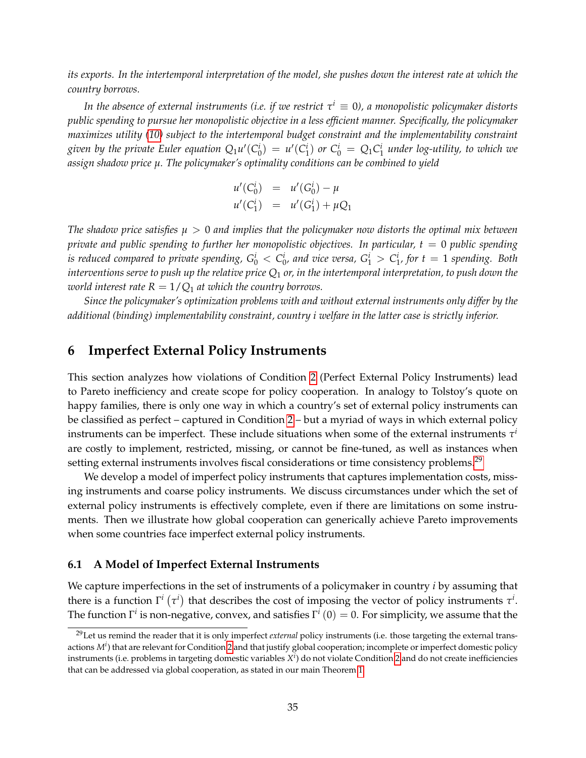*its exports. In the intertemporal interpretation of the model, she pushes down the interest rate at which the country borrows.*

*In the absence of external instruments (i.e. if we restrict τ <sup>i</sup>* ≡ 0*), a monopolistic policymaker distorts public spending to pursue her monopolistic objective in a less efficient manner. Specifically, the policymaker maximizes utility [\(10\)](#page-13-4) subject to the intertemporal budget constraint and the implementability constraint* given by the private Euler equation  $Q_1u'(C_0^i) = u'(C_1^i)$  or  $C_0^i = Q_1C_1^i$  under log-utility, to which we *assign shadow price µ. The policymaker's optimality conditions can be combined to yield*

$$
u'(C_0^i) = u'(G_0^i) - \mu
$$
  

$$
u'(C_1^i) = u'(G_1^i) + \mu Q_1
$$

*The shadow price satisfies µ* > 0 *and implies that the policymaker now distorts the optimal mix between private and public spending to further her monopolistic objectives. In particular, t = 0 public spending is reduced compared to private spending,*  $G_0^i < C_0^i$ *, and vice versa,*  $G_1^i > C_1^i$ *, for*  $t = 1$  *spending. Both interventions serve to push up the relative price Q*<sup>1</sup> *or, in the intertemporal interpretation, to push down the world interest rate*  $R = 1/Q_1$  *at which the country borrows.* 

*Since the policymaker's optimization problems with and without external instruments only differ by the additional (binding) implementability constraint, country i welfare in the latter case is strictly inferior.*

# <span id="page-34-0"></span>**6 Imperfect External Policy Instruments**

This section analyzes how violations of Condition [2](#page-21-5) (Perfect External Policy Instruments) lead to Pareto inefficiency and create scope for policy cooperation. In analogy to Tolstoy's quote on happy families, there is only one way in which a country's set of external policy instruments can be classified as perfect – captured in Condition [2](#page-21-5) – but a myriad of ways in which external policy instruments can be imperfect. These include situations when some of the external instruments  $\tau^i$ are costly to implement, restricted, missing, or cannot be fine-tuned, as well as instances when setting external instruments involves fiscal considerations or time consistency problems.<sup>[29](#page-34-2)</sup>

We develop a model of imperfect policy instruments that captures implementation costs, missing instruments and coarse policy instruments. We discuss circumstances under which the set of external policy instruments is effectively complete, even if there are limitations on some instruments. Then we illustrate how global cooperation can generically achieve Pareto improvements when some countries face imperfect external policy instruments.

#### <span id="page-34-1"></span>**6.1 A Model of Imperfect External Instruments**

We capture imperfections in the set of instruments of a policymaker in country *i* by assuming that there is a function  $\Gamma^i(\tau^i)$  that describes the cost of imposing the vector of policy instruments  $\tau^i$ . The function  $\Gamma^i$  is non-negative, convex, and satisfies  $\Gamma^i\left(0\right)=0$ . For simplicity, we assume that the

<span id="page-34-2"></span><sup>29</sup>Let us remind the reader that it is only imperfect *external* policy instruments (i.e. those targeting the external transactions *M<sup>i</sup>* ) that are relevant for Condition [2](#page-21-5) and that justify global cooperation; incomplete or imperfect domestic policy instruments (i.e. problems in targeting domestic variables *X i* ) do not violate Condition [2](#page-21-5) and do not create inefficiencies that can be addressed via global cooperation, as stated in our main Theorem [1.](#page-25-1)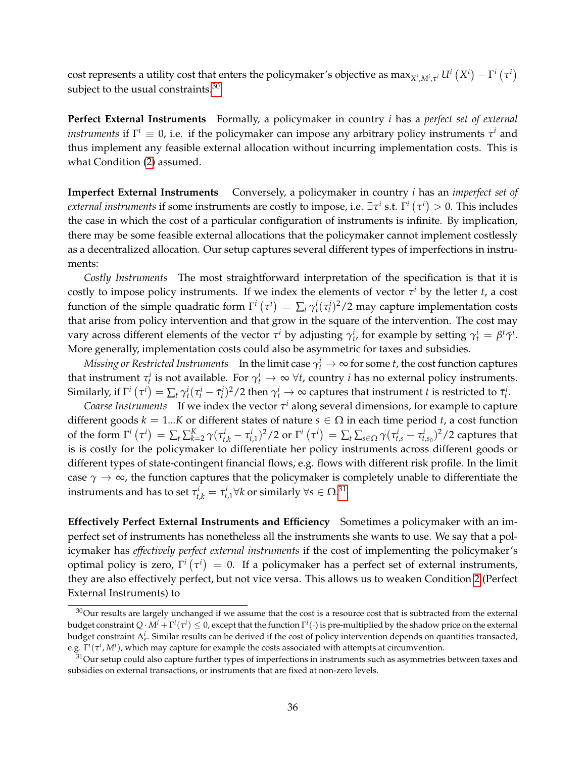cost represents a utility cost that enters the policymaker's objective as  $\max_{X^i,M^i,\tau^i} U^i(X^i)-\Gamma^i(\tau^i)$ subject to the usual constraints.<sup>[30](#page-35-0)</sup>

**Perfect External Instruments** Formally, a policymaker in country *i* has a *perfect set of external instruments* if  $\Gamma^i \equiv 0$ , i.e. if the policymaker can impose any arbitrary policy instruments  $\tau^i$  and thus implement any feasible external allocation without incurring implementation costs. This is what Condition [\(2\)](#page-21-5) assumed.

**Imperfect External Instruments** Conversely, a policymaker in country *i* has an *imperfect set of external instruments* if some instruments are costly to impose, i.e.  $\exists \tau^i$  s.t.  $\Gamma^i\left(\tau^i\right)>0.$  This includes the case in which the cost of a particular configuration of instruments is infinite. By implication, there may be some feasible external allocations that the policymaker cannot implement costlessly as a decentralized allocation. Our setup captures several different types of imperfections in instruments:

*Costly Instruments* The most straightforward interpretation of the specification is that it is costly to impose policy instruments. If we index the elements of vector  $\tau^i$  by the letter *t*, a cost function of the simple quadratic form  $\Gamma^i(\tau^i) = \sum_t \gamma_t^i(\tau_t^i)^2/2$  may capture implementation costs that arise from policy intervention and that grow in the square of the intervention. The cost may vary across different elements of the vector  $\tau^i$  by adjusting  $\gamma^i_t$ , for example by setting  $\gamma^i_t = \beta^t \bar{\gamma}^i$ . More generally, implementation costs could also be asymmetric for taxes and subsidies.

*Missing or Restricted Instruments* In the limit case  $\gamma_t^i \to \infty$  for some *t*, the cost function captures that instrument  $\tau_t^i$  is not available. For  $\gamma_t^i \to \infty$   $\forall t$ , country *i* has no external policy instruments. Similarly, if  $\Gamma^i\left(\tau^i\right)=\sum_t\gamma^i_t(\tau^i_t-\bar{\tau}^i_t)^2/2$  then  $\gamma^i_t\to\infty$  captures that instrument  $t$  is restricted to  $\bar{\tau}^i_t.$ 

*Coarse Instruments* If we index the vector  $\tau^i$  along several dimensions, for example to capture different goods  $k = 1...K$  or different states of nature  $s \in \Omega$  in each time period *t*, a cost function of the form  $\Gamma^i\left(\tau^i\right) = \sum_t \sum_{k=2}^K \gamma(\tau_{t,k}^i - \tau_{t,1}^i)^2/2$  or  $\Gamma^i\left(\tau^i\right) = \sum_t \sum_{s \in \Omega} \gamma(\tau_{t,s}^i - \tau_{t,s_0}^i)^2/2$  captures that is is costly for the policymaker to differentiate her policy instruments across different goods or different types of state-contingent financial flows, e.g. flows with different risk profile. In the limit case  $\gamma \to \infty$ , the function captures that the policymaker is completely unable to differentiate the instruments and has to set  $\tau_{t,k}^i = \tau_{t,1}^i \forall k$  or similarly  $\forall s \in \Omega^{.31}$  $\forall s \in \Omega^{.31}$  $\forall s \in \Omega^{.31}$ 

**Effectively Perfect External Instruments and Efficiency** Sometimes a policymaker with an imperfect set of instruments has nonetheless all the instruments she wants to use. We say that a policymaker has *effectively perfect external instruments* if the cost of implementing the policymaker's optimal policy is zero,  $\Gamma^i\left(\tau^i\right)\,=\,0.$  If a policymaker has a perfect set of external instruments, they are also effectively perfect, but not vice versa. This allows us to weaken Condition [2](#page-21-5) (Perfect External Instruments) to

<span id="page-35-0"></span> $30$ Our results are largely unchanged if we assume that the cost is a resource cost that is subtracted from the external budget constraint  $Q\cdot M^i+\Gamma^i(\tau^i)\leq 0$ , except that the function  $\Gamma^i(\cdot)$  is pre-multiplied by the shadow price on the external budget constraint Λ*<sup>i</sup> e* . Similar results can be derived if the cost of policy intervention depends on quantities transacted, e.g.  $\Gamma^i(\tau^i,M^i)$ , which may capture for example the costs associated with attempts at circumvention.

<span id="page-35-1"></span> $31$ Our setup could also capture further types of imperfections in instruments such as asymmetries between taxes and subsidies on external transactions, or instruments that are fixed at non-zero levels.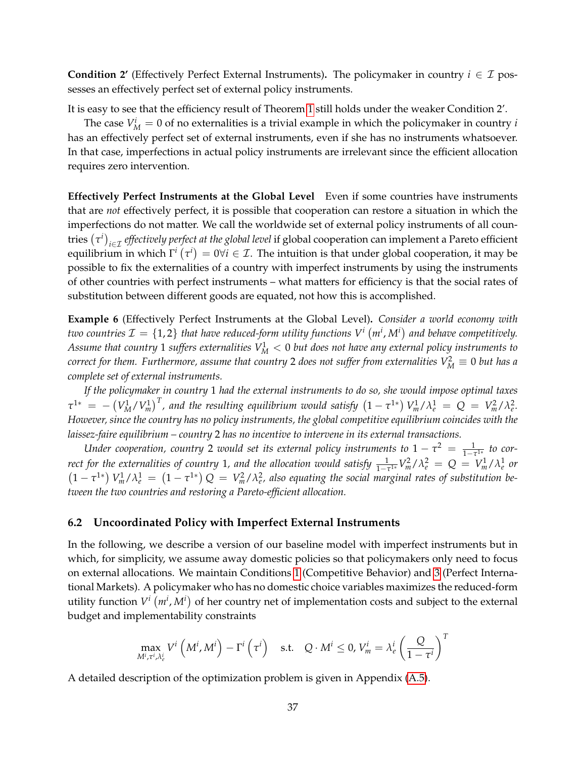**Condition 2'** (Effectively Perfect External Instruments). The policymaker in country  $i \in \mathcal{I}$  possesses an effectively perfect set of external policy instruments.

It is easy to see that the efficiency result of Theorem [1](#page-25-1) still holds under the weaker Condition 2'.

The case  $V_M^i = 0$  of no externalities is a trivial example in which the policymaker in country *i* has an effectively perfect set of external instruments, even if she has no instruments whatsoever. In that case, imperfections in actual policy instruments are irrelevant since the efficient allocation requires zero intervention.

**Effectively Perfect Instruments at the Global Level** Even if some countries have instruments that are *not* effectively perfect, it is possible that cooperation can restore a situation in which the imperfections do not matter. We call the worldwide set of external policy instruments of all countries  $(\tau^i)_{i\in\mathcal{I}}$  *effectively perfect at the global level* if global cooperation can implement a Pareto efficient equilibrium in which  $\Gamma^i\left(\tau^i\right)=0$ ∀ $i\in\mathcal{I}$ . The intuition is that under global cooperation, it may be possible to fix the externalities of a country with imperfect instruments by using the instruments of other countries with perfect instruments – what matters for efficiency is that the social rates of substitution between different goods are equated, not how this is accomplished.

<span id="page-36-1"></span>**Example 6** (Effectively Perfect Instruments at the Global Level)**.** *Consider a world economy with two countries*  $\mathcal{I} = \{1,2\}$  *that have reduced-form utility functions*  $V^i\left(m^i,M^i\right)$  *and behave competitively.* Assume that country  $1$  suffers externalities  $V_{M}^{1} < 0$  but does not have any external policy instruments to  $\alpha$  *correct for them. Furthermore, assume that country* 2 *does not suffer from externalities*  $V^2_M\equiv 0$  *but has a complete set of external instruments.*

*If the policymaker in country* 1 *had the external instruments to do so, she would impose optimal taxes*  $\tau^{1*} = -\left(V_M^1/V_m^1\right)^T$ , and the resulting equilibrium would satisfy  $\left(1-\tau^{1*}\right)V_m^1/\lambda_e^1 = Q = V_m^2/\lambda_e^2$ . *However, since the country has no policy instruments, the global competitive equilibrium coincides with the laissez-faire equilibrium – country* 2 *has no incentive to intervene in its external transactions.*

*Under cooperation, country* 2 *would set its external policy instruments to*  $1 - \tau^2 = \frac{1}{1 - \tau^{1*}}$  *to correct for the externalities of country* 1, and the allocation would satisfy  $\frac{1}{1-\tau^{1*}}V_m^2/\lambda_e^2 = Q = V_m^1/\lambda_e^1$  or  $(1 - \tau^{1*}) V_m^1 / \lambda_e^1 = (1 - \tau^{1*}) Q = V_m^2 / \lambda_e^2$ , also equating the social marginal rates of substitution be*tween the two countries and restoring a Pareto-efficient allocation.*

#### <span id="page-36-0"></span>**6.2 Uncoordinated Policy with Imperfect External Instruments**

In the following, we describe a version of our baseline model with imperfect instruments but in which, for simplicity, we assume away domestic policies so that policymakers only need to focus on external allocations. We maintain Conditions [1](#page-21-2) (Competitive Behavior) and [3](#page-21-4) (Perfect International Markets). A policymaker who has no domestic choice variables maximizes the reduced-form utility function  $V^i(m^i, M^i)$  of her country net of implementation costs and subject to the external budget and implementability constraints

$$
\max_{M^i, \tau^i, \lambda^i_e} V^i\left(M^i, M^i\right) - \Gamma^i\left(\tau^i\right) \quad \text{s.t.} \quad Q \cdot M^i \le 0, \, V^i_m = \lambda^i_e \left(\frac{Q}{1 - \tau^i}\right)^T
$$

A detailed description of the optimization problem is given in Appendix [\(A.5\)](#page-57-0).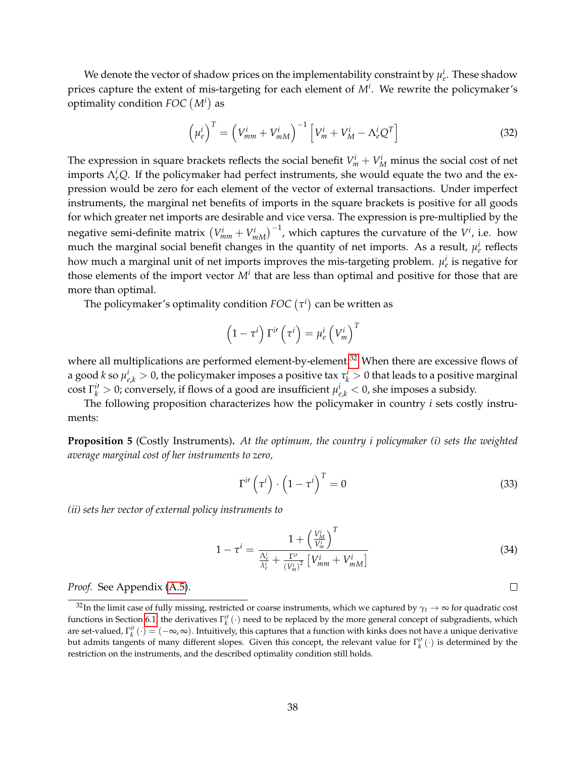We denote the vector of shadow prices on the implementability constraint by  $\mu_e^i$ . These shadow prices capture the extent of mis-targeting for each element of *M<sup>i</sup>* . We rewrite the policymaker's optimality condition *FOC M<sup>i</sup>* as

<span id="page-37-3"></span>
$$
\left(\mu_e^i\right)^T = \left(V_{mm}^i + V_{mM}^i\right)^{-1} \left[V_m^i + V_M^i - \Lambda_e^i Q^T\right]
$$
\n(32)

The expression in square brackets reflects the social benefit  $V_m^i + V_M^i$  minus the social cost of net imports  $\Lambda_e^i Q$ . If the policymaker had perfect instruments, she would equate the two and the expression would be zero for each element of the vector of external transactions. Under imperfect instruments, the marginal net benefits of imports in the square brackets is positive for all goods for which greater net imports are desirable and vice versa. The expression is pre-multiplied by the negative semi-definite matrix  $\left(V_{mm}^{i}+V_{mM}^{i}\right)^{-1}$ , which captures the curvature of the  $V^{i}$ , i.e. how much the marginal social benefit changes in the quantity of net imports. As a result,  $\mu_e^i$  reflects how much a marginal unit of net imports improves the mis-targeting problem.  $\mu_e^i$  is negative for those elements of the import vector  $M^i$  that are less than optimal and positive for those that are more than optimal.

The policymaker's optimality condition  $\mathit{FOC}\left(\tau^i\right)$  can be written as

$$
\left(1-\tau^{i}\right)\Gamma^{i\prime}\left(\tau^{i}\right)=\mu_{e}^{i}\left(V_{m}^{i}\right)^{T}
$$

where all multiplications are performed element-by-element.<sup>[32](#page-37-0)</sup> When there are excessive flows of a good *k* so  $\mu_{e,k}^i > 0$ , the policymaker imposes a positive tax  $\tau_k^i > 0$  that leads to a positive marginal  $\cosh \Gamma_k^{i'} > 0$ ; conversely, if flows of a good are insufficient  $\mu_{e,k}^i < 0$ , she imposes a subsidy.

The following proposition characterizes how the policymaker in country *i* sets costly instruments:

<span id="page-37-4"></span>**Proposition 5** (Costly Instruments)**.** *At the optimum, the country i policymaker (i) sets the weighted average marginal cost of her instruments to zero,*

<span id="page-37-2"></span>
$$
\Gamma^{i\prime}\left(\tau^{i}\right)\cdot\left(1-\tau^{i}\right)^{T}=0\tag{33}
$$

*(ii) sets her vector of external policy instruments to*

<span id="page-37-1"></span>
$$
1 - \tau^{i} = \frac{1 + \left(\frac{V_{M}^{i}}{V_{m}^{i}}\right)^{T}}{\frac{\Lambda_{e}^{i}}{\lambda_{e}^{i}} + \frac{\Gamma^{i'}}{(V_{m}^{i})^{2}} \left[V_{mm}^{i} + V_{mm}^{i}\right]}
$$
(34)

*Proof.* See Appendix [\(A.5\)](#page-57-0).

 $\Box$ 

<span id="page-37-0"></span><sup>&</sup>lt;sup>32</sup>In the limit case of fully missing, restricted or coarse instruments, which we captured by  $\gamma_t \to \infty$  for quadratic cost functions in Section [6.1,](#page-34-1) the derivatives  $\Gamma_k^{i'}(\cdot)$  need to be replaced by the more general concept of subgradients, which are set-valued,  $\Gamma_k^{i'}(\cdot) = (-\infty, \infty)$ . Intuitively, this captures that a function with kinks does not have a unique derivative but admits tangents of many different slopes. Given this concept, the relevant value for  $\Gamma_k^i(\cdot)$  is determined by the restriction on the instruments, and the described optimality condition still holds.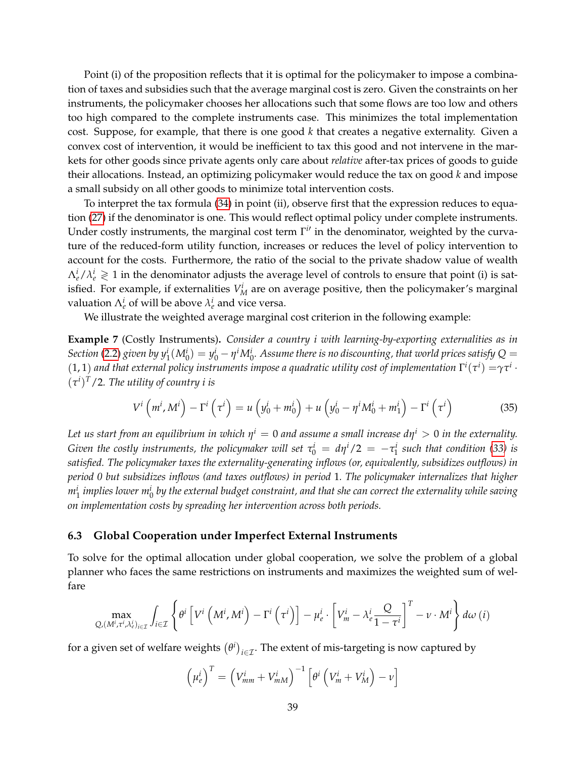Point (i) of the proposition reflects that it is optimal for the policymaker to impose a combination of taxes and subsidies such that the average marginal cost is zero. Given the constraints on her instruments, the policymaker chooses her allocations such that some flows are too low and others too high compared to the complete instruments case. This minimizes the total implementation cost. Suppose, for example, that there is one good *k* that creates a negative externality. Given a convex cost of intervention, it would be inefficient to tax this good and not intervene in the markets for other goods since private agents only care about *relative* after-tax prices of goods to guide their allocations. Instead, an optimizing policymaker would reduce the tax on good *k* and impose a small subsidy on all other goods to minimize total intervention costs.

To interpret the tax formula [\(34\)](#page-37-1) in point (ii), observe first that the expression reduces to equation [\(27\)](#page-24-3) if the denominator is one. This would reflect optimal policy under complete instruments. Under costly instruments, the marginal cost term  $\Gamma^{i}$  in the denominator, weighted by the curvature of the reduced-form utility function, increases or reduces the level of policy intervention to account for the costs. Furthermore, the ratio of the social to the private shadow value of wealth  $\Lambda_e^i/\lambda_e^i \gtrless 1$  in the denominator adjusts the average level of controls to ensure that point (i) is satisfied. For example, if externalities  $V_M^i$  are on average positive, then the policymaker's marginal valuation  $\Lambda_e^i$  of will be above  $\lambda_e^i$  and vice versa.

We illustrate the weighted average marginal cost criterion in the following example:

<span id="page-38-1"></span>**Example 7** (Costly Instruments)**.** *Consider a country i with learning-by-exporting externalities as in* Section [\(2.2\)](#page-9-0) given by  $y_1^i(M_0^i) = y_0^i - \eta^i M_0^i$ . Assume there is no discounting, that world prices satisfy Q  $=$  $(1,1)$  and that external policy instruments impose a quadratic utility cost of implementation  $\Gamma^i(\tau^i)=\gamma\tau^i\cdot\tau^i$  $(\tau^i)^T/2$ . The utility of country i is

<span id="page-38-2"></span>
$$
V^{i}\left(m^{i}, M^{i}\right) - \Gamma^{i}\left(\tau^{i}\right) = u\left(y_{0}^{i} + m_{0}^{i}\right) + u\left(y_{0}^{i} - \eta^{i} M_{0}^{i} + m_{1}^{i}\right) - \Gamma^{i}\left(\tau^{i}\right)
$$
(35)

Let us start from an equilibrium in which  $\eta^i=0$  and assume a small increase d $\eta^i>0$  in the externality. *Given the costly instruments, the policymaker will set*  $\tau_0^i = d\eta^i/2 = -\tau_1^i$  such that condition [\(33\)](#page-37-2) is *satisfied. The policymaker taxes the externality-generating inflows (or, equivalently, subsidizes outflows) in period 0 but subsidizes inflows (and taxes outflows) in period* 1*. The policymaker internalizes that higher*  $m^i_1$  implies lower  $m^i_0$  by the external budget constraint, and that she can correct the externality while saving *on implementation costs by spreading her intervention across both periods.*

#### <span id="page-38-0"></span>**6.3 Global Cooperation under Imperfect External Instruments**

To solve for the optimal allocation under global cooperation, we solve the problem of a global planner who faces the same restrictions on instruments and maximizes the weighted sum of welfare

$$
\max_{Q,(M^i,\tau^i,\lambda^i_e)_{i\in\mathcal{I}}} \int_{i\in\mathcal{I}} \left\{ \theta^i \left[ V^i \left( M^i, M^i \right) - \Gamma^i \left( \tau^i \right) \right] - \mu^i_e \cdot \left[ V^i_m - \lambda^i_e \frac{Q}{1-\tau^i} \right]^T - \nu \cdot M^i \right\} d\omega \left( i \right)
$$

for a given set of welfare weights  $(\theta^i)_{i\in\mathcal{I}}.$  The extent of mis-targeting is now captured by

$$
\left(\mu_e^i\right)^T = \left(V_{mm}^i + V_{mM}^i\right)^{-1} \left[\theta^i \left(V_m^i + V_M^i\right) - \nu\right]
$$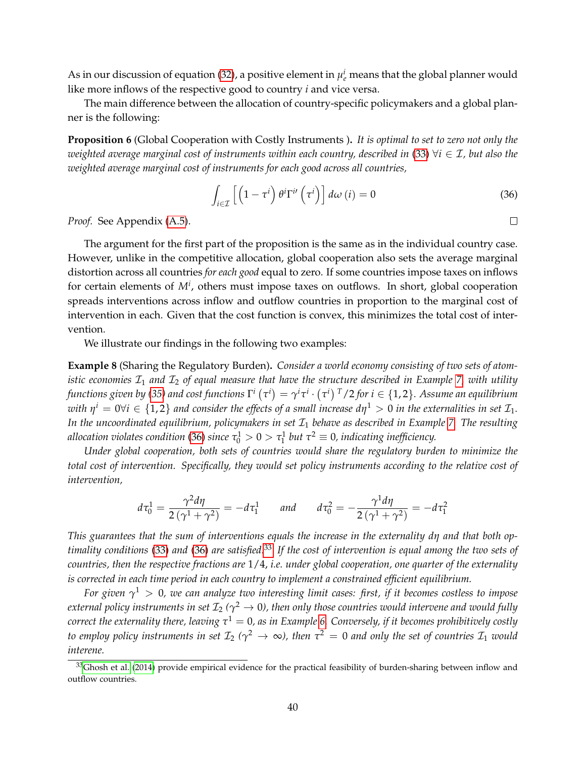As in our discussion of equation [\(32\)](#page-37-3), a positive element in  $\mu_e^i$  means that the global planner would like more inflows of the respective good to country *i* and vice versa.

The main difference between the allocation of country-specific policymakers and a global planner is the following:

<span id="page-39-2"></span>**Proposition 6** (Global Cooperation with Costly Instruments )**.** *It is optimal to set to zero not only the weighted average marginal cost of instruments within each country, described in* [\(33\)](#page-37-2) ∀*i* ∈ I*, but also the weighted average marginal cost of instruments for each good across all countries,*

<span id="page-39-0"></span>
$$
\int_{i\in\mathcal{I}} \left[ \left( 1 - \tau^i \right) \theta^i \Gamma^{i\prime} \left( \tau^i \right) \right] d\omega \left( i \right) = 0 \tag{36}
$$

 $\Box$ 

*Proof.* See Appendix [\(A.5\)](#page-57-0).

The argument for the first part of the proposition is the same as in the individual country case. However, unlike in the competitive allocation, global cooperation also sets the average marginal distortion across all countries *for each good* equal to zero. If some countries impose taxes on inflows for certain elements of  $M<sup>i</sup>$ , others must impose taxes on outflows. In short, global cooperation spreads interventions across inflow and outflow countries in proportion to the marginal cost of intervention in each. Given that the cost function is convex, this minimizes the total cost of intervention.

We illustrate our findings in the following two examples:

**Example 8** (Sharing the Regulatory Burden)**.** *Consider a world economy consisting of two sets of atomistic economies*  $\mathcal{I}_1$  *and*  $\mathcal{I}_2$  *of equal measure that have the structure described in Example 7, with utility* functions given by [\(35\)](#page-38-2) and cost functions  $\Gamma^i$   $(\tau^i)=\gamma^i\tau^i\cdot(\tau^i)$   $^T$  /2 for  $i\in\{1,2\}.$  Assume an equilibrium with  $\eta^i=0$ ∀ $i\in\{1,2\}$  and consider the effects of a small increase d $\eta^1>0$  in the externalities in set  $\mathcal{I}_1.$ In the uncoordinated equilibrium, policymakers in set  $\mathcal{I}_1$  behave as described in Example [7.](#page-38-1) The resulting allocation violates condition [\(36\)](#page-39-0) since  $\tau_0^1 > 0 > \tau_1^1$  but  $\tau^2 \equiv 0$ , indicating inefficiency.

*Under global cooperation, both sets of countries would share the regulatory burden to minimize the total cost of intervention. Specifically, they would set policy instruments according to the relative cost of intervention,*

$$
d\tau_0^1 = \frac{\gamma^2 d\eta}{2(\gamma^1 + \gamma^2)} = -d\tau_1^1 \quad \text{and} \quad d\tau_0^2 = -\frac{\gamma^1 d\eta}{2(\gamma^1 + \gamma^2)} = -d\tau_1^2
$$

*This guarantees that the sum of interventions equals the increase in the externality dη and that both optimality conditions* [\(33\)](#page-37-2) *and* [\(36\)](#page-39-0) *are satisfied.*[33](#page-39-1) *If the cost of intervention is equal among the two sets of countries, then the respective fractions are* 1/4, *i.e. under global cooperation, one quarter of the externality is corrected in each time period in each country to implement a constrained efficient equilibrium.*

*For given γ* <sup>1</sup> > 0*, we can analyze two interesting limit cases: first, if it becomes costless to impose*  $e$ xternal policy instruments in set  ${\cal I}_2$  ( $\gamma^2 \to 0$ ), then only those countries would intervene and would fully *correct the externality there, leaving τ* <sup>1</sup> = 0*, as in Example [6.](#page-36-1) Conversely, if it becomes prohibitively costly to employ policy instruments in set*  $\mathcal{I}_2$  ( $\gamma^2 \to \infty$ ), then  $\tau^2=0$  and only the set of countries  $\mathcal{I}_1$  would *interene.*

<span id="page-39-1"></span> $33$ [Ghosh et al.](#page-51-15) [\(2014\)](#page-51-15) provide empirical evidence for the practical feasibility of burden-sharing between inflow and outflow countries.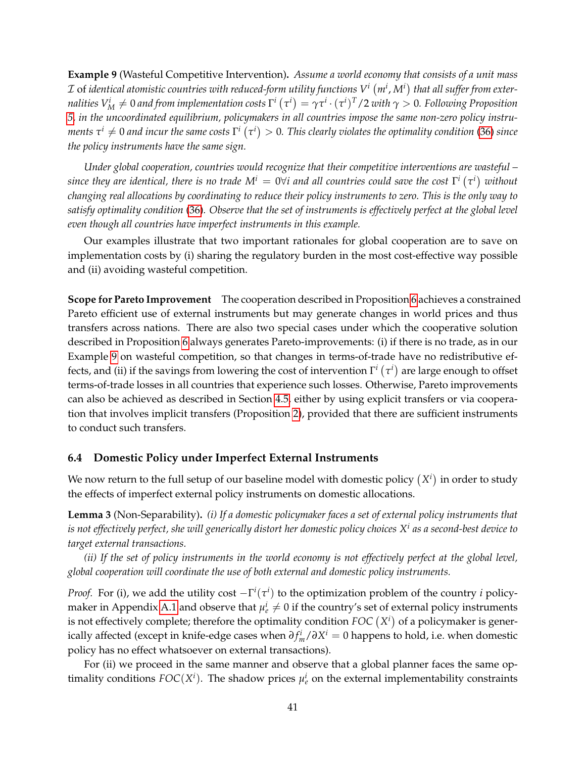<span id="page-40-1"></span>**Example 9** (Wasteful Competitive Intervention)**.** *Assume a world economy that consists of a unit mass*  $\cal I$  of identical atomistic countries with reduced-form utility functions  $V^i\left(m^i,M^i\right)$  that all suffer from exter $m$  *nalities*  $V^i_M\neq 0$  *and from implementation costs*  $\Gamma^i$   $(\tau^i)=\gamma\tau^i\cdot(\tau^i)^T/2$  with  $\gamma>0$ . Following Proposition *[5,](#page-37-4) in the uncoordinated equilibrium, policymakers in all countries impose the same non-zero policy instru*ments  $\tau^i\neq 0$  and incur the same costs  $\Gamma^i$   $(\tau^i)>0.$  This clearly violates the optimality condition [\(36\)](#page-39-0) since *the policy instruments have the same sign.*

*Under global cooperation, countries would recognize that their competitive interventions are wasteful –*  $s$ ince they are identical, there is no trade  $M^i = 0$ ∀i and all countries could save the cost  $\Gamma^i\left(\tau^i\right)$  without *changing real allocations by coordinating to reduce their policy instruments to zero. This is the only way to satisfy optimality condition* [\(36\)](#page-39-0)*. Observe that the set of instruments is effectively perfect at the global level even though all countries have imperfect instruments in this example.*

Our examples illustrate that two important rationales for global cooperation are to save on implementation costs by (i) sharing the regulatory burden in the most cost-effective way possible and (ii) avoiding wasteful competition.

**Scope for Pareto Improvement** The cooperation described in Proposition [6](#page-39-2) achieves a constrained Pareto efficient use of external instruments but may generate changes in world prices and thus transfers across nations. There are also two special cases under which the cooperative solution described in Proposition [6](#page-39-2) always generates Pareto-improvements: (i) if there is no trade, as in our Example [9](#page-40-1) on wasteful competition, so that changes in terms-of-trade have no redistributive effects, and (ii) if the savings from lowering the cost of intervention  $\Gamma^i\left(\tau^i\right)$  are large enough to offset terms-of-trade losses in all countries that experience such losses. Otherwise, Pareto improvements can also be achieved as described in Section [4.5,](#page-27-0) either by using explicit transfers or via cooperation that involves implicit transfers (Proposition [2\)](#page-28-2), provided that there are sufficient instruments to conduct such transfers.

#### <span id="page-40-0"></span>**6.4 Domestic Policy under Imperfect External Instruments**

We now return to the full setup of our baseline model with domestic policy  $(X^i)$  in order to study the effects of imperfect external policy instruments on domestic allocations.

**Lemma 3** (Non-Separability)**.** *(i) If a domestic policymaker faces a set of external policy instruments that is not effectively perfect, she will generically distort her domestic policy choices X<sup>i</sup> as a second-best device to target external transactions.*

*(ii) If the set of policy instruments in the world economy is not effectively perfect at the global level, global cooperation will coordinate the use of both external and domestic policy instruments.*

*Proof.* For (i), we add the utility cost  $-\Gamma^i(\tau^i)$  to the optimization problem of the country *i* policy-maker in Appendix [A.1](#page-53-1) and observe that  $\mu_e^i \neq 0$  if the country's set of external policy instruments is not effectively complete; therefore the optimality condition  $FOC\left(X^{i}\right)$  of a policymaker is generically affected (except in knife-edge cases when *∂ f i <sup>m</sup>*/*∂X <sup>i</sup>* = 0 happens to hold, i.e. when domestic policy has no effect whatsoever on external transactions).

For (ii) we proceed in the same manner and observe that a global planner faces the same optimality conditions  $FOC(X<sup>i</sup>)$ . The shadow prices  $\mu<sup>i</sup><sub>e</sub>$  on the external implementability constraints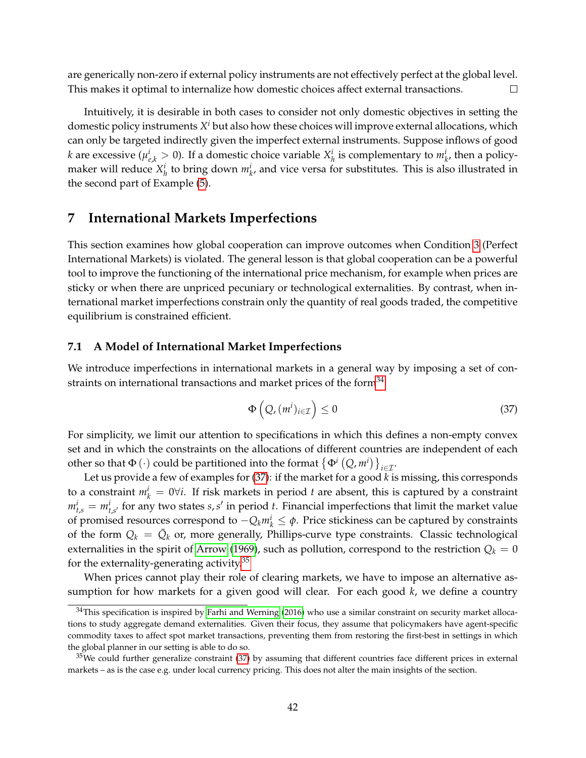are generically non-zero if external policy instruments are not effectively perfect at the global level. This makes it optimal to internalize how domestic choices affect external transactions.  $\Box$ 

Intuitively, it is desirable in both cases to consider not only domestic objectives in setting the domestic policy instruments *X <sup>i</sup>* but also how these choices will improve external allocations, which can only be targeted indirectly given the imperfect external instruments. Suppose inflows of good *k* are excessive ( $\mu_{e,k}^i > 0$ ). If a domestic choice variable  $X_h^i$  is complementary to  $m_k^i$ , then a policymaker will reduce  $X_h^i$  to bring down  $m_k^i$ , and vice versa for substitutes. This is also illustrated in the second part of Example [\(5\)](#page-33-1).

# <span id="page-41-0"></span>**7 International Markets Imperfections**

This section examines how global cooperation can improve outcomes when Condition [3](#page-21-4) (Perfect International Markets) is violated. The general lesson is that global cooperation can be a powerful tool to improve the functioning of the international price mechanism, for example when prices are sticky or when there are unpriced pecuniary or technological externalities. By contrast, when international market imperfections constrain only the quantity of real goods traded, the competitive equilibrium is constrained efficient.

## <span id="page-41-1"></span>**7.1 A Model of International Market Imperfections**

We introduce imperfections in international markets in a general way by imposing a set of constraints on international transactions and market prices of the form $34$ 

<span id="page-41-3"></span>
$$
\Phi\left(Q, (m^i)_{i \in \mathcal{I}}\right) \le 0 \tag{37}
$$

For simplicity, we limit our attention to specifications in which this defines a non-empty convex set and in which the constraints on the allocations of different countries are independent of each other so that  $\Phi(\cdot)$  could be partitioned into the format  $\{\Phi^i(Q,m^i)\}_{i\in\mathcal{I}}$ .

Let us provide a few of examples for [\(37\)](#page-41-3): if the market for a good *k* is missing, this corresponds to a constraint  $m_k^i = 0 \forall i$ . If risk markets in period *t* are absent, this is captured by a constraint  $m_{t,s}^i = m_{t,s'}^i$  for any two states *s*, *s'* in period *t*. Financial imperfections that limit the market value of promised resources correspond to −*Qkm<sup>i</sup> <sup>k</sup>* ≤ *φ*. Price stickiness can be captured by constraints of the form  $Q_k = \bar{Q}_k$  or, more generally, Phillips-curve type constraints. Classic technological externalities in the spirit of [Arrow](#page-50-8) [\(1969\)](#page-50-8), such as pollution, correspond to the restriction  $Q_k = 0$ for the externality-generating activity.<sup>[35](#page-41-4)</sup>

When prices cannot play their role of clearing markets, we have to impose an alternative assumption for how markets for a given good will clear. For each good *k*, we define a country

<span id="page-41-2"></span> $34$ This specification is inspired by [Farhi and Werning](#page-51-8) [\(2016\)](#page-51-8) who use a similar constraint on security market allocations to study aggregate demand externalities. Given their focus, they assume that policymakers have agent-specific commodity taxes to affect spot market transactions, preventing them from restoring the first-best in settings in which the global planner in our setting is able to do so.

<span id="page-41-4"></span> $35$ We could further generalize constraint [\(37\)](#page-41-3) by assuming that different countries face different prices in external markets – as is the case e.g. under local currency pricing. This does not alter the main insights of the section.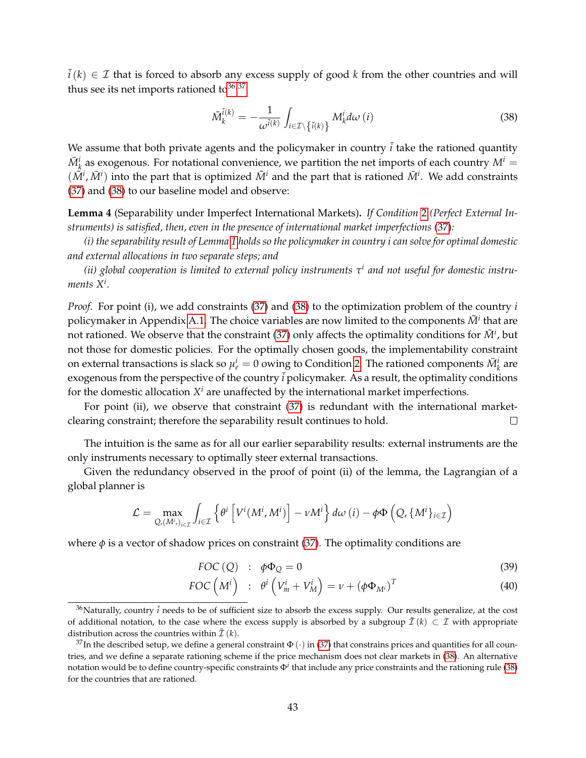$\overline{i}(k) \in \mathcal{I}$  that is forced to absorb any excess supply of good k from the other countries and will thus see its net imports rationed to  $36,37$  $36,37$ 

<span id="page-42-2"></span>
$$
\bar{M}_k^{\bar{i}(k)} = -\frac{1}{\omega^{\bar{i}(k)}} \int_{i \in \mathcal{I} \setminus \{\bar{i}(k)\}} M_k^i d\omega(i) \tag{38}
$$

We assume that both private agents and the policymaker in country  $\vec{i}$  take the rationed quantity  $\bar{M}^i_k$  as exogenous. For notational convenience, we partition the net imports of each country  $M^i=1$  $(\tilde{M}^i, \bar{M}^i)$  into the part that is optimized  $\tilde{M}^i$  and the part that is rationed  $\bar{M}^i$ . We add constraints [\(37\)](#page-41-3) and [\(38\)](#page-42-2) to our baseline model and observe:

**Lemma 4** (Separability under Imperfect International Markets)**.** *If Condition* [2](#page-21-5) *(Perfect External Instruments) is satisfied, then, even in the presence of international market imperfections* [\(37\)](#page-41-3)*:*

*(i) the separability result of Lemma [1](#page-22-0) holds so the policymaker in country i can solve for optimal domestic and external allocations in two separate steps; and*

*(ii) global cooperation is limited to external policy instruments τ i and not useful for domestic instruments X<sup>i</sup> .*

*Proof.* For point (i), we add constraints [\(37\)](#page-41-3) and [\(38\)](#page-42-2) to the optimization problem of the country *i* policymaker in Appendix [A.1.](#page-53-1) The choice variables are now limited to the components  $\tilde{M}^i$  that are not rationed. We observe that the constraint [\(37\)](#page-41-3) only affects the optimality conditions for  $\tilde{M}^i$ , but not those for domestic policies. For the optimally chosen goods, the implementability constraint on external transactions is slack so  $\mu_e^i = 0$  owing to Condition [2.](#page-21-5) The rationed components  $\bar{M}_k^i$  are exogenous from the perspective of the country  $\overline{i}$  policymaker. As a result, the optimality conditions for the domestic allocation  $X^i$  are unaffected by the international market imperfections.

For point (ii), we observe that constraint [\(37\)](#page-41-3) is redundant with the international marketclearing constraint; therefore the separability result continues to hold.  $\Box$ 

The intuition is the same as for all our earlier separability results: external instruments are the only instruments necessary to optimally steer external transactions.

Given the redundancy observed in the proof of point (ii) of the lemma, the Lagrangian of a global planner is

$$
\mathcal{L} = \max_{Q_i(M^i,j)_{i \in \mathcal{I}}} \int_{i \in \mathcal{I}} \left\{ \theta^i \left[ V^i(M^i,M^i) \right] - \nu M^i \right\} d\omega \left( i \right) - \phi \Phi \left( Q, \{ M^i \}_{i \in \mathcal{I}} \right)
$$

where  $\phi$  is a vector of shadow prices on constraint [\(37\)](#page-41-3). The optimality conditions are

<span id="page-42-3"></span>
$$
FOC(Q) : \phi \Phi_Q = 0 \tag{39}
$$

$$
FOC\left(M^{i}\right) \ : \ \theta^{i}\left(V_{m}^{i}+V_{M}^{i}\right)=\nu+\left(\phi\Phi_{M^{i}}\right)^{T}
$$
\n
$$
\tag{40}
$$

<span id="page-42-0"></span> $36$ Naturally, country  $\bar{i}$  needs to be of sufficient size to absorb the excess supply. Our results generalize, at the cost of additional notation, to the case where the excess supply is absorbed by a subgroup  $\bar{I}(k) \subset \mathcal{I}$  with appropriate distribution across the countries within  $\bar{\mathcal{I}}(k)$ .

<span id="page-42-1"></span><sup>&</sup>lt;sup>37</sup>In the described setup, we define a general constraint  $\Phi(\cdot)$  in [\(37\)](#page-41-3) that constrains prices and quantities for all countries, and we define a separate rationing scheme if the price mechanism does not clear markets in [\(38\)](#page-42-2). An alternative notation would be to define country-specific constraints Φ*<sup>i</sup>* that include any price constraints and the rationing rule [\(38\)](#page-42-2) for the countries that are rationed.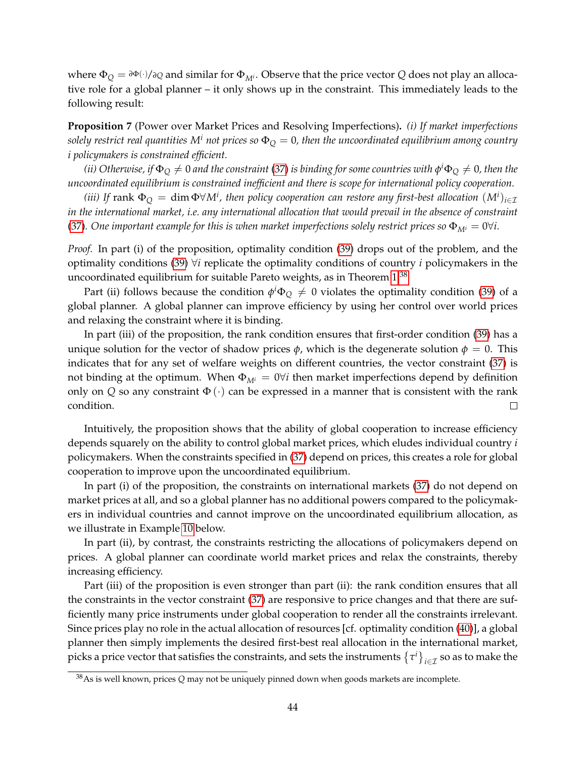where  $\Phi_Q = \partial \Phi(\cdot)/\partial Q$  and similar for  $\Phi_{M^i}$ . Observe that the price vector *Q* does not play an allocative role for a global planner – it only shows up in the constraint. This immediately leads to the following result:

<span id="page-43-1"></span>**Proposition 7** (Power over Market Prices and Resolving Imperfections)**.** *(i) If market imperfections solely restrict real quantities*  $M^i$  *not prices so*  $\Phi_Q = 0$ , then the uncoordinated equilibrium among country *i policymakers is constrained efficient.*

 $(iii)$  Otherwise, if  $\Phi_Q\neq 0$  and the constraint [\(37\)](#page-41-3) is binding for some countries with  $\phi^i\Phi_Q\neq 0$ , then the *uncoordinated equilibrium is constrained inefficient and there is scope for international policy cooperation.*

*(iii)* If  $\text{rank} \ \Phi_{Q} = \dim \Phi \forall M^{i}$ , then policy cooperation can restore any first-best allocation  $(M^{i})_{i\in\mathcal{I}}$ *in the international market, i.e. any international allocation that would prevail in the absence of constraint* [\(37\)](#page-41-3). One important example for this is when market imperfections solely restrict prices so  $\Phi_{M^i} = 0 \forall i$ .

*Proof.* In part (i) of the proposition, optimality condition [\(39\)](#page-42-3) drops out of the problem, and the optimality conditions [\(39\)](#page-42-3) ∀*i* replicate the optimality conditions of country *i* policymakers in the uncoordinated equilibrium for suitable Pareto weights, as in Theorem  $1^{38}$  $1^{38}$  $1^{38}$ 

Part (ii) follows because the condition  $\phi^i\Phi_Q\neq 0$  violates the optimality condition [\(39\)](#page-42-3) of a global planner. A global planner can improve efficiency by using her control over world prices and relaxing the constraint where it is binding.

In part (iii) of the proposition, the rank condition ensures that first-order condition [\(39\)](#page-42-3) has a unique solution for the vector of shadow prices  $\phi$ , which is the degenerate solution  $\phi = 0$ . This indicates that for any set of welfare weights on different countries, the vector constraint [\(37\)](#page-41-3) is not binding at the optimum. When  $\Phi_{M^i} = 0 \forall i$  then market imperfections depend by definition only on *Q* so any constraint  $\Phi(\cdot)$  can be expressed in a manner that is consistent with the rank condition.  $\Box$ 

Intuitively, the proposition shows that the ability of global cooperation to increase efficiency depends squarely on the ability to control global market prices, which eludes individual country *i* policymakers. When the constraints specified in [\(37\)](#page-41-3) depend on prices, this creates a role for global cooperation to improve upon the uncoordinated equilibrium.

In part (i) of the proposition, the constraints on international markets [\(37\)](#page-41-3) do not depend on market prices at all, and so a global planner has no additional powers compared to the policymakers in individual countries and cannot improve on the uncoordinated equilibrium allocation, as we illustrate in Example [10](#page-44-2) below.

In part (ii), by contrast, the constraints restricting the allocations of policymakers depend on prices. A global planner can coordinate world market prices and relax the constraints, thereby increasing efficiency.

Part (iii) of the proposition is even stronger than part (ii): the rank condition ensures that all the constraints in the vector constraint [\(37\)](#page-41-3) are responsive to price changes and that there are sufficiently many price instruments under global cooperation to render all the constraints irrelevant. Since prices play no role in the actual allocation of resources [cf. optimality condition [\(40\)](#page-42-3)], a global planner then simply implements the desired first-best real allocation in the international market, picks a price vector that satisfies the constraints, and sets the instruments  $\{\tau^i\}_{i\in\mathcal{I}}$  so as to make the

<span id="page-43-0"></span><sup>38</sup>As is well known, prices *Q* may not be uniquely pinned down when goods markets are incomplete.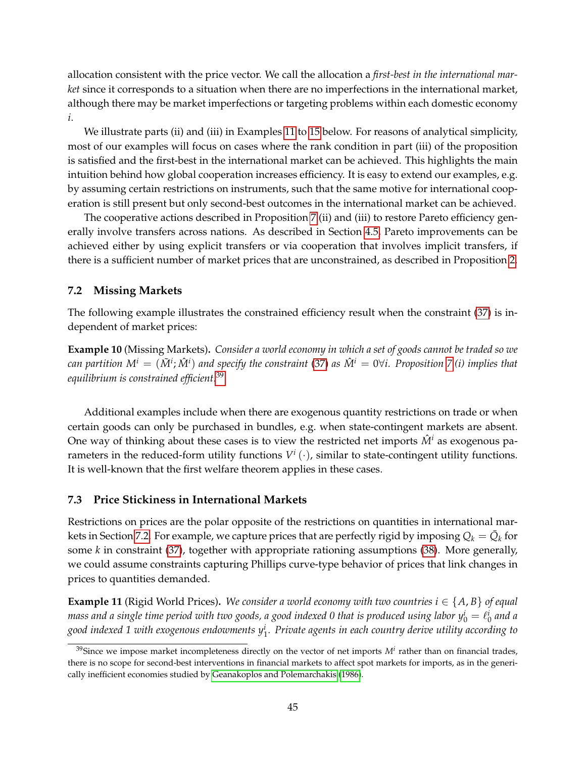allocation consistent with the price vector. We call the allocation a *first-best in the international market* since it corresponds to a situation when there are no imperfections in the international market, although there may be market imperfections or targeting problems within each domestic economy *i*.

We illustrate parts (ii) and (iii) in Examples [11](#page-44-3) to [15](#page-48-0) below. For reasons of analytical simplicity, most of our examples will focus on cases where the rank condition in part (iii) of the proposition is satisfied and the first-best in the international market can be achieved. This highlights the main intuition behind how global cooperation increases efficiency. It is easy to extend our examples, e.g. by assuming certain restrictions on instruments, such that the same motive for international cooperation is still present but only second-best outcomes in the international market can be achieved.

The cooperative actions described in Proposition [7.](#page-43-1)(ii) and (iii) to restore Pareto efficiency generally involve transfers across nations. As described in Section [4.5,](#page-27-0) Pareto improvements can be achieved either by using explicit transfers or via cooperation that involves implicit transfers, if there is a sufficient number of market prices that are unconstrained, as described in Proposition [2.](#page-28-2)

# <span id="page-44-0"></span>**7.2 Missing Markets**

The following example illustrates the constrained efficiency result when the constraint [\(37\)](#page-41-3) is independent of market prices:

<span id="page-44-2"></span>**Example 10** (Missing Markets)**.** *Consider a world economy in which a set of goods cannot be traded so we*  $c$ an partition  $M^i = (\tilde{M}^i;\hat{M}^i)$  and specify the constraint [\(37\)](#page-41-3) as  $\hat{M}^i = 0$ ∀ $i$ . Proposition [7.](#page-43-1)(i) implies that *equilibrium is constrained efficient.*[39](#page-44-4)

Additional examples include when there are exogenous quantity restrictions on trade or when certain goods can only be purchased in bundles, e.g. when state-contingent markets are absent. One way of thinking about these cases is to view the restricted net imports  $\hat{M}^i$  as exogenous parameters in the reduced-form utility functions  $V^i(\cdot)$ , similar to state-contingent utility functions. It is well-known that the first welfare theorem applies in these cases.

# <span id="page-44-1"></span>**7.3 Price Stickiness in International Markets**

Restrictions on prices are the polar opposite of the restrictions on quantities in international mar-kets in Section [7.2.](#page-44-0) For example, we capture prices that are perfectly rigid by imposing  $Q_k = \bar{Q}_k$  for some *k* in constraint [\(37\)](#page-41-3), together with appropriate rationing assumptions [\(38\)](#page-42-2). More generally, we could assume constraints capturing Phillips curve-type behavior of prices that link changes in prices to quantities demanded.

<span id="page-44-3"></span>**Example 11** (Rigid World Prices). *We consider a world economy with two countries*  $i \in \{A, B\}$  *of equal* mass and a single time period with two goods, a good indexed 0 that is produced using labor  $y^i_0 = \ell^i_0$  and a *good indexed 1 with exogenous endowments y<sup>i</sup>* 1 *. Private agents in each country derive utility according to*

<span id="page-44-4"></span> $39$ Since we impose market incompleteness directly on the vector of net imports  $M^i$  rather than on financial trades, there is no scope for second-best interventions in financial markets to affect spot markets for imports, as in the generically inefficient economies studied by [Geanakoplos and Polemarchakis](#page-51-6) [\(1986\)](#page-51-6).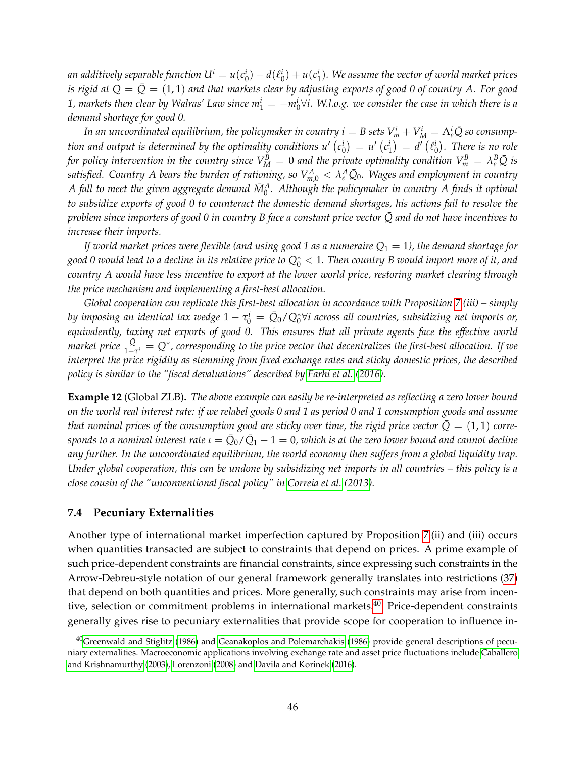an additively separable function  $U^i=u(c_0^i)-d(\ell_0^i)+u(c_1^i)$ . We assume the vector of world market prices *is rigid at*  $Q = \bar{Q} = (1, 1)$  and that markets clear by adjusting exports of good 0 of country A. For good 1, markets then clear by Walras' Law since  $m^i_1=-m^i_0 \forall i$ . W.l.o.g. we consider the case in which there is a *demand shortage for good 0.*

*In an uncoordinated equilibrium, the policymaker in country*  $i=B$  *sets*  $V^i_m+V^i_M=\Lambda^i_e\bar{Q}$  *so consumption and output is determined by the optimality conditions*  $u'(c_0^i) = u'(c_1^i) = d'(l_0^i)$ *. There is no role for policy intervention in the country since*  $V_M^B=0$  *and the private optimality condition*  $V_m^B=\lambda_e^B\bar{Q}$  *is*  $s$ atisfied. Country  $A$  bears the burden of rationing, so  $V_{m,0}^A<\lambda_e^A\bar{Q}_0$ . Wages and employment in country  $A$  fall to meet the given aggregate demand  $\bar{M}^A_0$ . Although the policymaker in country A finds it optimal *to subsidize exports of good 0 to counteract the domestic demand shortages, his actions fail to resolve the problem since importers of good 0 in country B face a constant price vector*  $\overline{Q}$  and do not have incentives to *increase their imports.*

*If world market prices were flexible (and using good 1 as a numeraire Q*<sup>1</sup> = 1*), the demand shortage for good 0 would lead to a decline in its relative price to Q*<sup>∗</sup> <sup>0</sup> < 1*. Then country B would import more of it, and country A would have less incentive to export at the lower world price, restoring market clearing through the price mechanism and implementing a first-best allocation.*

*Global cooperation can replicate this first-best allocation in accordance with Proposition [7.](#page-43-1)(iii) – simply* by imposing an identical tax wedge  $1-\tau_0^i=\bar{Q}_0/Q_0^*$ Vi across all countries, subsidizing net imports or, *equivalently, taxing net exports of good 0. This ensures that all private agents face the effective world market price*  $\frac{Q}{1-\tau'} = Q^*$ , corresponding to the price vector that decentralizes the first-best allocation. If we *interpret the price rigidity as stemming from fixed exchange rates and sticky domestic prices, the described policy is similar to the "fiscal devaluations" described by [Farhi et al.](#page-51-16) [\(2016\)](#page-51-16).*

**Example 12** (Global ZLB)**.** *The above example can easily be re-interpreted as reflecting a zero lower bound on the world real interest rate: if we relabel goods 0 and 1 as period 0 and 1 consumption goods and assume that nominal prices of the consumption good are sticky over time, the rigid price vector*  $\bar{Q} = (1, 1)$  *corre* $s$ ponds to a nominal interest rate  $\iota=\bar{Q}_0/\bar{Q}_1-1=0$ , which is at the zero lower bound and cannot decline *any further. In the uncoordinated equilibrium, the world economy then suffers from a global liquidity trap. Under global cooperation, this can be undone by subsidizing net imports in all countries – this policy is a close cousin of the "unconventional fiscal policy" in [Correia et al.](#page-50-13) [\(2013\)](#page-50-13).*

#### <span id="page-45-0"></span>**7.4 Pecuniary Externalities**

Another type of international market imperfection captured by Proposition [7.](#page-43-1)(ii) and (iii) occurs when quantities transacted are subject to constraints that depend on prices. A prime example of such price-dependent constraints are financial constraints, since expressing such constraints in the Arrow-Debreu-style notation of our general framework generally translates into restrictions [\(37\)](#page-41-3) that depend on both quantities and prices. More generally, such constraints may arise from incen-tive, selection or commitment problems in international markets.<sup>[40](#page-45-1)</sup> Price-dependent constraints generally gives rise to pecuniary externalities that provide scope for cooperation to influence in-

<span id="page-45-1"></span><sup>&</sup>lt;sup>40</sup>[Greenwald and Stiglitz](#page-51-7) [\(1986\)](#page-51-6) and [Geanakoplos and Polemarchakis](#page-51-6) (1986) provide general descriptions of pecuniary externalities. Macroeconomic applications involving exchange rate and asset price fluctuations include [Caballero](#page-50-14) [and Krishnamurthy](#page-50-14) [\(2003\)](#page-50-14), [Lorenzoni](#page-52-16) [\(2008\)](#page-52-16) and [Davila and Korinek](#page-51-17) [\(2016\)](#page-51-17).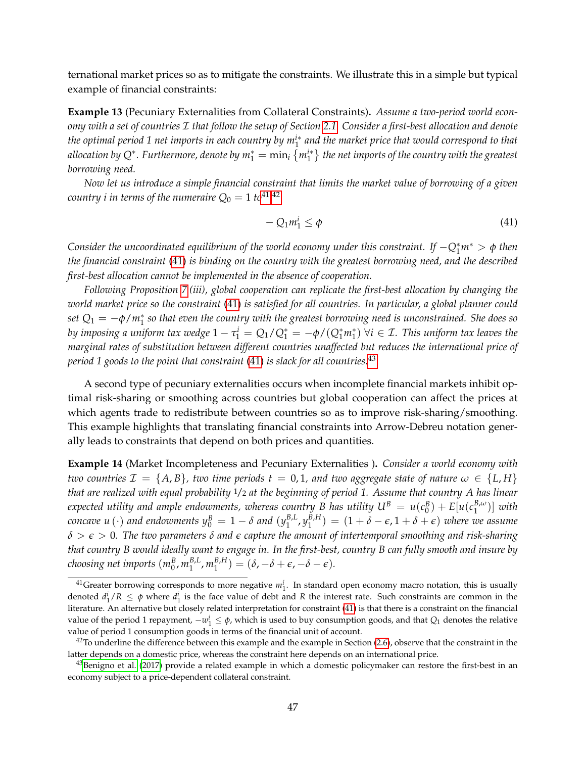ternational market prices so as to mitigate the constraints. We illustrate this in a simple but typical example of financial constraints:

**Example 13** (Pecuniary Externalities from Collateral Constraints)**.** *Assume a two-period world economy with a set of countries* I *that follow the setup of Section [2.1.](#page-7-1) Consider a first-best allocation and denote the optimal period 1 net imports in each country by mi*<sup>∗</sup> 1 *and the market price that would correspond to that* allocation by Q\*. Furthermore, denote by  $m_1^*=\min_i{\{m_1^{i*}\}}$  the net imports of the country with the greatest *borrowing need.*

*Now let us introduce a simple financial constraint that limits the market value of borrowing of a given country i in terms of the numeraire*  $Q_0 = 1$  *to*<sup>[41,](#page-46-0)[42](#page-46-1)</sup>

<span id="page-46-2"></span>
$$
-Q_1 m_1^i \le \phi \tag{41}
$$

*Consider the uncoordinated equilibrium of the world economy under this constraint. If* −*Q*<sup>∗</sup> <sup>1</sup>*m*<sup>∗</sup> > *<sup>φ</sup> then the financial constraint* [\(41\)](#page-46-2) *is binding on the country with the greatest borrowing need, and the described first-best allocation cannot be implemented in the absence of cooperation.*

*Following Proposition [7.](#page-43-1)(iii), global cooperation can replicate the first-best allocation by changing the world market price so the constraint* [\(41\)](#page-46-2) *is satisfied for all countries. In particular, a global planner could set Q*<sup>1</sup> = −*φ*/*m*<sup>∗</sup> 1 *so that even the country with the greatest borrowing need is unconstrained. She does so by imposing a uniform tax wedge*  $1 - \tau_1^i = Q_1/Q_1^* = -\phi/(Q_1^*m_1^*)$   $\forall i \in \mathcal{I}$ . This uniform tax leaves the *marginal rates of substitution between different countries unaffected but reduces the international price of period 1 goods to the point that constraint* [\(41\)](#page-46-2) *is slack for all countries.*[43](#page-46-3)

A second type of pecuniary externalities occurs when incomplete financial markets inhibit optimal risk-sharing or smoothing across countries but global cooperation can affect the prices at which agents trade to redistribute between countries so as to improve risk-sharing/smoothing. This example highlights that translating financial constraints into Arrow-Debreu notation generally leads to constraints that depend on both prices and quantities.

**Example 14** (Market Incompleteness and Pecuniary Externalities )**.** *Consider a world economy with two countries*  $\mathcal{I} = \{A, B\}$ , two time periods  $t = 0, 1$ , and two aggregate state of nature  $\omega \in \{L, H\}$ *that are realized with equal probability* 1/2 *at the beginning of period 1. Assume that country A has linear expected utility and ample endowments, whereas country B has utility*  $U^B = u(c_0^B) + E[u(c_1^{B,\omega})]$  *with concave u*  $(\cdot)$  *and endowments*  $y_0^B = 1 - \delta$  *and*  $(y_1^{B,L})$ 1 , *y B*,*H*  $\binom{B,H}{1}$  =  $(1 + \delta - \epsilon, 1 + \delta + \epsilon)$  where we assume *δ* > *e* > 0*. The two parameters δ and e capture the amount of intertemporal smoothing and risk-sharing that country B would ideally want to engage in. In the first-best, country B can fully smooth and insure by choosing net imports* (*m<sup>B</sup>* 0 , *m B*,*L*  $_{1}^{B,L}$ ,  $m_{1}^{B,H}$  $\binom{B,H}{1} = (\delta, -\delta + \epsilon, -\delta - \epsilon).$ 

<span id="page-46-0"></span> $^{41}$ Greater borrowing corresponds to more negative  $m_1^i$ . In standard open economy macro notation, this is usually denoted  $d_1^i/R \leq \phi$  where  $d_1^i$  is the face value of debt and R the interest rate. Such constraints are common in the literature. An alternative but closely related interpretation for constraint [\(41\)](#page-46-2) is that there is a constraint on the financial value of the period 1 repayment,  $-w_1^i \leq \phi$ , which is used to buy consumption goods, and that  $Q_1$  denotes the relative value of period 1 consumption goods in terms of the financial unit of account.

<span id="page-46-1"></span> $42$ To underline the difference between this example and the example in Section [\(2.6\)](#page-14-0), observe that the constraint in the latter depends on a domestic price, whereas the constraint here depends on an international price.

<span id="page-46-3"></span><sup>&</sup>lt;sup>43</sup>[Benigno et al.](#page-50-15) [\(2017\)](#page-50-15) provide a related example in which a domestic policymaker can restore the first-best in an economy subject to a price-dependent collateral constraint.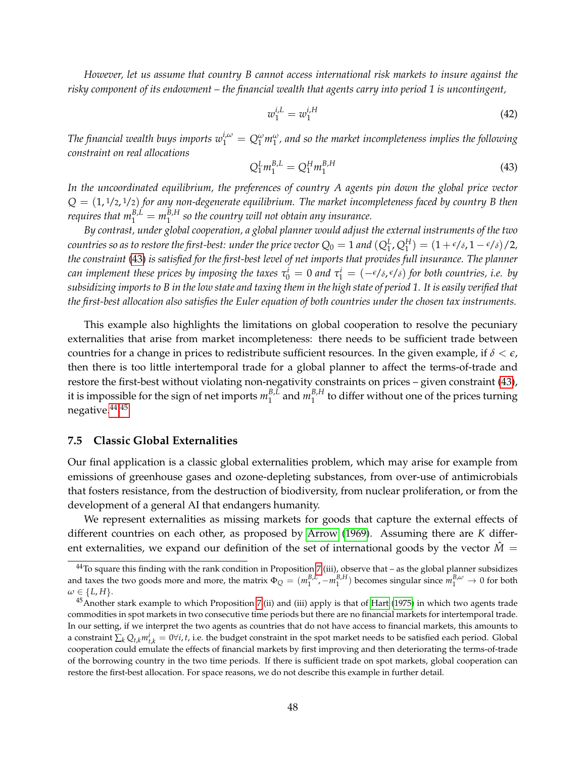*However, let us assume that country B cannot access international risk markets to insure against the risky component of its endowment – the financial wealth that agents carry into period 1 is uncontingent,*

$$
w_1^{i,L} = w_1^{i,H} \tag{42}
$$

*The financial wealth buys imports*  $w_1^{i,\omega} = Q_1^{\omega} m_1^{\omega}$ , and so the market incompleteness implies the following *constraint on real allocations*

<span id="page-47-1"></span>
$$
Q_1^L m_1^{B,L} = Q_1^H m_1^{B,H}
$$
\n(43)

*In the uncoordinated equilibrium, the preferences of country A agents pin down the global price vector Q* = (1, <sup>1</sup>/2, <sup>1</sup>/2) *for any non-degenerate equilibrium. The market incompleteness faced by country B then requires that*  $m_1^{B,L} = m_1^{B,H}$ 1 *so the country will not obtain any insurance.*

*By contrast, under global cooperation, a global planner would adjust the external instruments of the two countries so as to restore the first-best: under the price vector*  $Q_0 = 1$  *and*  $(Q_1^L, Q_1^H) = (1 + \epsilon/\delta, 1 - \epsilon/\delta)/2$ *, the constraint* [\(43\)](#page-47-1) *is satisfied for the first-best level of net imports that provides full insurance. The planner can implement these prices by imposing the taxes*  $\tau_0^i = 0$  *and*  $\tau_1^i = (-\epsilon/\delta, \epsilon/\delta)$  for both countries, i.e. by *subsidizing imports to B in the low state and taxing them in the high state of period 1. It is easily verified that the first-best allocation also satisfies the Euler equation of both countries under the chosen tax instruments.*

This example also highlights the limitations on global cooperation to resolve the pecuniary externalities that arise from market incompleteness: there needs to be sufficient trade between countries for a change in prices to redistribute sufficient resources. In the given example, if *δ* < *e*, then there is too little intertemporal trade for a global planner to affect the terms-of-trade and restore the first-best without violating non-negativity constraints on prices – given constraint [\(43\)](#page-47-1), it is impossible for the sign of net imports  $m_1^{B,L}$  $n_1^{B,L}$  and  $m_1^{B,H}$  $_1^{b,n}$  to differ without one of the prices turning negative.[44,](#page-47-2)[45](#page-47-3)

#### <span id="page-47-0"></span>**7.5 Classic Global Externalities**

Our final application is a classic global externalities problem, which may arise for example from emissions of greenhouse gases and ozone-depleting substances, from over-use of antimicrobials that fosters resistance, from the destruction of biodiversity, from nuclear proliferation, or from the development of a general AI that endangers humanity.

We represent externalities as missing markets for goods that capture the external effects of different countries on each other, as proposed by [Arrow](#page-50-8) [\(1969\)](#page-50-8). Assuming there are *K* different externalities, we expand our definition of the set of international goods by the vector  $\hat{M}$  =

<span id="page-47-2"></span> $44$ To square this finding with the rank condition in Proposition [7.](#page-43-1)(iii), observe that – as the global planner subsidizes and taxes the two goods more and more, the matrix  $\Phi_Q = (m_1^{B,L}, -m_1^{B,H})$  becomes singular since  $m_1^{B,\omega} \to 0$  for both  $\omega \in \{L, H\}.$ 

<span id="page-47-3"></span> $45$ Another stark example to which Proposition [7.](#page-43-1)(ii) and (iii) apply is that of [Hart](#page-51-18) [\(1975\)](#page-51-18) in which two agents trade commodities in spot markets in two consecutive time periods but there are no financial markets for intertemporal trade. In our setting, if we interpret the two agents as countries that do not have access to financial markets, this amounts to a constraint  $\sum_k Q_{t,k} m_{t,k}^i = 0 \forall i, t$ , i.e. the budget constraint in the spot market needs to be satisfied each period. Global cooperation could emulate the effects of financial markets by first improving and then deteriorating the terms-of-trade of the borrowing country in the two time periods. If there is sufficient trade on spot markets, global cooperation can restore the first-best allocation. For space reasons, we do not describe this example in further detail.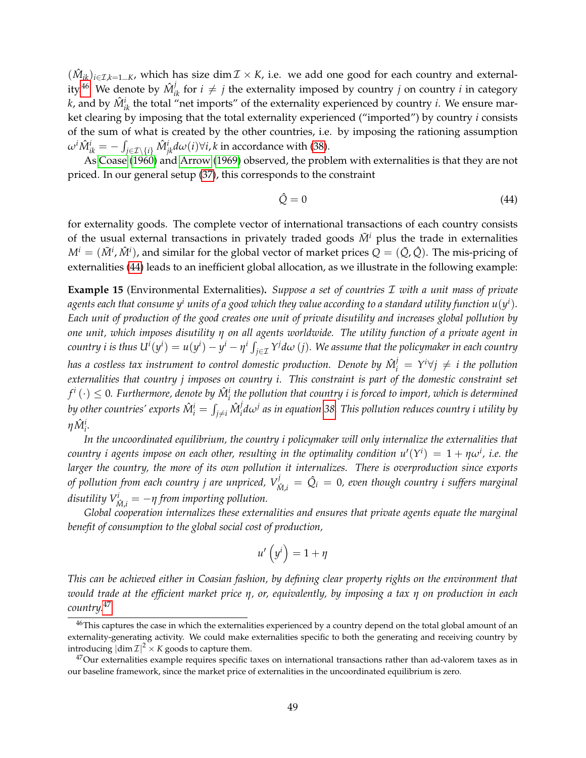$(\hat{M}_{ik})_{i\in\mathcal{I},k=1...K}$ , which has size dim  $\mathcal{I}\times K$ , i.e. we add one good for each country and external-ity.<sup>[46](#page-48-1)</sup> We denote by  $\hat{M}_{ik}^j$  for  $i \neq j$  the externality imposed by country *j* on country *i* in category *k*, and by  $\hat{M}_{ik}^i$  the total "net imports" of the externality experienced by country *i*. We ensure market clearing by imposing that the total externality experienced ("imported") by country *i* consists of the sum of what is created by the other countries, i.e. by imposing the rationing assumption  $\omega^i \hat M^i_{ik} = -\int_{j\in{\cal I}\setminus\{i\}} \hat M^i_{jk} d\omega(i)$ ∀ $i$ ,  $k$  in accordance with [\(38\)](#page-42-2).

As [Coase](#page-50-16) [\(1960\)](#page-50-16) and [Arrow](#page-50-8) [\(1969\)](#page-50-8) observed, the problem with externalities is that they are not priced. In our general setup [\(37\)](#page-41-3), this corresponds to the constraint

<span id="page-48-2"></span>
$$
\hat{Q} = 0 \tag{44}
$$

for externality goods. The complete vector of international transactions of each country consists of the usual external transactions in privately traded goods  $\tilde{M}^i$  plus the trade in externalities  $M^i=(\tilde{M}^i,\hat{M}^i)$ , and similar for the global vector of market prices  $Q=(\tilde{Q},\hat{Q}).$  The mis-pricing of externalities [\(44\)](#page-48-2) leads to an inefficient global allocation, as we illustrate in the following example:

<span id="page-48-0"></span>**Example 15** (Environmental Externalities)**.** *Suppose a set of countries* I *with a unit mass of private* agents each that consume  $y^i$  units of a good which they value according to a standard utility function  $u(y^i).$ *Each unit of production of the good creates one unit of private disutility and increases global pollution by one unit, which imposes disutility η on all agents worldwide. The utility function of a private agent in* country i is thus  $U^i(y^i)=u(y^i)-y^i-\eta^i\int_{j\in\mathcal{I}}Y^j d\omega$   $(j).$  We assume that the policymaker in each country *has a costless tax instrument to control domestic production. Denote by*  $\hat{M}^j_i = Y^i \forall j \neq i$  *the pollution externalities that country j imposes on country i. This constraint is part of the domestic constraint set*  $f^i\left(\cdot\right)\leq 0.$  Furthermore, denote by  $\hat{M}_i^i$  the pollution that country  $i$  is forced to import, which is determined by other countries' exports  $\hat{M}_{i}^{i} = \int_{j \neq i} \hat{M}_{i}^{j}$ *i dω<sup>j</sup> as in equation [38.](#page-42-2) This pollution reduces country i utility by*  $η\hat{M}^i_i$ .

*In the uncoordinated equilibrium, the country i policymaker will only internalize the externalities that*  $\alpha$  *country i agents impose on each other, resulting in the optimality condition*  $u'(Y^i) = 1 + \eta \omega^i$ *, i.e. the larger the country, the more of its own pollution it internalizes. There is overproduction since exports of pollution from each country j are unpriced,*  $V^j_{\hat{M},i} = \hat{Q}_i = 0$ *, even though country i suffers marginal*  $d$ *isutility*  $V^i_{\hat{M},i} = -\eta$  *from importing pollution.* 

*Global cooperation internalizes these externalities and ensures that private agents equate the marginal benefit of consumption to the global social cost of production,*

$$
u'\left(y^i\right) = 1 + \eta
$$

*This can be achieved either in Coasian fashion, by defining clear property rights on the environment that would trade at the efficient market price η, or, equivalently, by imposing a tax η on production in each country.*[47](#page-48-3)

<span id="page-48-1"></span><sup>&</sup>lt;sup>46</sup>This captures the case in which the externalities experienced by a country depend on the total global amount of an externality-generating activity. We could make externalities specific to both the generating and receiving country by introducing  $\left| \dim \mathcal{I} \right|^2 \times K$  goods to capture them.

<span id="page-48-3"></span> $47$ Our externalities example requires specific taxes on international transactions rather than ad-valorem taxes as in our baseline framework, since the market price of externalities in the uncoordinated equilibrium is zero.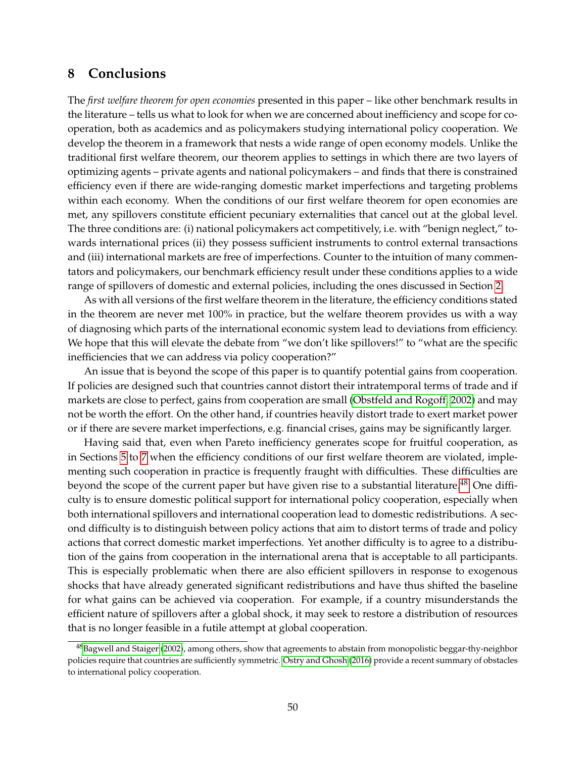# <span id="page-49-0"></span>**8 Conclusions**

The *first welfare theorem for open economies* presented in this paper – like other benchmark results in the literature – tells us what to look for when we are concerned about inefficiency and scope for cooperation, both as academics and as policymakers studying international policy cooperation. We develop the theorem in a framework that nests a wide range of open economy models. Unlike the traditional first welfare theorem, our theorem applies to settings in which there are two layers of optimizing agents – private agents and national policymakers – and finds that there is constrained efficiency even if there are wide-ranging domestic market imperfections and targeting problems within each economy. When the conditions of our first welfare theorem for open economies are met, any spillovers constitute efficient pecuniary externalities that cancel out at the global level. The three conditions are: (i) national policymakers act competitively, i.e. with "benign neglect," towards international prices (ii) they possess sufficient instruments to control external transactions and (iii) international markets are free of imperfections. Counter to the intuition of many commentators and policymakers, our benchmark efficiency result under these conditions applies to a wide range of spillovers of domestic and external policies, including the ones discussed in Section [2.](#page-7-0)

As with all versions of the first welfare theorem in the literature, the efficiency conditions stated in the theorem are never met 100% in practice, but the welfare theorem provides us with a way of diagnosing which parts of the international economic system lead to deviations from efficiency. We hope that this will elevate the debate from "we don't like spillovers!" to "what are the specific inefficiencies that we can address via policy cooperation?"

An issue that is beyond the scope of this paper is to quantify potential gains from cooperation. If policies are designed such that countries cannot distort their intratemporal terms of trade and if markets are close to perfect, gains from cooperation are small [\(Obstfeld and Rogoff, 2002\)](#page-52-17) and may not be worth the effort. On the other hand, if countries heavily distort trade to exert market power or if there are severe market imperfections, e.g. financial crises, gains may be significantly larger.

Having said that, even when Pareto inefficiency generates scope for fruitful cooperation, as in Sections [5](#page-29-0) to [7](#page-41-0) when the efficiency conditions of our first welfare theorem are violated, implementing such cooperation in practice is frequently fraught with difficulties. These difficulties are beyond the scope of the current paper but have given rise to a substantial literature.<sup>[48](#page-49-1)</sup> One difficulty is to ensure domestic political support for international policy cooperation, especially when both international spillovers and international cooperation lead to domestic redistributions. A second difficulty is to distinguish between policy actions that aim to distort terms of trade and policy actions that correct domestic market imperfections. Yet another difficulty is to agree to a distribution of the gains from cooperation in the international arena that is acceptable to all participants. This is especially problematic when there are also efficient spillovers in response to exogenous shocks that have already generated significant redistributions and have thus shifted the baseline for what gains can be achieved via cooperation. For example, if a country misunderstands the efficient nature of spillovers after a global shock, it may seek to restore a distribution of resources that is no longer feasible in a futile attempt at global cooperation.

<span id="page-49-1"></span><sup>&</sup>lt;sup>48</sup>[Bagwell and Staiger](#page-50-3) [\(2002\)](#page-50-3), among others, show that agreements to abstain from monopolistic beggar-thy-neighbor policies require that countries are sufficiently symmetric. [Ostry and Ghosh](#page-52-2) [\(2016\)](#page-52-2) provide a recent summary of obstacles to international policy cooperation.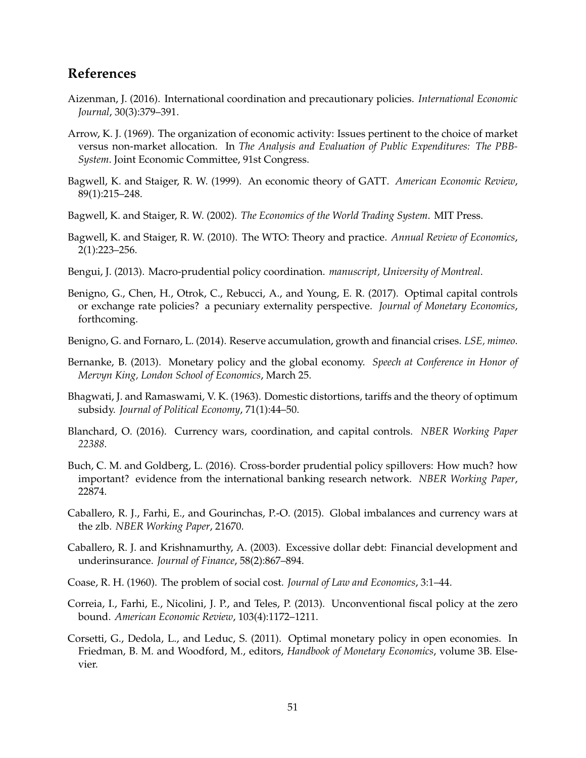# **References**

- <span id="page-50-0"></span>Aizenman, J. (2016). International coordination and precautionary policies. *International Economic Journal*, 30(3):379–391.
- <span id="page-50-8"></span>Arrow, K. J. (1969). The organization of economic activity: Issues pertinent to the choice of market versus non-market allocation. In *The Analysis and Evaluation of Public Expenditures: The PBB-System*. Joint Economic Committee, 91st Congress.
- <span id="page-50-2"></span>Bagwell, K. and Staiger, R. W. (1999). An economic theory of GATT. *American Economic Review*, 89(1):215–248.
- <span id="page-50-3"></span>Bagwell, K. and Staiger, R. W. (2002). *The Economics of the World Trading System*. MIT Press.
- <span id="page-50-4"></span>Bagwell, K. and Staiger, R. W. (2010). The WTO: Theory and practice. *Annual Review of Economics*, 2(1):223–256.
- <span id="page-50-7"></span>Bengui, J. (2013). Macro-prudential policy coordination. *manuscript, University of Montreal*.
- <span id="page-50-15"></span>Benigno, G., Chen, H., Otrok, C., Rebucci, A., and Young, E. R. (2017). Optimal capital controls or exchange rate policies? a pecuniary externality perspective. *Journal of Monetary Economics*, forthcoming.
- <span id="page-50-9"></span>Benigno, G. and Fornaro, L. (2014). Reserve accumulation, growth and financial crises. *LSE, mimeo*.
- <span id="page-50-12"></span>Bernanke, B. (2013). Monetary policy and the global economy. *Speech at Conference in Honor of Mervyn King, London School of Economics*, March 25.
- <span id="page-50-5"></span>Bhagwati, J. and Ramaswami, V. K. (1963). Domestic distortions, tariffs and the theory of optimum subsidy. *Journal of Political Economy*, 71(1):44–50.
- <span id="page-50-1"></span>Blanchard, O. (2016). Currency wars, coordination, and capital controls. *NBER Working Paper 22388*.
- <span id="page-50-11"></span>Buch, C. M. and Goldberg, L. (2016). Cross-border prudential policy spillovers: How much? how important? evidence from the international banking research network. *NBER Working Paper*, 22874.
- <span id="page-50-10"></span>Caballero, R. J., Farhi, E., and Gourinchas, P.-O. (2015). Global imbalances and currency wars at the zlb. *NBER Working Paper*, 21670.
- <span id="page-50-14"></span>Caballero, R. J. and Krishnamurthy, A. (2003). Excessive dollar debt: Financial development and underinsurance. *Journal of Finance*, 58(2):867–894.
- <span id="page-50-16"></span>Coase, R. H. (1960). The problem of social cost. *Journal of Law and Economics*, 3:1–44.
- <span id="page-50-13"></span>Correia, I., Farhi, E., Nicolini, J. P., and Teles, P. (2013). Unconventional fiscal policy at the zero bound. *American Economic Review*, 103(4):1172–1211.
- <span id="page-50-6"></span>Corsetti, G., Dedola, L., and Leduc, S. (2011). Optimal monetary policy in open economies. In Friedman, B. M. and Woodford, M., editors, *Handbook of Monetary Economics*, volume 3B. Elsevier.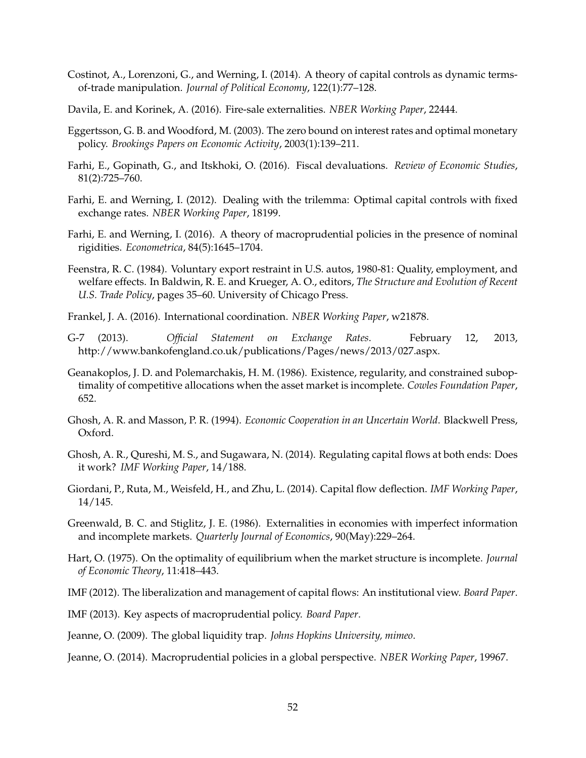- <span id="page-51-2"></span>Costinot, A., Lorenzoni, G., and Werning, I. (2014). A theory of capital controls as dynamic termsof-trade manipulation. *Journal of Political Economy*, 122(1):77–128.
- <span id="page-51-17"></span>Davila, E. and Korinek, A. (2016). Fire-sale externalities. *NBER Working Paper*, 22444.
- <span id="page-51-9"></span>Eggertsson, G. B. and Woodford, M. (2003). The zero bound on interest rates and optimal monetary policy. *Brookings Papers on Economic Activity*, 2003(1):139–211.
- <span id="page-51-16"></span>Farhi, E., Gopinath, G., and Itskhoki, O. (2016). Fiscal devaluations. *Review of Economic Studies*, 81(2):725–760.
- <span id="page-51-3"></span>Farhi, E. and Werning, I. (2012). Dealing with the trilemma: Optimal capital controls with fixed exchange rates. *NBER Working Paper*, 18199.
- <span id="page-51-8"></span>Farhi, E. and Werning, I. (2016). A theory of macroprudential policies in the presence of nominal rigidities. *Econometrica*, 84(5):1645–1704.
- <span id="page-51-14"></span>Feenstra, R. C. (1984). Voluntary export restraint in U.S. autos, 1980-81: Quality, employment, and welfare effects. In Baldwin, R. E. and Krueger, A. O., editors, *The Structure and Evolution of Recent U.S. Trade Policy*, pages 35–60. University of Chicago Press.
- <span id="page-51-1"></span>Frankel, J. A. (2016). International coordination. *NBER Working Paper*, w21878.
- <span id="page-51-12"></span>G-7 (2013). *Official Statement on Exchange Rates*. February 12, 2013, http://www.bankofengland.co.uk/publications/Pages/news/2013/027.aspx.
- <span id="page-51-6"></span>Geanakoplos, J. D. and Polemarchakis, H. M. (1986). Existence, regularity, and constrained suboptimality of competitive allocations when the asset market is incomplete. *Cowles Foundation Paper*, 652.
- <span id="page-51-4"></span>Ghosh, A. R. and Masson, P. R. (1994). *Economic Cooperation in an Uncertain World*. Blackwell Press, Oxford.
- <span id="page-51-15"></span>Ghosh, A. R., Qureshi, M. S., and Sugawara, N. (2014). Regulating capital flows at both ends: Does it work? *IMF Working Paper*, 14/188.
- <span id="page-51-13"></span>Giordani, P., Ruta, M., Weisfeld, H., and Zhu, L. (2014). Capital flow deflection. *IMF Working Paper*, 14/145.
- <span id="page-51-7"></span>Greenwald, B. C. and Stiglitz, J. E. (1986). Externalities in economies with imperfect information and incomplete markets. *Quarterly Journal of Economics*, 90(May):229–264.
- <span id="page-51-18"></span>Hart, O. (1975). On the optimality of equilibrium when the market structure is incomplete. *Journal of Economic Theory*, 11:418–443.
- <span id="page-51-0"></span>IMF (2012). The liberalization and management of capital flows: An institutional view. *Board Paper*.
- <span id="page-51-11"></span>IMF (2013). Key aspects of macroprudential policy. *Board Paper*.
- <span id="page-51-10"></span>Jeanne, O. (2009). The global liquidity trap. *Johns Hopkins University, mimeo*.
- <span id="page-51-5"></span>Jeanne, O. (2014). Macroprudential policies in a global perspective. *NBER Working Paper*, 19967.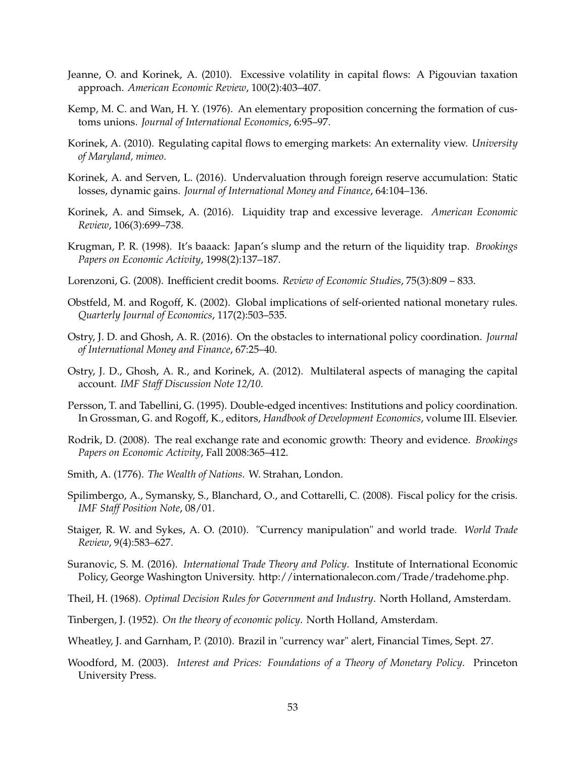- <span id="page-52-12"></span>Jeanne, O. and Korinek, A. (2010). Excessive volatility in capital flows: A Pigouvian taxation approach. *American Economic Review*, 100(2):403–407.
- <span id="page-52-13"></span>Kemp, M. C. and Wan, H. Y. (1976). An elementary proposition concerning the formation of customs unions. *Journal of International Economics*, 6:95–97.
- <span id="page-52-15"></span>Korinek, A. (2010). Regulating capital flows to emerging markets: An externality view. *University of Maryland, mimeo*.
- <span id="page-52-9"></span>Korinek, A. and Serven, L. (2016). Undervaluation through foreign reserve accumulation: Static losses, dynamic gains. *Journal of International Money and Finance*, 64:104–136.
- Korinek, A. and Simsek, A. (2016). Liquidity trap and excessive leverage. *American Economic Review*, 106(3):699–738.
- <span id="page-52-11"></span>Krugman, P. R. (1998). It's baaack: Japan's slump and the return of the liquidity trap. *Brookings Papers on Economic Activity*, 1998(2):137–187.
- <span id="page-52-16"></span>Lorenzoni, G. (2008). Inefficient credit booms. *Review of Economic Studies*, 75(3):809 – 833.
- <span id="page-52-17"></span>Obstfeld, M. and Rogoff, K. (2002). Global implications of self-oriented national monetary rules. *Quarterly Journal of Economics*, 117(2):503–535.
- <span id="page-52-2"></span>Ostry, J. D. and Ghosh, A. R. (2016). On the obstacles to international policy coordination. *Journal of International Money and Finance*, 67:25–40.
- <span id="page-52-1"></span>Ostry, J. D., Ghosh, A. R., and Korinek, A. (2012). Multilateral aspects of managing the capital account. *IMF Staff Discussion Note 12/10*.
- <span id="page-52-7"></span>Persson, T. and Tabellini, G. (1995). Double-edged incentives: Institutions and policy coordination. In Grossman, G. and Rogoff, K., editors, *Handbook of Development Economics*, volume III. Elsevier.
- <span id="page-52-8"></span>Rodrik, D. (2008). The real exchange rate and economic growth: Theory and evidence. *Brookings Papers on Economic Activity*, Fall 2008:365–412.
- <span id="page-52-3"></span>Smith, A. (1776). *The Wealth of Nations*. W. Strahan, London.
- Spilimbergo, A., Symansky, S., Blanchard, O., and Cottarelli, C. (2008). Fiscal policy for the crisis. *IMF Staff Position Note*, 08/01.
- <span id="page-52-4"></span>Staiger, R. W. and Sykes, A. O. (2010). "Currency manipulation" and world trade. *World Trade Review*, 9(4):583–627.
- <span id="page-52-14"></span>Suranovic, S. M. (2016). *International Trade Theory and Policy*. Institute of International Economic Policy, George Washington University. http://internationalecon.com/Trade/tradehome.php.
- <span id="page-52-6"></span>Theil, H. (1968). *Optimal Decision Rules for Government and Industry*. North Holland, Amsterdam.
- <span id="page-52-5"></span>Tinbergen, J. (1952). *On the theory of economic policy*. North Holland, Amsterdam.
- <span id="page-52-0"></span>Wheatley, J. and Garnham, P. (2010). Brazil in "currency war" alert, Financial Times, Sept. 27.
- <span id="page-52-10"></span>Woodford, M. (2003). *Interest and Prices: Foundations of a Theory of Monetary Policy*. Princeton University Press.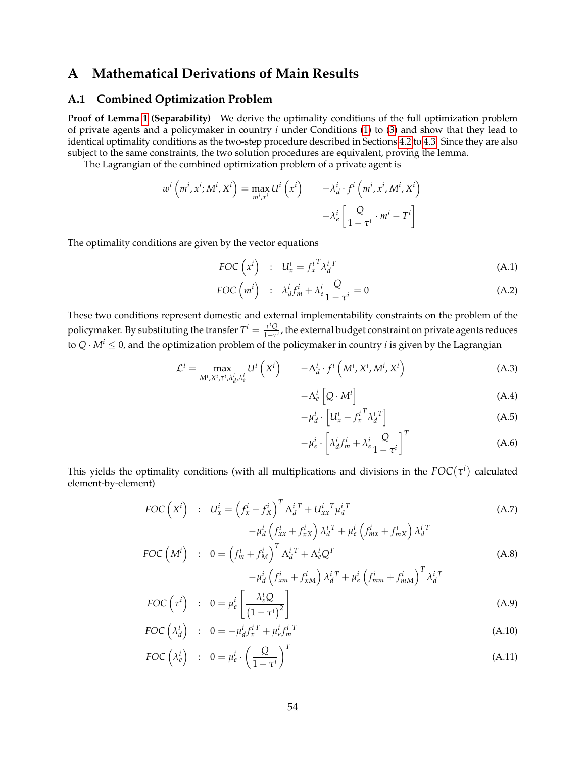# <span id="page-53-0"></span>**A Mathematical Derivations of Main Results**

#### <span id="page-53-1"></span>**A.1 Combined Optimization Problem**

**Proof of Lemma [1](#page-22-0) (Separability)** We derive the optimality conditions of the full optimization problem of private agents and a policymaker in country *i* under Conditions [\(1\)](#page-21-2) to [\(3\)](#page-21-4) and show that they lead to identical optimality conditions as the two-step procedure described in Sections [4.2](#page-23-0) to [4.3.](#page-24-0) Since they are also subject to the same constraints, the two solution procedures are equivalent, proving the lemma.

The Lagrangian of the combined optimization problem of a private agent is

$$
w^{i} (m^{i}, x^{i}; M^{i}, X^{i}) = \max_{m^{i}, x^{i}} U^{i} (x^{i}) \qquad -\lambda_{d}^{i} \cdot f^{i} (m^{i}, x^{i}, M^{i}, X^{i})
$$

$$
-\lambda_{e}^{i} \left[ \frac{Q}{1 - \tau^{i}} \cdot m^{i} - T^{i} \right]
$$

The optimality conditions are given by the vector equations

<span id="page-53-4"></span>
$$
FOC\left(x^{i}\right) \quad : \quad U_{x}^{i} = f_{x}^{i} \lambda_{d}^{i} \tag{A.1}
$$

$$
FOC\left(m^{i}\right) \quad : \quad \lambda_{d}^{i} f_{m}^{i} + \lambda_{e}^{i} \frac{Q}{1 - \tau^{i}} = 0 \tag{A.2}
$$

These two conditions represent domestic and external implementability constraints on the problem of the policymaker. By substituting the transfer  $T^i = \frac{\tau^i Q}{1 - \tau^i}$ 1−*τ i* , the external budget constraint on private agents reduces to  $Q \cdot M^i \leq 0$ , and the optimization problem of the policymaker in country *i* is given by the Lagrangian

<span id="page-53-3"></span>
$$
\mathcal{L}^{i} = \max_{M^{i}, X^{i}, \tau^{i}, \lambda_{d}^{i}, \lambda_{e}^{i}} U^{i} \left(X^{i}\right) \qquad -\Lambda_{d}^{i} \cdot f^{i} \left(M^{i}, X^{i}, M^{i}, X^{i}\right)
$$
(A.3)

$$
-\Lambda_e^i \left[Q \cdot M^i\right] \tag{A.4}
$$

$$
-\mu_d^i \cdot \left[ U_x^i - f_x^{i \, T} \lambda_d^{i \, T} \right] \tag{A.5}
$$

$$
-\mu_e^i \cdot \left[\lambda_d^i f_m^i + \lambda_e^i \frac{Q}{1-\tau^i}\right]^T \tag{A.6}
$$

This yields the optimality conditions (with all multiplications and divisions in the  $FOC(\tau^i)$  calculated element-by-element)

<span id="page-53-2"></span>
$$
FOC\left(X^{i}\right) : U_{x}^{i} = \left(f_{x}^{i} + f_{X}^{i}\right)^{T} \Lambda_{d}^{i} + U_{xx}^{i} \Lambda_{d}^{i} + U_{xx}^{i} \Lambda_{d}^{i} + \mu_{e}^{i} \left(f_{mx}^{i} + f_{mx}^{i}\right) \lambda_{d}^{i} + \mu_{e}^{i} \left(f_{mx}^{i} + f_{mx}^{i}\right) \lambda_{d}^{i} + \text{FOC}\left(M^{i}\right) : 0 = \left(f_{m}^{i} + f_{M}^{i}\right)^{T} \Lambda_{d}^{i} + \Lambda_{e}^{i} Q^{T}
$$
\n(A.8)

$$
\begin{aligned}\n\mathbf{u} \quad \mathbf{v} \quad \mathbf{v} \quad \mathbf{v} \quad \mathbf{v} \quad \mathbf{v} \quad \mathbf{v} \quad \mathbf{v} \quad \mathbf{v} \quad \mathbf{v} \quad \mathbf{v} \quad \mathbf{v} \quad \mathbf{v} \quad \mathbf{v} \quad \mathbf{v} \quad \mathbf{v} \quad \mathbf{v} \quad \mathbf{v} \quad \mathbf{v} \quad \mathbf{v} \quad \mathbf{v} \quad \mathbf{v} \quad \mathbf{v} \quad \mathbf{v} \quad \mathbf{v} \quad \mathbf{v} \quad \mathbf{v} \quad \mathbf{v} \quad \mathbf{v} \quad \mathbf{v} \quad \mathbf{v} \quad \mathbf{v} \quad \mathbf{v} \quad \mathbf{v} \quad \mathbf{v} \quad \mathbf{v} \quad \mathbf{v} \quad \mathbf{v} \quad \mathbf{v} \quad \mathbf{v} \quad \mathbf{v} \quad \mathbf{v} \quad \mathbf{v} \quad \mathbf{v} \quad \mathbf{v} \quad \mathbf{v} \quad \mathbf{v} \quad \mathbf{v} \quad \mathbf{v} \quad \mathbf{v} \quad \mathbf{v} \quad \mathbf{v} \quad \mathbf{v} \quad \mathbf{v} \quad \mathbf{v} \quad \mathbf{v} \quad \mathbf{v} \quad \mathbf{v} \quad \mathbf{v} \quad \mathbf{v} \quad \mathbf{v} \quad \mathbf{v} \quad \mathbf{v} \quad \mathbf{v} \quad \mathbf{v} \quad \mathbf{v} \quad \mathbf{v} \quad \mathbf{v} \quad \mathbf{v} \quad \mathbf{v} \quad \mathbf{v} \quad \mathbf{v} \quad \mathbf{v} \quad \mathbf{v} \quad \mathbf{v} \quad \mathbf{v} \quad \mathbf{v} \quad \mathbf{v} \quad \mathbf{v} \quad \mathbf{v} \quad \mathbf{v} \quad \mathbf{v} \quad \mathbf{v} \quad \mathbf{v} \quad \mathbf{v} \quad \mathbf{v} \quad \mathbf{v} \quad \mathbf{v} \quad \mathbf{v} \quad \mathbf{v} \quad \mathbf{v} \quad \mathbf{v} \quad \mathbf{v} \quad \mathbf{v} \quad \math
$$

$$
FOC\left(\tau^i\right) \quad : \quad 0 = \mu_e^i \left[\frac{\lambda_e^i Q}{\left(1 - \tau^i\right)^2}\right] \tag{A.9}
$$

$$
FOC\left(\lambda_d^i\right) \quad : \quad 0 = -\mu_d^i f_x^{i\,T} + \mu_e^i f_m^{i\,T} \tag{A.10}
$$

$$
FOC\left(\lambda_e^i\right) \quad : \quad 0 = \mu_e^i \cdot \left(\frac{Q}{1 - \tau^i}\right)^T \tag{A.11}
$$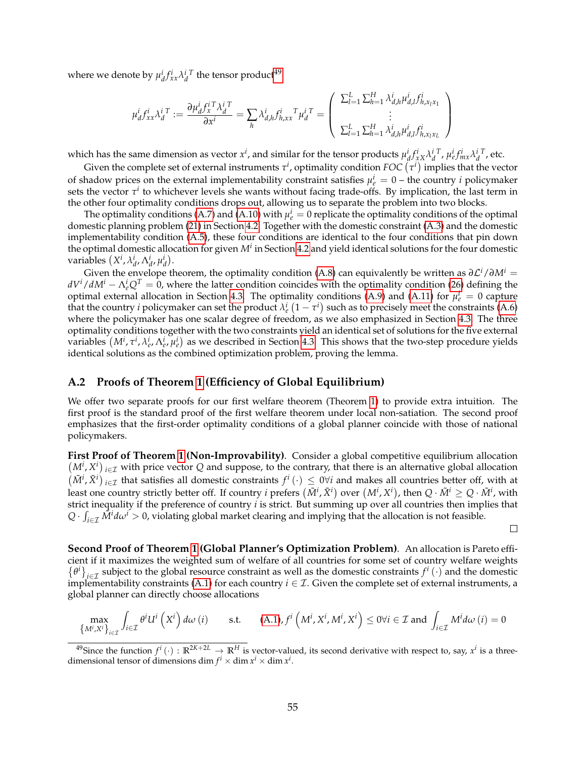where we denote by  $\mu_d^i f_{xx}^i \lambda_d^{i\ T}$  the tensor product<sup>[49](#page-54-1)</sup>

$$
\mu_d^i f_{xx}^i \lambda_d^{i \, T} := \frac{\partial \mu_d^i f_x^{i \, T} \lambda_d^{i \, T}}{\partial x^i} = \sum_h \lambda_{d,h}^i f_{h,xx}^i T \mu_d^{i \, T} = \left( \begin{array}{c} \sum_{l=1}^L \sum_{h=1}^H \lambda_{d,h}^i \mu_{d,l}^i f_{h,x_l x_1}^i \\ \vdots \\ \sum_{l=1}^L \sum_{h=1}^H \lambda_{d,h}^i \mu_{d,l}^i f_{h,x_l x_L}^i \end{array} \right)
$$

which has the same dimension as vector  $x^i$ , and similar for the tensor products  $\mu_d^i f_{xx}^i \lambda_d^{i T}$ ,  $\mu_e^i f_{mx}^i \lambda_d^{i T}$ , etc.

Given the complete set of external instruments  $\tau^i$ , optimality condition  $FOC\left(\tau^i\right)$  implies that the vector of shadow prices on the external implementability constraint satisfies  $\mu_e^i = 0$  – the country *i* policymaker sets the vector  $\tau^i$  to whichever levels she wants without facing trade-offs. By implication, the last term in the other four optimality conditions drops out, allowing us to separate the problem into two blocks.

The optimality conditions [\(A.7\)](#page-53-2) and  $(A.10)$  with  $\mu_e^i = 0$  replicate the optimality conditions of the optimal domestic planning problem [\(21\)](#page-23-3) in Section [4.2.](#page-23-0) Together with the domestic constraint [\(A.3\)](#page-53-3) and the domestic implementability condition [\(A.5\)](#page-53-3), these four conditions are identical to the four conditions that pin down the optimal domestic allocation for given *M<sup>i</sup>* in Section [4.2](#page-23-0) and yield identical solutions for the four domestic  $\text{variables } (X^i, \lambda_{d'}^i, \Lambda_{d'}^i, \mu_d^i).$ 

Given the envelope theorem, the optimality condition [\(A.8\)](#page-53-2) can equivalently be written as  $\partial \mathcal{L}^i/\partial M^i =$  $dV^i/dM^i - \Lambda_e^i Q^T = 0$ , where the latter condition coincides with the optimality condition [\(26\)](#page-24-4) defining the optimal external allocation in Section [4.3.](#page-24-0) The optimality conditions  $(A.9)$  and  $(A.11)$  for  $\mu_e^i = 0$  capture that the country *i* policymaker can set the product  $\lambda_e^i(1-\tau^i)$  such as to precisely meet the constraints [\(A.6\)](#page-53-3) where the policymaker has one scalar degree of freedom, as we also emphasized in Section [4.3.](#page-24-0) The three optimality conditions together with the two constraints yield an identical set of solutions for the five external variables  $(M^i, \tau^i, \lambda^i_e, \Lambda^i_e, \mu^i_e)$  as we described in Section [4.3.](#page-24-0) This shows that the two-step procedure yields identical solutions as the combined optimization problem, proving the lemma.

#### <span id="page-54-0"></span>**A.2 Proofs of Theorem [1](#page-25-1) (Efficiency of Global Equilibrium)**

We offer two separate proofs for our first welfare theorem (Theorem [1\)](#page-25-1) to provide extra intuition. The first proof is the standard proof of the first welfare theorem under local non-satiation. The second proof emphasizes that the first-order optimality conditions of a global planner coincide with those of national policymakers.

**First Proof of Theorem [1](#page-25-1) (Non-Improvability)***.* Consider a global competitive equilibrium allocation  $(M^i, X^i)_{i \in \mathcal{I}}$  with price vector *Q* and suppose, to the contrary, that there is an alternative global allocation  $(M^i, \tilde{X}^i)_{i \in \mathcal{I}}$  that satisfies all domestic constraints  $f^i(\cdot) \leq 0 \forall i$  and makes all countries better off, with at least one country strictly better off. If country  $i$  prefers  $(\tilde{M}^i,\tilde{X}^i)$  over  $(M^i,X^i)$ , then  $Q\cdot\tilde{M}^i\geq Q\cdot\tilde{M}^i$ , with strict inequality if the preference of country *i* is strict. But summing up over all countries then implies that  $Q \cdot \int_{i \in \mathcal{I}} \tilde{M}^i d\omega^i > 0$ , violating global market clearing and implying that the allocation is not feasible.

 $\Box$ 

**Second Proof of Theorem [1](#page-25-1) (Global Planner's Optimization Problem)***.* An allocation is Pareto efficient if it maximizes the weighted sum of welfare of all countries for some set of country welfare weights  $\{\theta^i\}_{i\in\mathcal{I}}$  subject to the global resource constraint as well as the domestic constraints  $f^i(\cdot)$  and the domestic implementability constraints [\(A.1\)](#page-53-4) for each country  $i \in \mathcal{I}$ . Given the complete set of external instruments, a global planner can directly choose allocations

$$
\max_{\{M^i, X^i\}_{i \in \mathcal{I}}} \int_{i \in \mathcal{I}} \theta^i U^i \left(X^i\right) d\omega \left(i\right) \qquad \text{s.t.} \qquad (A.1), f^i \left(M^i, X^i, M^i, X^i\right) \le 0 \forall i \in \mathcal{I} \text{ and } \int_{i \in \mathcal{I}} M^i d\omega \left(i\right) = 0
$$

<span id="page-54-1"></span><sup>&</sup>lt;sup>49</sup>Since the function  $f^i(\cdot): \mathbb{R}^{2K+2L} \to \mathbb{R}^H$  is vector-valued, its second derivative with respect to, say,  $x^i$  is a threedimensional tensor of dimensions dim  $f^i \times$  dim  $x^i \times$  dim  $x^i$ .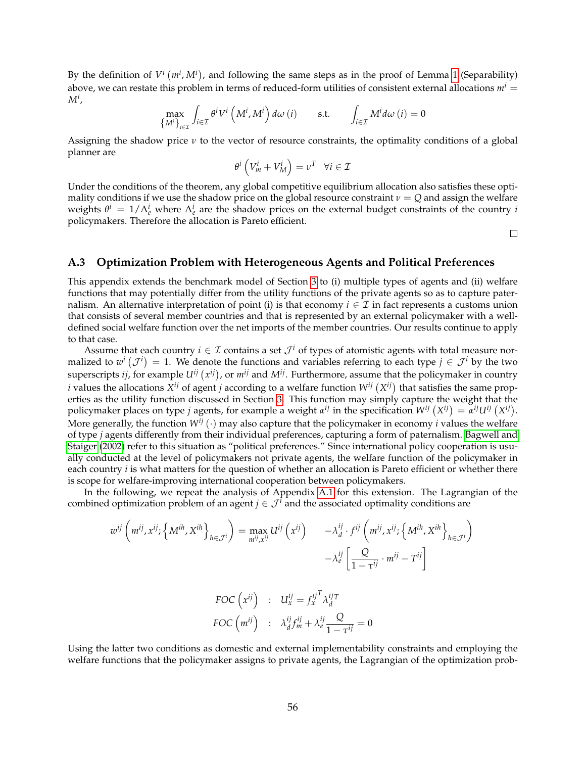By the definition of  $V^i$   $(m^i, M^i)$ , and following the same steps as in the proof of Lemma [1](#page-22-0) (Separability) above, we can restate this problem in terms of reduced-form utilities of consistent external allocations  $m<sup>i</sup>$  = *Mi* ,

$$
\max_{\{M^i\}_{i\in\mathcal{I}}}\int_{i\in\mathcal{I}}\theta^i V^i\left(M^i,M^i\right)d\omega\left(i\right) \qquad \text{s.t.} \qquad \int_{i\in\mathcal{I}}M^i d\omega\left(i\right)=0
$$

Assigning the shadow price *ν* to the vector of resource constraints, the optimality conditions of a global planner are

$$
\theta^i \left( V_m^i + V_M^i \right) = \nu^T \quad \forall i \in \mathcal{I}
$$

Under the conditions of the theorem, any global competitive equilibrium allocation also satisfies these optimality conditions if we use the shadow price on the global resource constraint  $\nu = Q$  and assign the welfare weights  $\theta^i = 1/\Lambda_e^i$  where  $\Lambda_e^i$  are the shadow prices on the external budget constraints of the country *i* policymakers. Therefore the allocation is Pareto efficient.

 $\Box$ 

#### <span id="page-55-0"></span>**A.3 Optimization Problem with Heterogeneous Agents and Political Preferences**

This appendix extends the benchmark model of Section [3](#page-18-0) to (i) multiple types of agents and (ii) welfare functions that may potentially differ from the utility functions of the private agents so as to capture paternalism. An alternative interpretation of point (i) is that economy  $i \in \mathcal{I}$  in fact represents a customs union that consists of several member countries and that is represented by an external policymaker with a welldefined social welfare function over the net imports of the member countries. Our results continue to apply to that case.

Assume that each country  $i \in \mathcal{I}$  contains a set  $\mathcal{J}^i$  of types of atomistic agents with total measure normalized to  $w^i$   $(\mathcal{J}^i) = 1$ . We denote the functions and variables referring to each type  $j \in \mathcal{J}^i$  by the two superscripts *ij,* for example  $U^{ij}(x^{ij})$ , or  $m^{ij}$  and  $M^{ij}$ . Furthermore, assume that the policymaker in country *i* values the allocations  $X^{ij}$  of agent *j* according to a welfare function  $W^{ij}(X^{ij})$  that satisfies the same properties as the utility function discussed in Section [3.](#page-18-0) This function may simply capture the weight that the policymaker places on type *j* agents, for example a weight  $\alpha^{ij}$  in the specification  $W^{ij}(X^{ij}) = \alpha^{ij}U^{ij}(X^{ij})$ . More generally, the function  $W^{ij}(\cdot)$  may also capture that the policymaker in economy *i* values the welfare of type *j* agents differently from their individual preferences, capturing a form of paternalism. [Bagwell and](#page-50-3) [Staiger](#page-50-3) [\(2002\)](#page-50-3) refer to this situation as "political preferences." Since international policy cooperation is usually conducted at the level of policymakers not private agents, the welfare function of the policymaker in each country *i* is what matters for the question of whether an allocation is Pareto efficient or whether there is scope for welfare-improving international cooperation between policymakers.

In the following, we repeat the analysis of Appendix [A.1](#page-53-1) for this extension. The Lagrangian of the combined optimization problem of an agent  $j \in \mathcal{J}^i$  and the associated optimality conditions are

$$
w^{ij} \left(m^{ij}, x^{ij}; \left\{M^{ih}, X^{ih}\right\}_{h \in \mathcal{J}^i}\right) = \max_{m^{ij}, x^{ij}} U^{ij} \left(x^{ij}\right) \qquad -\lambda_d^{ij} \cdot f^{ij} \left(m^{ij}, x^{ij}; \left\{M^{ih}, X^{ih}\right\}_{h \in \mathcal{J}^i}\right) \\
- \lambda_e^{ij} \left[\frac{Q}{1 - \tau^{ij}} \cdot m^{ij} - T^{ij}\right] \\
FOC \left(x^{ij}\right) \qquad : \quad U_x^{ij} = f_x^{ij} \lambda_d^{ij} T
$$

$$
FOC\left(m^{ij}\right) \quad : \quad \lambda_d^{ij} f_m^{ij} + \lambda_e^{ij} \frac{Q}{1 - \tau^{ij}} = 0
$$

Using the latter two conditions as domestic and external implementability constraints and employing the welfare functions that the policymaker assigns to private agents, the Lagrangian of the optimization prob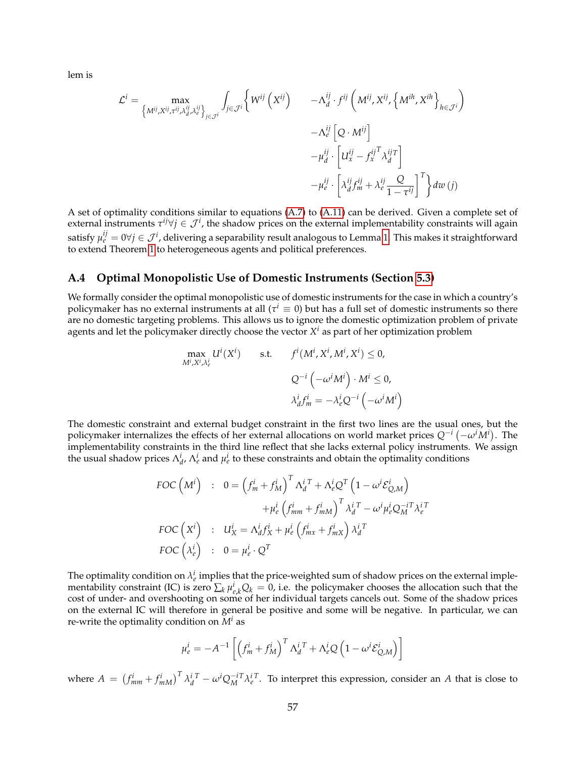lem is

$$
\mathcal{L}^{i} = \max_{\left\{M^{ij}, X^{ij}, \tau^{ij}, \lambda_d^{ij}, \lambda_e^{ij}\right\}_{j \in \mathcal{J}^{i}}}\n\int_{j \in \mathcal{J}^{i}}\n\left\{W^{ij}\left(X^{ij}\right) - \Lambda_d^{ij} \cdot f^{ij}\left(M^{ij}, X^{ij}, \left\{M^{ih}, X^{ih}\right\}_{h \in \mathcal{J}^{i}}\right) - \Lambda_e^{ij}\left[Q \cdot M^{ij}\right] - \mu_d^{ij} \cdot \left[U_x^{ij} - f_x^{ij} \lambda_d^{ij}T\right] - \mu_e^{ij} \cdot \left[\lambda_d^{ij} f_m^{ij} + \lambda_e^{ij} \frac{Q}{1 - \tau^{ij}}\right]^T\right\} dw\left(j\right)
$$

A set of optimality conditions similar to equations [\(A.7\)](#page-53-2) to [\(A.11\)](#page-53-2) can be derived. Given a complete set of external instruments  $\tau^{ij} \forall j \in \mathcal{J}^i$ , the shadow prices on the external implementability constraints will again satisfy  $\mu_e^{ij}=0$ ∀ $j\in\mathcal{J}^i$ , delivering a separability result analogous to Lemma [1.](#page-22-0) This makes it straightforward to extend Theorem [1](#page-25-1) to heterogeneous agents and political preferences.

#### <span id="page-56-0"></span>**A.4 Optimal Monopolistic Use of Domestic Instruments (Section [5.3\)](#page-33-0)**

We formally consider the optimal monopolistic use of domestic instruments for the case in which a country's policymaker has no external instruments at all ( $\tau^i\equiv 0$ ) but has a full set of domestic instruments so there are no domestic targeting problems. This allows us to ignore the domestic optimization problem of private agents and let the policymaker directly choose the vector *X <sup>i</sup>* as part of her optimization problem

$$
\begin{aligned}\n\max_{M^i, X^i, \lambda^i_e} U^i(X^i) & \text{s.t.} \qquad f^i(M^i, X^i, M^i, X^i) \le 0, \\
& Q^{-i} \left( -\omega^i M^i \right) \cdot M^i \le 0, \\
& \lambda^i_d f^i_m = -\lambda^i_e Q^{-i} \left( -\omega^i M^i \right)\n\end{aligned}
$$

The domestic constraint and external budget constraint in the first two lines are the usual ones, but the policymaker internalizes the effects of her external allocations on world market prices *Q*−*<sup>i</sup>* −*ωiM<sup>i</sup>* . The implementability constraints in the third line reflect that she lacks external policy instruments. We assign the usual shadow prices  $\Lambda_d^i$ ,  $\Lambda_e^i$  and  $\mu_e^i$  to these constraints and obtain the optimality conditions

$$
\begin{aligned}\n\text{FOC}\left(M^{i}\right) & : 0 = \left(f_{m}^{i} + f_{M}^{i}\right)^{T} \Lambda_{d}^{i} + \Lambda_{e}^{i} Q^{T} \left(1 - \omega^{i} \mathcal{E}_{Q,M}^{i}\right) \\
&\quad + \mu_{e}^{i} \left(f_{mm}^{i} + f_{mM}^{i}\right)^{T} \lambda_{d}^{i} - \omega^{i} \mu_{e}^{i} Q_{M}^{-i} \Lambda_{e}^{i} \\
\text{FOC}\left(X^{i}\right) & : U_{X}^{i} = \Lambda_{d}^{i} f_{X}^{i} + \mu_{e}^{i} \left(f_{m}^{i} + f_{m}^{i} \right) \lambda_{d}^{i} \\
\text{FOC}\left(\lambda_{e}^{i}\right) & : 0 = \mu_{e}^{i} \cdot Q^{T}\n\end{aligned}
$$

The optimality condition on  $\lambda_e^i$  implies that the price-weighted sum of shadow prices on the external implementability constraint (IC) is zero  $\sum_k \mu_{e,k}^i Q_k = 0$ , i.e. the policymaker chooses the allocation such that the cost of under- and overshooting on some of her individual targets cancels out. Some of the shadow prices on the external IC will therefore in general be positive and some will be negative. In particular, we can re-write the optimality condition on *M<sup>i</sup>* as

$$
\mu_e^i = -A^{-1} \left[ \left( f_m^i + f_M^i \right)^T \Lambda_d^{i \, T} + \Lambda_e^i Q \left( 1 - \omega^i \mathcal{E}_{Q,M}^i \right) \right]
$$

where  $A = (f_{mm}^i + f_{mM}^i)^T \lambda_d^{i T} - \omega^i Q_M^{-i T} \lambda_e^{i T}$ . To interpret this expression, consider an A that is close to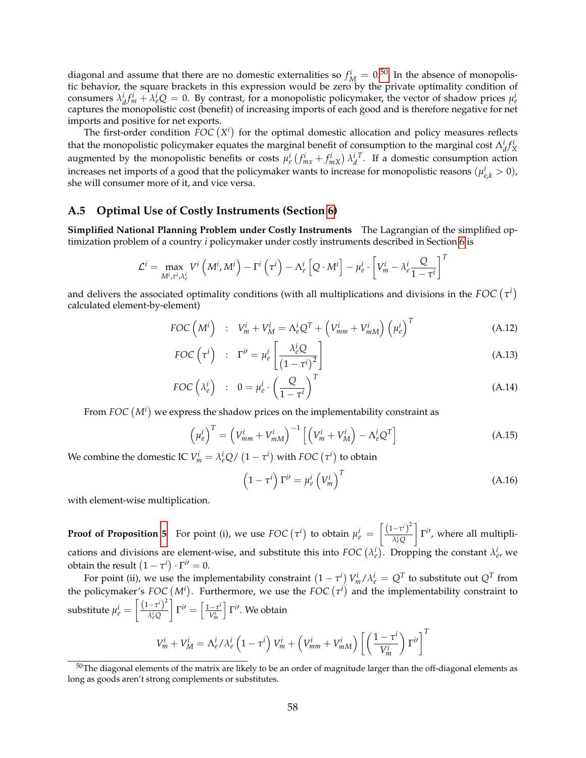diagonal and assume that there are no domestic externalities so  $f_M^i = 0.50$  $f_M^i = 0.50$  In the absence of monopolistic behavior, the square brackets in this expression would be zero by the private optimality condition of consumers  $\lambda_d^i f_m^i + \lambda_e^i Q = 0$ . By contrast, for a monopolistic policymaker, the vector of shadow prices  $\mu_e^i$ captures the monopolistic cost (benefit) of increasing imports of each good and is therefore negative for net imports and positive for net exports.

The first-order condition  $\overline{FOC}(X^i)$  for the optimal domestic allocation and policy measures reflects that the monopolistic policymaker equates the marginal benefit of consumption to the marginal cost  $\Lambda_d^i f_X^i$ augmented by the monopolistic benefits or costs  $\mu_e^i(f_{mx}^i + f_{mx}^i) \lambda_d^{i}$ . If a domestic consumption action increases net imports of a good that the policymaker wants to increase for monopolistic reasons  $(\mu_{e,k}^i > 0)$ , she will consumer more of it, and vice versa.

#### <span id="page-57-0"></span>**A.5 Optimal Use of Costly Instruments (Section [6\)](#page-34-0)**

**Simplified National Planning Problem under Costly Instruments** The Lagrangian of the simplified optimization problem of a country *i* policymaker under costly instruments described in Section [6](#page-34-0) is

$$
\mathcal{L}^i = \max_{M^i, \tau^i, \lambda^i_e} V^i \left( M^i, M^i \right) - \Gamma^i \left( \tau^i \right) - \Lambda^i_e \left[ Q \cdot M^i \right] - \mu^i_e \cdot \left[ V^i_m - \lambda^i_e \frac{Q}{1 - \tau^i} \right]^T
$$

and delivers the associated optimality conditions (with all multiplications and divisions in the  $FOC\left(\tau^i\right)$ calculated element-by-element)

$$
FOC\left(M^{i}\right) \quad : \quad V_{m}^{i} + V_{M}^{i} = \Lambda_{e}^{i}Q^{T} + \left(V_{mm}^{i} + V_{mM}^{i}\right)\left(\mu_{e}^{i}\right)^{T} \tag{A.12}
$$

$$
FOC\left(\tau^{i}\right) \quad : \quad \Gamma^{i'} = \mu_e^{i} \left[\frac{\lambda_e^{i} Q}{\left(1 - \tau^{i}\right)^2}\right] \tag{A.13}
$$

$$
FOC\left(\lambda_e^i\right) : 0 = \mu_e^i \cdot \left(\frac{Q}{1 - \tau^i}\right)^T
$$
\n(A.14)

From  $FOC\left(M^{i}\right)$  we express the shadow prices on the implementability constraint as

<span id="page-57-2"></span>
$$
\left(\mu_e^i\right)^T = \left(V_{mm}^i + V_{mM}^i\right)^{-1} \left[\left(V_m^i + V_M^i\right) - \Lambda_e^i Q^T\right]
$$
\n(A.15)

We combine the domestic IC  $V_m^i = \lambda_e^i Q / (1 - \tau^i)$  with *FOC*  $(\tau^i)$  to obtain

<span id="page-57-3"></span>
$$
\left(1 - \tau^i\right) \Gamma^{i\prime} = \mu^i_e \left(V^i_m\right)^T \tag{A.16}
$$

with element-wise multiplication.

**Proof of Proposition [5](#page-37-4)** For point (i), we use *FOC*  $(\tau^i)$  to obtain  $\mu_e^i = \left[ \frac{(1-\tau^i)^2}{\lambda^i} \right]$ *λ i <sup>e</sup>Q*  $\left[\right] \Gamma^{i}$ , where all multiplications and divisions are element-wise, and substitute this into  $FOC(\lambda_e^i)$ . Dropping the constant  $\lambda_e^i$ , we obtain the result  $(1 - \tau^i) \cdot \Gamma^{i'} = 0$ .

For point (ii), we use the implementability constraint  $(1-\tau^i)\,V_m^i/\lambda_e^i = Q^T$  to substitute out  $Q^T$  from the policymaker's  $FOC (M<sup>i</sup>)$ . Furthermore, we use the  $FOC (\tau<sup>i</sup>)$  and the implementability constraint to substitute  $\mu_e^i = \left[\frac{\left(1-\tau^i\right)^2}{\lambda^i\Omega}\right]$ *λ i <sup>e</sup>Q*  $\Gamma^{i\prime} = \left[\frac{1-\tau^{i}}{\Gamma^{i}}\right]$ *Vi m*  $\int \Gamma^{i}$ . We obtain

$$
V_m^i + V_M^i = \Lambda_e^i / \lambda_e^i \left(1 - \tau^i\right) V_m^i + \left(V_{mm}^i + V_{mM}^i\right) \left[\left(\frac{1 - \tau^i}{V_m^i}\right) \Gamma^{i'}\right]^T
$$

<span id="page-57-1"></span> $50$ The diagonal elements of the matrix are likely to be an order of magnitude larger than the off-diagonal elements as long as goods aren't strong complements or substitutes.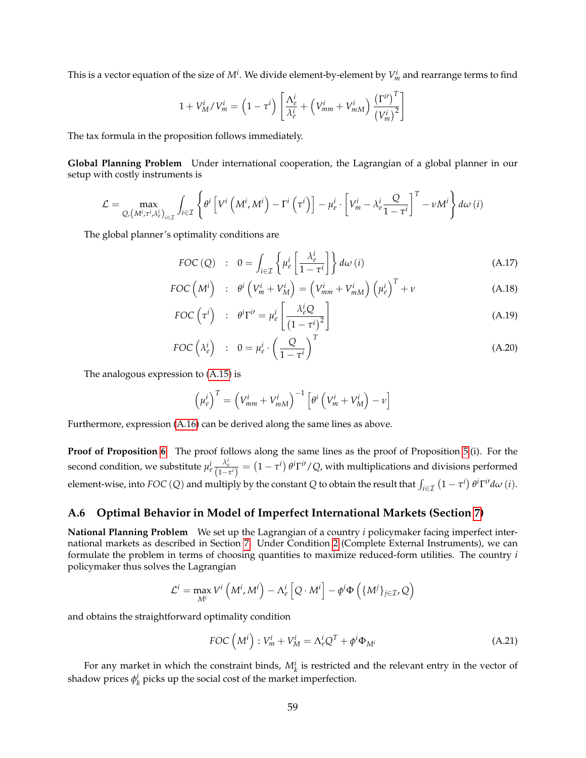This is a vector equation of the size of  $M^i$ . We divide element-by-element by  $V^i_m$  and rearrange terms to find

$$
1 + V_M^i / V_m^i = \left(1 - \tau^i\right) \left[ \frac{\Lambda_e^i}{\lambda_e^i} + \left(V_{mm}^i + V_{mM}^i\right) \frac{\left(\Gamma^{i\prime}\right)^T}{\left(V_m^i\right)^2} \right]
$$

The tax formula in the proposition follows immediately.

**Global Planning Problem** Under international cooperation, the Lagrangian of a global planner in our setup with costly instruments is

$$
\mathcal{L} = \max_{Q, \left(M^i, \tau^i, \lambda^i_e\right)_{i \in \mathcal{I}}} \int_{i \in \mathcal{I}} \left\{ \theta^i \left[ V^i \left(M^i, M^i\right) - \Gamma^i \left(\tau^i\right) \right] - \mu^i_e \cdot \left[ V^i_m - \lambda^i_e \frac{Q}{1 - \tau^i} \right]^T - \nu M^i \right\} d\omega \left( i \right)
$$

The global planner's optimality conditions are

$$
FOC(Q) : 0 = \int_{i \in \mathcal{I}} \left\{ \mu_e^i \left[ \frac{\lambda_e^i}{1 - \tau^i} \right] \right\} d\omega(i)
$$
 (A.17)

$$
FOC\left(M^{i}\right) \quad : \quad \theta^{i}\left(V_{m}^{i} + V_{M}^{i}\right) = \left(V_{mm}^{i} + V_{mM}^{i}\right)\left(\mu_{e}^{i}\right)^{T} + \nu \tag{A.18}
$$

$$
FOC\left(\tau^{i}\right) \quad : \quad \theta^{i} \Gamma^{i} = \mu_{e}^{i} \left[\frac{\lambda_{e}^{i} Q}{\left(1 - \tau^{i}\right)^{2}}\right] \tag{A.19}
$$

$$
FOC\left(\lambda_e^i\right) \quad : \quad 0 = \mu_e^i \cdot \left(\frac{Q}{1 - \tau^i}\right)^T \tag{A.20}
$$

The analogous expression to [\(A.15\)](#page-57-2) is

$$
\left(\mu_e^i\right)^T = \left(V_{mm}^i + V_{mM}^i\right)^{-1} \left[\theta^i \left(V_m^i + V_M^i\right) - \nu\right]
$$

Furthermore, expression [\(A.16\)](#page-57-3) can be derived along the same lines as above.

**Proof of Proposition [6](#page-39-2)** The proof follows along the same lines as the proof of Proposition [5.](#page-37-4)(i). For the second condition, we substitute  $\mu_e^i \frac{\lambda_e^i}{(1-\tau^i)} = (1-\tau^i) \theta^i \Gamma^{i/2} Q$ , with multiplications and divisions performed element-wise, into  $FOC(Q)$  and multiply by the constant *Q* to obtain the result that  $\int_{i\in\mathcal{I}}(1-\tau^i)\theta^i\Gamma^{i\prime}d\omega(i)$ .

#### <span id="page-58-0"></span>**A.6 Optimal Behavior in Model of Imperfect International Markets (Section [7\)](#page-41-0)**

**National Planning Problem** We set up the Lagrangian of a country *i* policymaker facing imperfect international markets as described in Section [7.](#page-41-0) Under Condition [2](#page-21-5) (Complete External Instruments), we can formulate the problem in terms of choosing quantities to maximize reduced-form utilities. The country *i* policymaker thus solves the Lagrangian

$$
\mathcal{L}^i = \max_{M^i} V^i \left( M^i, M^i \right) - \Lambda^i_e \left[ Q \cdot M^i \right] - \phi^i \Phi \left( \{ M^j \}_{j \in \mathcal{I}}, Q \right)
$$

and obtains the straightforward optimality condition

$$
FOC\left(M^{i}\right): V_{m}^{i} + V_{M}^{i} = \Lambda_{e}^{i}Q^{T} + \phi^{i}\Phi_{M^{i}}
$$
\n(A.21)

For any market in which the constraint binds,  $M_k^i$  is restricted and the relevant entry in the vector of shadow prices  $\phi_k^i$  picks up the social cost of the market imperfection.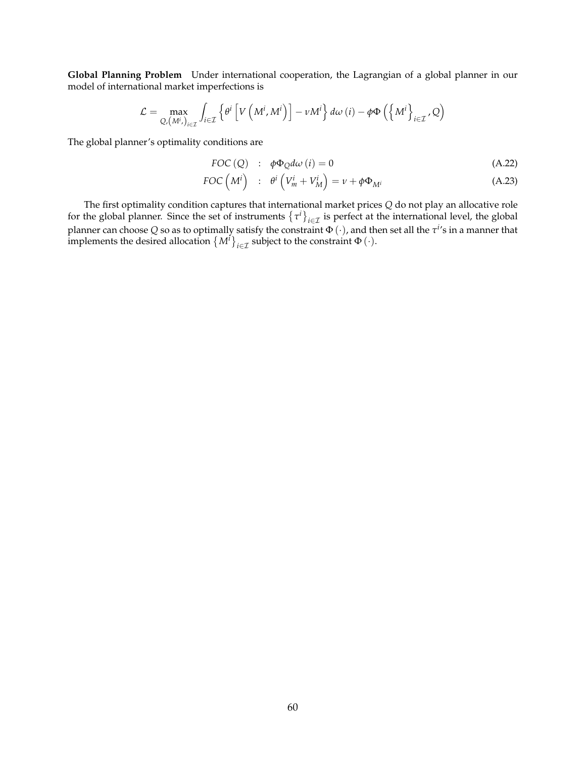**Global Planning Problem** Under international cooperation, the Lagrangian of a global planner in our model of international market imperfections is

$$
\mathcal{L} = \max_{Q, (M^i, )_{i \in \mathcal{I}}} \int_{i \in \mathcal{I}} \left\{ \theta^i \left[ V \left( M^i, M^i \right) \right] - \nu M^i \right\} d\omega \left( i \right) - \phi \Phi \left( \left\{ M^i \right\}_{i \in \mathcal{I}}, Q \right)
$$

The global planner's optimality conditions are

$$
FOC(Q) : \phi\Phi_Q d\omega (i) = 0 \tag{A.22}
$$

$$
FOC\left(M^{i}\right) \quad : \quad \theta^{i}\left(V_{m}^{i} + V_{M}^{i}\right) = \nu + \phi \Phi_{M^{i}} \tag{A.23}
$$

The first optimality condition captures that international market prices *Q* do not play an allocative role for the global planner. Since the set of instruments  $\{\tau^i\}_{i\in\mathcal{I}}$  is perfect at the international level, the global planner can choose *Q* so as to optimally satisfy the constraint Φ (·), and then set all the *τ i* 's in a manner that implements the desired allocation  ${M^i}_{i \in \mathcal{I}}$  subject to the constraint  $\Phi(\cdot)$ .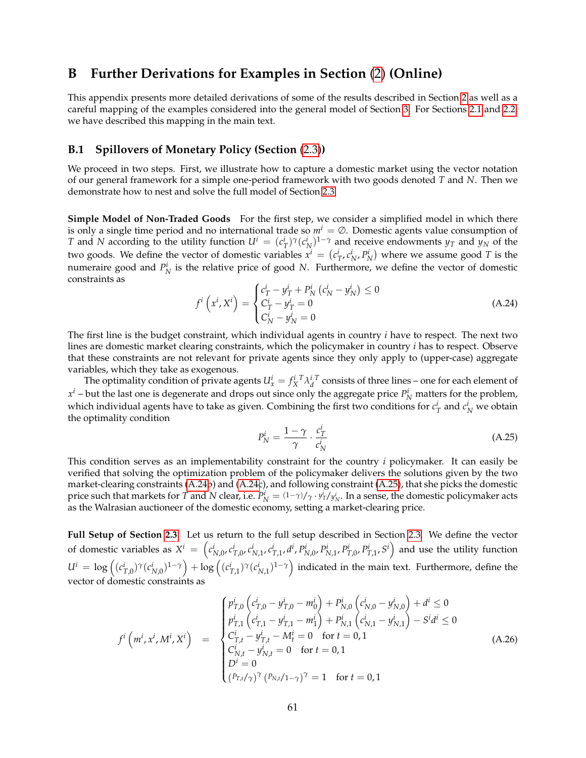# <span id="page-60-0"></span>**B Further Derivations for Examples in Section** [\(2\)](#page-7-0) **(Online)**

This appendix presents more detailed derivations of some of the results described in Section [2](#page-7-0) as well as a careful mapping of the examples considered into the general model of Section [3.](#page-18-0) For Sections [2.1](#page-7-1) and [2.2,](#page-9-0) we have described this mapping in the main text.

#### <span id="page-60-1"></span>**B.1 Spillovers of Monetary Policy (Section** [\(2.3\)](#page-10-0)**)**

We proceed in two steps. First, we illustrate how to capture a domestic market using the vector notation of our general framework for a simple one-period framework with two goods denoted *T* and *N*. Then we demonstrate how to nest and solve the full model of Section [2.3.](#page-10-0)

**Simple Model of Non-Traded Goods** For the first step, we consider a simplified model in which there is only a single time period and no international trade so  $m<sup>i</sup> = \emptyset$ . Domestic agents value consumption of *T* and *N* according to the utility function  $U^i = (c^i_T)^{\gamma} (c^i_N)^{1-\gamma}$  and receive endowments  $y_T$  and  $y_N$  of the two goods. We define the vector of domestic variables  $x^i = (c^i_T, c^i_N, P^i_N)$  where we assume good *T* is the numeraire good and  $P_N^i$  is the relative price of good *N*. Furthermore, we define the vector of domestic constraints as

<span id="page-60-2"></span>
$$
f^{i}\left(x^{i}, X^{i}\right) = \begin{cases} c_{T}^{i} - y_{T}^{i} + P_{N}^{i} \left(c_{N}^{i} - y_{N}^{i}\right) \leq 0\\ C_{T}^{i} - y_{T}^{i} = 0\\ C_{N}^{i} - y_{N}^{i} = 0 \end{cases}
$$
\n(A.24)

The first line is the budget constraint, which individual agents in country *i* have to respect. The next two lines are domestic market clearing constraints, which the policymaker in country *i* has to respect. Observe that these constraints are not relevant for private agents since they only apply to (upper-case) aggregate variables, which they take as exogenous.

The optimality condition of private agents  $U_x^i = f_X^{i T} \lambda_d^{i T}$  consists of three lines – one for each element of  $x^i$  – but the last one is degenerate and drops out since only the aggregate price  $P_N^i$  matters for the problem, which individual agents have to take as given. Combining the first two conditions for  $c_T^i$  and  $c_N^i$  we obtain the optimality condition

<span id="page-60-3"></span>
$$
P_N^i = \frac{1 - \gamma}{\gamma} \cdot \frac{c_T^i}{c_N^i} \tag{A.25}
$$

This condition serves as an implementability constraint for the country *i* policymaker. It can easily be verified that solving the optimization problem of the policymaker delivers the solutions given by the two market-clearing constraints [\(A.24b](#page-60-2)) and [\(A.24c](#page-60-2)), and following constraint [\(A.25\)](#page-60-3), that she picks the domestic price such that markets for *T* and *N* clear, i.e.  $P_N^i = (1-\gamma)/\gamma \cdot y_T^i/y_N^i$ . In a sense, the domestic policymaker acts as the Walrasian auctioneer of the domestic economy, setting a market-clearing price.

**Full Setup of Section [2.3](#page-10-0)** Let us return to the full setup described in Section [2.3.](#page-10-0) We define the vector of domestic variables as  $X^i = \left(c^i_{N,0}, c^i_{T,0}, c^i_{N,1}, c^i_{T,1}, d^i, P^i_{N,0}, P^i_{N,1}, P^i_{T,0}, P^i_{T,1}, S^i\right)$  and use the utility function  $U^i = \log \left( (c_{T,0}^i)^\gamma (c_{N,0}^i)^{1-\gamma} \right) + \log \left( (c_{T,1}^i)^\gamma (c_{N,1}^i)^{1-\gamma} \right)$  indicated in the main text. Furthermore, define the vector of domestic constraints as

<span id="page-60-4"></span>
$$
f^{i}\left(m^{i}, x^{i}, M^{i}, X^{i}\right) = \begin{cases} p^{i}_{T,0} \left(c^{i}_{T,0} - y^{i}_{T,0} - m^{i}_{0}\right) + P^{i}_{N,0} \left(c^{i}_{N,0} - y^{i}_{N,0}\right) + d^{i} \leq 0\\ p^{i}_{T,1} \left(c^{i}_{T,1} - y^{i}_{T,1} - m^{i}_{1}\right) + P^{i}_{N,1} \left(c^{i}_{N,1} - y^{i}_{N,1}\right) - S^{i} d^{i} \leq 0\\ C^{i}_{T,t} - y^{i}_{T,t} - M^{i}_{t} = 0 \quad \text{for } t = 0, 1\\ C^{i}_{N,t} - y^{i}_{N,t} = 0 \quad \text{for } t = 0, 1\\ D^{i} = 0\\ (P_{T,t}/\gamma)^{\gamma} \left(P_{N,t}/1-\gamma\right)^{\gamma} = 1 \quad \text{for } t = 0, 1 \end{cases}
$$
(A.26)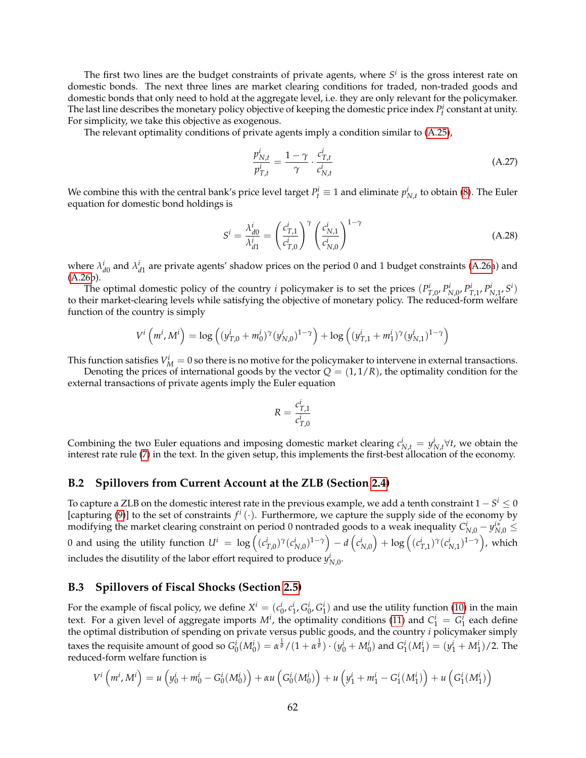The first two lines are the budget constraints of private agents, where  $S<sup>i</sup>$  is the gross interest rate on domestic bonds. The next three lines are market clearing conditions for traded, non-traded goods and domestic bonds that only need to hold at the aggregate level, i.e. they are only relevant for the policymaker. The last line describes the monetary policy objective of keeping the domestic price index  $P_t^i$  constant at unity. For simplicity, we take this objective as exogenous.

The relevant optimality conditions of private agents imply a condition similar to [\(A.25\)](#page-60-3),

$$
\frac{p_{N,t}^i}{p_{T,t}^i} = \frac{1 - \gamma}{\gamma} \cdot \frac{c_{T,t}^i}{c_{N,t}^i}
$$
\n(A.27)

We combine this with the central bank's price level target  $P_t^i \equiv 1$  and eliminate  $p_{N,t}^i$  to obtain [\(8\)](#page-11-2). The Euler equation for domestic bond holdings is

$$
S^{i} = \frac{\lambda_{d0}^{i}}{\lambda_{d1}^{i}} = \left(\frac{c_{T,1}^{i}}{c_{T,0}^{i}}\right)^{\gamma} \left(\frac{c_{N,1}^{i}}{c_{N,0}^{i}}\right)^{1-\gamma}
$$
(A.28)

where  $\lambda_{d0}^i$  and  $\lambda_{d1}^i$  are private agents' shadow prices on the period 0 and 1 budget constraints [\(A.26a](#page-60-4)) and  $(A.26b)$  $(A.26b)$ 

The optimal domestic policy of the country *i* policymaker is to set the prices  $(P_{T,0}^i, P_{N,0}^i, P_{T,1}^i, P_{N,1}^i, S^i)$ to their market-clearing levels while satisfying the objective of monetary policy. The reduced-form welfare function of the country is simply

$$
V^{i}\left(m^{i}, M^{i}\right) = \log \left((y_{T,0}^{i} + m_{0}^{i})^{\gamma}(y_{N,0}^{i})^{1-\gamma}\right) + \log \left((y_{T,1}^{i} + m_{1}^{i})^{\gamma}(y_{N,1}^{i})^{1-\gamma}\right)
$$

This function satisfies  $V_M^i = 0$  so there is no motive for the policymaker to intervene in external transactions.

Denoting the prices of international goods by the vector  $Q = (1, 1/R)$ , the optimality condition for the external transactions of private agents imply the Euler equation

$$
R = \frac{c_{T,1}^i}{c_{T,0}^i}
$$

Combining the two Euler equations and imposing domestic market clearing  $c_{N,t}^i = y_{N,t}^i \forall t$ , we obtain the interest rate rule [\(7\)](#page-10-1) in the text. In the given setup, this implements the first-best allocation of the economy.

#### <span id="page-61-0"></span>**B.2 Spillovers from Current Account at the ZLB (Section [2.4\)](#page-11-0)**

To capture a ZLB on the domestic interest rate in the previous example, we add a tenth constraint  $1-S^i\leq 0$ [capturing [\(9\)](#page-12-1)] to the set of constraints  $f^i(\cdot)$ . Furthermore, we capture the supply side of the economy by modifying the market clearing constraint on period 0 nontraded goods to a weak inequality  $C_{N,0}^i - y_{N,0}^{i*} \leq$ 0 and using the utility function  $U^i\ =\ \log\left((c^i_{T,0})^\gamma(c^i_{N,0})^{1-\gamma}\right)-d\left(c^i_{N,0}\right)+\log\left((c^i_{T,1})^\gamma(c^i_{N,1})^{1-\gamma}\right)$ , which includes the disutility of the labor effort required to produce  $y^i_{N,0}$ .

#### <span id="page-61-1"></span>**B.3 Spillovers of Fiscal Shocks (Section [2.5\)](#page-13-0)**

For the example of fiscal policy, we define  $X^i = (c_0^i, c_1^i, G_0^i, G_1^i)$  and use the utility function [\(10\)](#page-13-4) in the main text. For a given level of aggregate imports  $M^i$ , the optimality conditions [\(11\)](#page-14-3) and  $C_1^i = G_1^i$  each define the optimal distribution of spending on private versus public goods, and the country *i* policymaker simply the optimal distribution of spending on private versus public goods, and the country *i* policymaker simply taxes the requisite amount of good so  $G_0^i(M_0^i)=\alpha^{\frac{1}{\theta}}/(1+\alpha^{\frac{1}{\theta}})\cdot(y_0^i+M_0^i)$  and  $G_1^i(M_1^i)=(y_1^i+M_1^i)/2$ . The reduced-form welfare function is

$$
V^{i} (m^{i}, M^{i}) = u (y_{0}^{i} + m_{0}^{i} - G_{0}^{i}(M_{0}^{i})) + \alpha u (G_{0}^{i}(M_{0}^{i})) + u (y_{1}^{i} + m_{1}^{i} - G_{1}^{i}(M_{1}^{i})) + u (G_{1}^{i}(M_{1}^{i}))
$$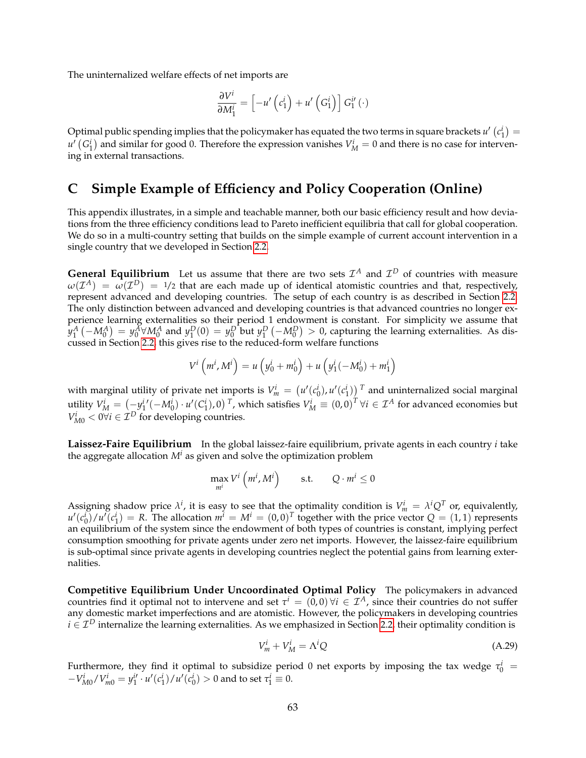The uninternalized welfare effects of net imports are

$$
\frac{\partial V^i}{\partial M_1^i} = \left[ -u' \left( c_1^i \right) + u' \left( G_1^i \right) \right] G_1^{i'} \left( \cdot \right)
$$

Optimal public spending implies that the policymaker has equated the two terms in square brackets  $u'$   $(c_1^i)$  =  $u'$   $(G_1^i)$  and similar for good 0. Therefore the expression vanishes  $V_M^i = 0$  and there is no case for intervening in external transactions.

# <span id="page-62-0"></span>**C Simple Example of Efficiency and Policy Cooperation (Online)**

This appendix illustrates, in a simple and teachable manner, both our basic efficiency result and how deviations from the three efficiency conditions lead to Pareto inefficient equilibria that call for global cooperation. We do so in a multi-country setting that builds on the simple example of current account intervention in a single country that we developed in Section [2.2.](#page-9-0)

**General Equilibrium** Let us assume that there are two sets  $\mathcal{I}^A$  and  $\mathcal{I}^D$  of countries with measure  $\omega(\mathcal{I}^A)$  =  $\omega(\mathcal{I}^D)$  = 1/2 that are each made up of identical atomistic countries and that, respectively, represent advanced and developing countries. The setup of each country is as described in Section [2.2.](#page-9-0) The only distinction between advanced and developing countries is that advanced countries no longer experience learning externalities so their period 1 endowment is constant. For simplicity we assume that  $y_1^A\left(-M_0^A\right)=y_0^A$ V $M_0^A$  and  $y_1^D(0)=y_0^D$  but  $y_1^D\left(-M_0^D\right)>0$ , capturing the learning externalities. As discussed in Section [2.2,](#page-9-0) this gives rise to the reduced-form welfare functions

$$
V^{i} (m^{i}, M^{i}) = u (y_{0}^{i} + m_{0}^{i}) + u (y_{1}^{i}(-M_{0}^{i}) + m_{1}^{i})
$$

with marginal utility of private net imports is  $V_m^i = (u'(c_0^i), u'(c_1^i))$ <sup>T</sup> and uninternalized social marginal utility  $V_M^i = \left(\frac{-y_1^i/(-M_0^i) \cdot u'(C_1^i)$ , 0)  $^T$ , which satisfies  $V_M^i \equiv (0,0)^T \forall i \in \mathcal{I}^A$  for advanced economies but  $V_{M0}^i < 0 \forall i \in \mathcal{I}^D$  for developing countries.

**Laissez-Faire Equilibrium** In the global laissez-faire equilibrium, private agents in each country *i* take the aggregate allocation  $M^i$  as given and solve the optimization problem

$$
\max_{m^i} V^i \left( m^i, M^i \right) \qquad \text{s.t.} \qquad Q \cdot m^i \le 0
$$

Assigning shadow price  $\lambda^i$ , it is easy to see that the optimality condition is  $V_m^i = \lambda^i Q^T$  or, equivalently,  $u'(c_0^i)/u'(c_1^i) = R$ . The allocation  $m^i = M^i = (0, 0)^T$  together with the price vector  $Q = (1, 1)$  represents an equilibrium of the system since the endowment of both types of countries is constant, implying perfect consumption smoothing for private agents under zero net imports. However, the laissez-faire equilibrium is sub-optimal since private agents in developing countries neglect the potential gains from learning externalities.

**Competitive Equilibrium Under Uncoordinated Optimal Policy** The policymakers in advanced countries find it optimal not to intervene and set  $\tau^i = (0,0)$   $\forall i \in \mathcal{I}^A$ , since their countries do not suffer any domestic market imperfections and are atomistic. However, the policymakers in developing countries  $i \in \mathcal{I}^D$  internalize the learning externalities. As we emphasized in Section [2.2,](#page-9-0) their optimality condition is

<span id="page-62-1"></span>
$$
V_m^i + V_M^i = \Lambda^i Q \tag{A.29}
$$

Furthermore, they find it optimal to subsidize period 0 net exports by imposing the tax wedge  $\tau_0^i$  =  $-V_{M0}^i/V_{m0}^i = y_1^{i'} \cdot u'(c_1^i)/u'(c_0^i) > 0$  and to set  $\tau_1^i \equiv 0$ .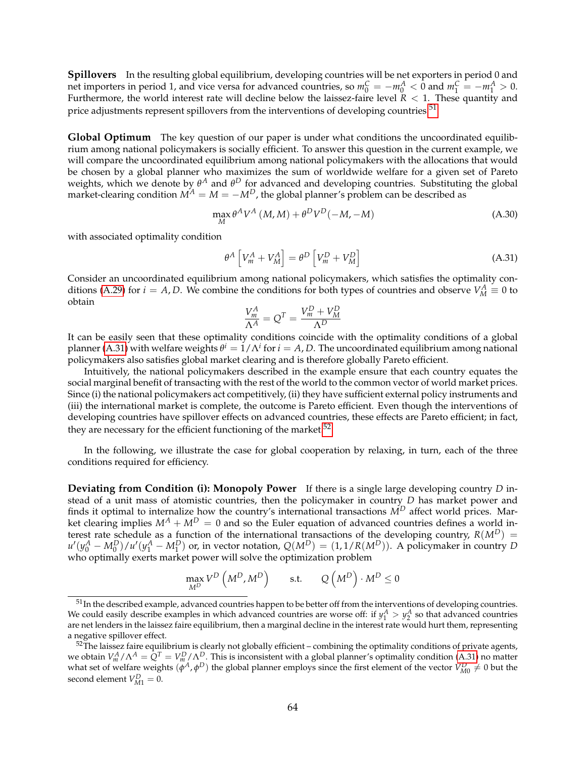**Spillovers** In the resulting global equilibrium, developing countries will be net exporters in period 0 and net importers in period 1, and vice versa for advanced countries, so  $m_0^C = -m_0^A < 0$  and  $m_1^C = -m_1^A > 0$ . Furthermore, the world interest rate will decline below the laissez-faire level  $R < 1$ . These quantity and price adjustments represent spillovers from the interventions of developing countries.<sup>[51](#page-63-0)</sup>

**Global Optimum** The key question of our paper is under what conditions the uncoordinated equilibrium among national policymakers is socially efficient. To answer this question in the current example, we will compare the uncoordinated equilibrium among national policymakers with the allocations that would be chosen by a global planner who maximizes the sum of worldwide welfare for a given set of Pareto weights, which we denote by  $\theta^A$  and  $\theta^D$  for advanced and developing countries. Substituting the global market-clearing condition  $M^A = M = -M^D$ , the global planner's problem can be described as

<span id="page-63-3"></span>
$$
\max_{M} \theta^{A} V^{A} \left( M, M \right) + \theta^{D} V^{D} \left( -M, -M \right) \tag{A.30}
$$

with associated optimality condition

<span id="page-63-1"></span>
$$
\theta^{A} \left[ V_{m}^{A} + V_{M}^{A} \right] = \theta^{D} \left[ V_{m}^{D} + V_{M}^{D} \right]
$$
\n(A.31)

Consider an uncoordinated equilibrium among national policymakers, which satisfies the optimality con-ditions [\(A.29\)](#page-62-1) for *i* = *A*, *D*. We combine the conditions for both types of countries and observe  $V_M^A \equiv 0$  to obtain

$$
\frac{V_m^A}{\Lambda^A} = Q^T = \frac{V_m^D + V_M^D}{\Lambda^D}
$$

It can be easily seen that these optimality conditions coincide with the optimality conditions of a global planner [\(A.31\)](#page-63-1) with welfare weights  $\theta^i = 1/\Lambda^i$  for  $i = A$ , D. The uncoordinated equilibrium among national policymakers also satisfies global market clearing and is therefore globally Pareto efficient.

Intuitively, the national policymakers described in the example ensure that each country equates the social marginal benefit of transacting with the rest of the world to the common vector of world market prices. Since (i) the national policymakers act competitively, (ii) they have sufficient external policy instruments and (iii) the international market is complete, the outcome is Pareto efficient. Even though the interventions of developing countries have spillover effects on advanced countries, these effects are Pareto efficient; in fact, they are necessary for the efficient functioning of the market.<sup>[52](#page-63-2)</sup>

In the following, we illustrate the case for global cooperation by relaxing, in turn, each of the three conditions required for efficiency.

**Deviating from Condition (i): Monopoly Power** If there is a single large developing country *D* instead of a unit mass of atomistic countries, then the policymaker in country *D* has market power and finds it optimal to internalize how the country's international transactions *M<sup>D</sup>* affect world prices. Market clearing implies  $M^A + M^D = 0$  and so the Euler equation of advanced countries defines a world interest rate schedule as a function of the international transactions of the developing country,  $R(M^D)$  =  $u'(y_0^A - M_0^D)/u'(y_1^A - M_1^D)$  or, in vector notation,  $Q(M^D) = (1, 1/R(M^D))$ . A policymaker in country D who optimally exerts market power will solve the optimization problem

$$
\max_{M^D} V^D \left( M^D, M^D \right) \qquad \text{s.t.} \qquad Q \left( M^D \right) \cdot M^D \le 0
$$

<span id="page-63-0"></span><sup>51</sup>In the described example, advanced countries happen to be better off from the interventions of developing countries. We could easily describe examples in which advanced countries are worse off: if  $y_1^A > y_2^A$  so that advanced countries are net lenders in the laissez faire equilibrium, then a marginal decline in the interest rate would hurt them, representing a negative spillover effect.

<span id="page-63-2"></span> $^{52}$ The laissez faire equilibrium is clearly not globally efficient – combining the optimality conditions of private agents, we obtain  $V_m^A/\Lambda^A = Q^T = V_m^D/\Lambda^D$ . This is inconsistent with a global planner's optimality condition [\(A.31\)](#page-63-1) no matter what set of welfare weights  $(\phi^A, \phi^D)$  the global planner employs since the first element of the vector  $V_{M0}^D \neq 0$  but the second element  $V_{M1}^D = 0$ .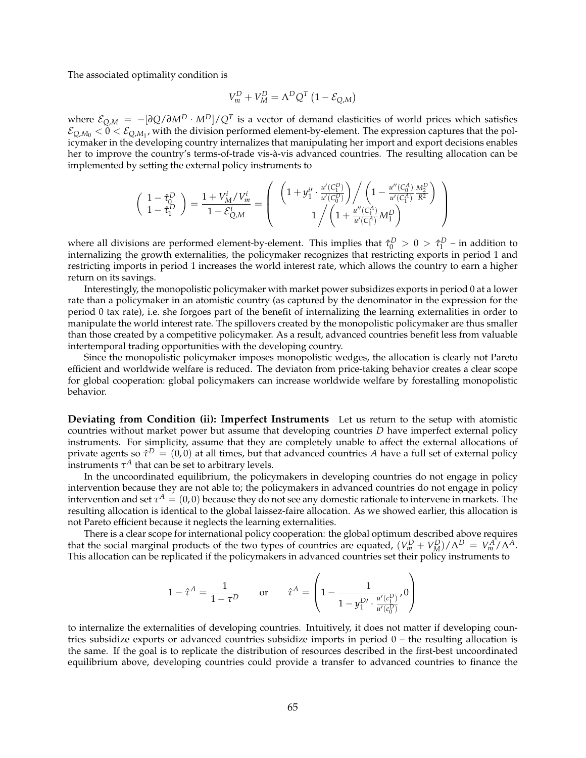The associated optimality condition is

$$
V_m^D + V_M^D = \Lambda^D Q^T (1 - \mathcal{E}_{Q,M})
$$

where E*Q*,*<sup>M</sup>* = −[*∂Q*/*∂M<sup>D</sup>* · *MD*]/*Q<sup>T</sup>* is a vector of demand elasticities of world prices which satisfies  $\mathcal{E}_{Q,M_0} < 0 < \mathcal{E}_{Q,M_1}$ , with the division performed element-by-element. The expression captures that the policymaker in the developing country internalizes that manipulating her import and export decisions enables her to improve the country's terms-of-trade vis-à-vis advanced countries. The resulting allocation can be implemented by setting the external policy instruments to

$$
\left( \begin{array}{c} 1-\hat{\tau}_0^D \\ 1-\hat{\tau}_1^D \end{array} \right) = \frac{1+V_M^i/V_m^i}{1-\mathcal{E}_{Q,M}^i} = \left( \begin{array}{c} \left(1+y_1^{i\prime}\cdot\frac{u'(C_1^D)}{u'(C_0^D)}\right)\bigg/\left(1-\frac{u''(C_0^A)}{u'(C_1^A)}\frac{M_P^D}{R^2}\right) \\ 1\bigg/\left(1+\frac{u''(C_1^A)}{u'(C_1^A)}M_1^D\right) \end{array} \right)
$$

where all divisions are performed element-by-element. This implies that  $\hat{\tau}_0^D > 0 > \hat{\tau}_1^D$  – in addition to internalizing the growth externalities, the policymaker recognizes that restricting exports in period 1 and restricting imports in period 1 increases the world interest rate, which allows the country to earn a higher return on its savings.

Interestingly, the monopolistic policymaker with market power subsidizes exports in period 0 at a lower rate than a policymaker in an atomistic country (as captured by the denominator in the expression for the period 0 tax rate), i.e. she forgoes part of the benefit of internalizing the learning externalities in order to manipulate the world interest rate. The spillovers created by the monopolistic policymaker are thus smaller than those created by a competitive policymaker. As a result, advanced countries benefit less from valuable intertemporal trading opportunities with the developing country.

Since the monopolistic policymaker imposes monopolistic wedges, the allocation is clearly not Pareto efficient and worldwide welfare is reduced. The deviaton from price-taking behavior creates a clear scope for global cooperation: global policymakers can increase worldwide welfare by forestalling monopolistic behavior.

**Deviating from Condition (ii): Imperfect Instruments** Let us return to the setup with atomistic countries without market power but assume that developing countries *D* have imperfect external policy instruments. For simplicity, assume that they are completely unable to affect the external allocations of private agents so  $\hat{\tau}^D = (0,0)$  at all times, but that advanced countries A have a full set of external policy instruments  $\tau^A$  that can be set to arbitrary levels.

In the uncoordinated equilibrium, the policymakers in developing countries do not engage in policy intervention because they are not able to; the policymakers in advanced countries do not engage in policy intervention and set  $\tau^A=(0,0)$  because they do not see any domestic rationale to intervene in markets. The resulting allocation is identical to the global laissez-faire allocation. As we showed earlier, this allocation is not Pareto efficient because it neglects the learning externalities.

There is a clear scope for international policy cooperation: the global optimum described above requires that the social marginal products of the two types of countries are equated,  $(V_m^D + V_M^D)/\Lambda^D = V_m^A/\Lambda^A$ . This allocation can be replicated if the policymakers in advanced countries set their policy instruments to

$$
1 - \hat{\tau}^A = \frac{1}{1 - \tau^D} \quad \text{or} \quad \hat{\tau}^A = \left(1 - \frac{1}{1 - y_1^{D'} \cdot \frac{u'(c_1^D)}{u'(c_0^D)}}, 0\right)
$$

to internalize the externalities of developing countries. Intuitively, it does not matter if developing countries subsidize exports or advanced countries subsidize imports in period 0 – the resulting allocation is the same. If the goal is to replicate the distribution of resources described in the first-best uncoordinated equilibrium above, developing countries could provide a transfer to advanced countries to finance the